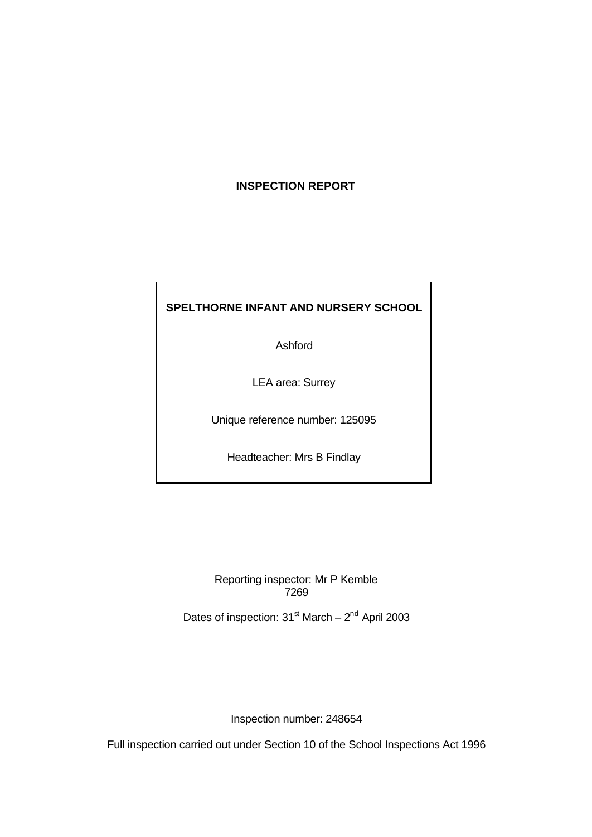# **INSPECTION REPORT**

# **SPELTHORNE INFANT AND NURSERY SCHOOL**

Ashford

LEA area: Surrey

Unique reference number: 125095

Headteacher: Mrs B Findlay

Reporting inspector: Mr P Kemble 7269

Dates of inspection:  $31^{\text{st}}$  March –  $2^{\text{nd}}$  April 2003

Inspection number: 248654

Full inspection carried out under Section 10 of the School Inspections Act 1996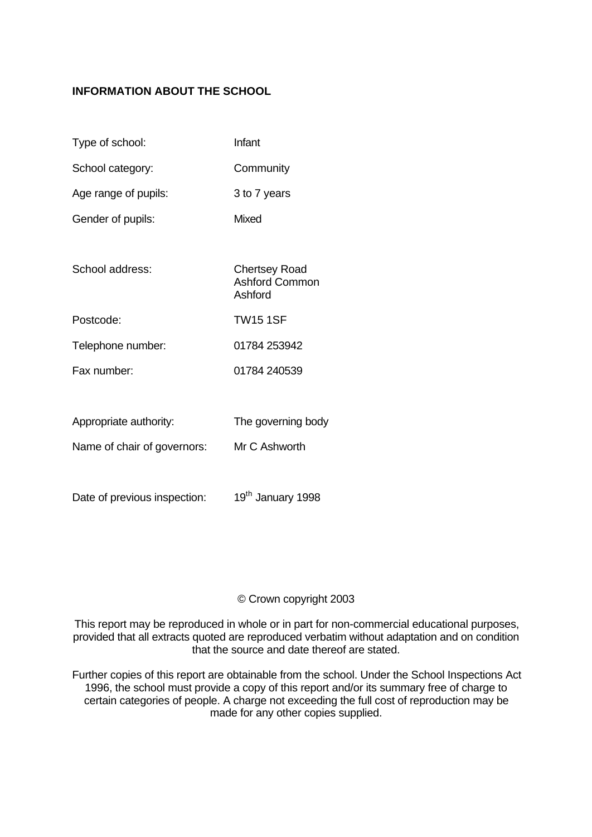# **INFORMATION ABOUT THE SCHOOL**

| Type of school:             | Infant                                                   |
|-----------------------------|----------------------------------------------------------|
| School category:            | Community                                                |
| Age range of pupils:        | 3 to 7 years                                             |
| Gender of pupils:           | Mixed                                                    |
|                             |                                                          |
| School address:             | <b>Chertsey Road</b><br><b>Ashford Common</b><br>Ashford |
| Postcode:                   | <b>TW15 1SF</b>                                          |
| Telephone number:           | 01784 253942                                             |
| Fax number:                 | 01784 240539                                             |
|                             |                                                          |
| Appropriate authority:      | The governing body                                       |
| Name of chair of governors: | Mr C Ashworth                                            |

Date of previous inspection: 19<sup>th</sup> January 1998

## © Crown copyright 2003

This report may be reproduced in whole or in part for non-commercial educational purposes, provided that all extracts quoted are reproduced verbatim without adaptation and on condition that the source and date thereof are stated.

Further copies of this report are obtainable from the school. Under the School Inspections Act 1996, the school must provide a copy of this report and/or its summary free of charge to certain categories of people. A charge not exceeding the full cost of reproduction may be made for any other copies supplied.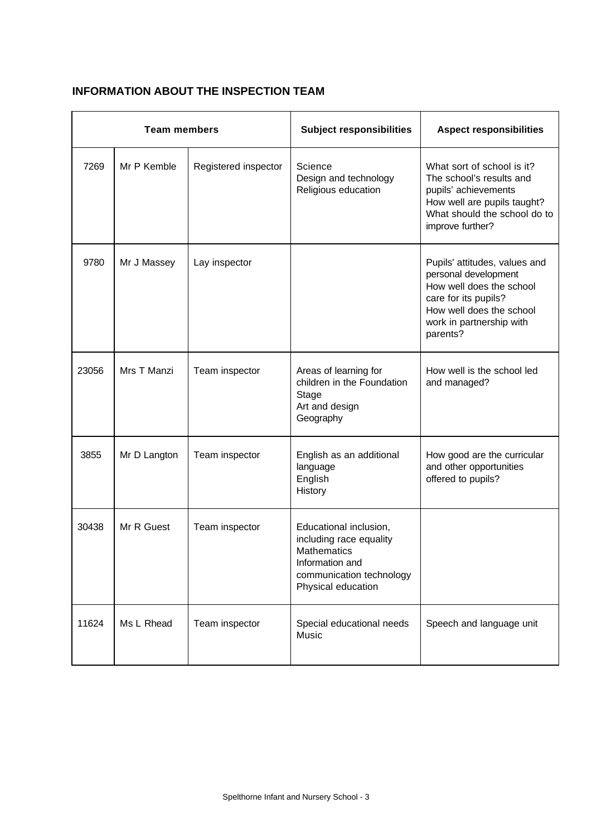# **INFORMATION ABOUT THE INSPECTION TEAM**

| <b>Team members</b> |              | <b>Subject responsibilities</b> | <b>Aspect responsibilities</b>                                                                                                               |                                                                                                                                                                               |
|---------------------|--------------|---------------------------------|----------------------------------------------------------------------------------------------------------------------------------------------|-------------------------------------------------------------------------------------------------------------------------------------------------------------------------------|
| 7269                | Mr P Kemble  | Registered inspector            | Science<br>Design and technology<br>Religious education                                                                                      | What sort of school is it?<br>The school's results and<br>pupils' achievements<br>How well are pupils taught?<br>What should the school do to<br>improve further?             |
| 9780                | Mr J Massey  | Lay inspector                   |                                                                                                                                              | Pupils' attitudes, values and<br>personal development<br>How well does the school<br>care for its pupils?<br>How well does the school<br>work in partnership with<br>parents? |
| 23056               | Mrs T Manzi  | Team inspector                  | Areas of learning for<br>children in the Foundation<br>Stage<br>Art and design<br>Geography                                                  | How well is the school led<br>and managed?                                                                                                                                    |
| 3855                | Mr D Langton | Team inspector                  | English as an additional<br>language<br>English<br>History                                                                                   | How good are the curricular<br>and other opportunities<br>offered to pupils?                                                                                                  |
| 30438               | Mr R Guest   | Team inspector                  | Educational inclusion,<br>including race equality<br><b>Mathematics</b><br>Information and<br>communication technology<br>Physical education |                                                                                                                                                                               |
| 11624               | Ms L Rhead   | Team inspector                  | Special educational needs<br>Music                                                                                                           | Speech and language unit                                                                                                                                                      |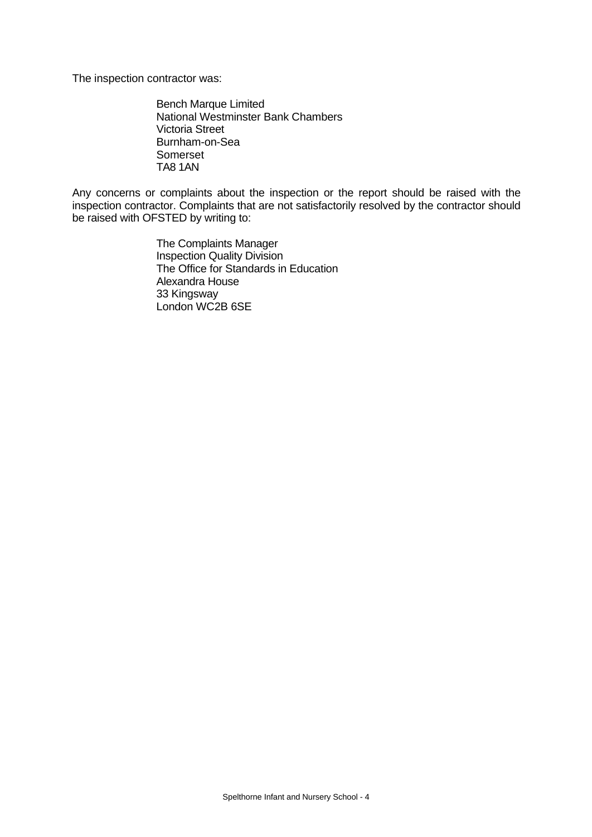The inspection contractor was:

Bench Marque Limited National Westminster Bank Chambers Victoria Street Burnham-on-Sea Somerset TA8 1AN

Any concerns or complaints about the inspection or the report should be raised with the inspection contractor. Complaints that are not satisfactorily resolved by the contractor should be raised with OFSTED by writing to:

> The Complaints Manager Inspection Quality Division The Office for Standards in Education Alexandra House 33 Kingsway London WC2B 6SE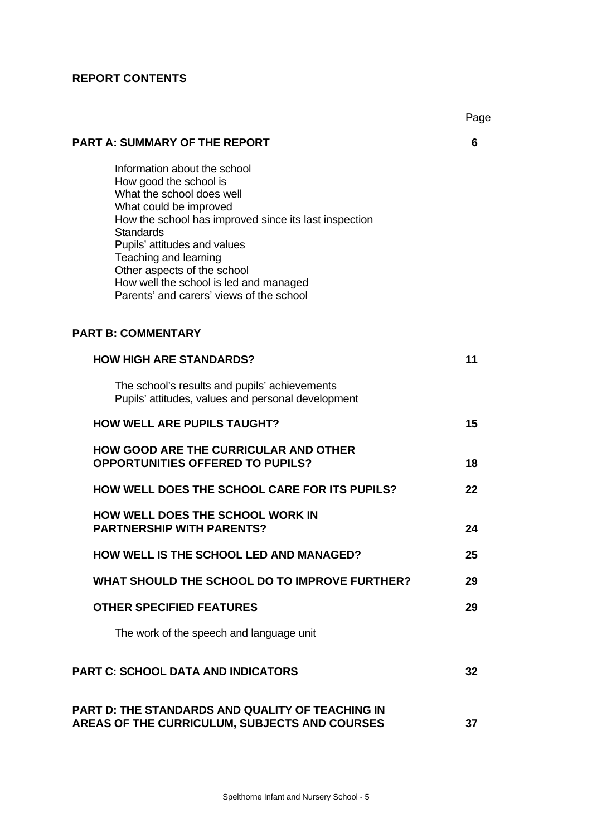# **REPORT CONTENTS**

| <b>PART A: SUMMARY OF THE REPORT</b>                                                                                                                                                                                                                                                                                                                                     | 6  |
|--------------------------------------------------------------------------------------------------------------------------------------------------------------------------------------------------------------------------------------------------------------------------------------------------------------------------------------------------------------------------|----|
| Information about the school<br>How good the school is<br>What the school does well<br>What could be improved<br>How the school has improved since its last inspection<br><b>Standards</b><br>Pupils' attitudes and values<br>Teaching and learning<br>Other aspects of the school<br>How well the school is led and managed<br>Parents' and carers' views of the school |    |
| <b>PART B: COMMENTARY</b>                                                                                                                                                                                                                                                                                                                                                |    |
| <b>HOW HIGH ARE STANDARDS?</b>                                                                                                                                                                                                                                                                                                                                           | 11 |
| The school's results and pupils' achievements<br>Pupils' attitudes, values and personal development                                                                                                                                                                                                                                                                      |    |
| <b>HOW WELL ARE PUPILS TAUGHT?</b>                                                                                                                                                                                                                                                                                                                                       | 15 |
| <b>HOW GOOD ARE THE CURRICULAR AND OTHER</b><br><b>OPPORTUNITIES OFFERED TO PUPILS?</b>                                                                                                                                                                                                                                                                                  | 18 |
| <b>HOW WELL DOES THE SCHOOL CARE FOR ITS PUPILS?</b>                                                                                                                                                                                                                                                                                                                     | 22 |
| <b>HOW WELL DOES THE SCHOOL WORK IN</b><br><b>PARTNERSHIP WITH PARENTS?</b>                                                                                                                                                                                                                                                                                              | 24 |
| <b>HOW WELL IS THE SCHOOL LED AND MANAGED?</b>                                                                                                                                                                                                                                                                                                                           | 25 |
| WHAT SHOULD THE SCHOOL DO TO IMPROVE FURTHER?                                                                                                                                                                                                                                                                                                                            | 29 |
| <b>OTHER SPECIFIED FEATURES</b>                                                                                                                                                                                                                                                                                                                                          | 29 |
| The work of the speech and language unit                                                                                                                                                                                                                                                                                                                                 |    |
| <b>PART C: SCHOOL DATA AND INDICATORS</b>                                                                                                                                                                                                                                                                                                                                | 32 |
| PART D: THE STANDARDS AND QUALITY OF TEACHING IN<br><b>AREAS OF THE CURRICULUM, SUBJECTS AND COURSES</b>                                                                                                                                                                                                                                                                 | 37 |

Page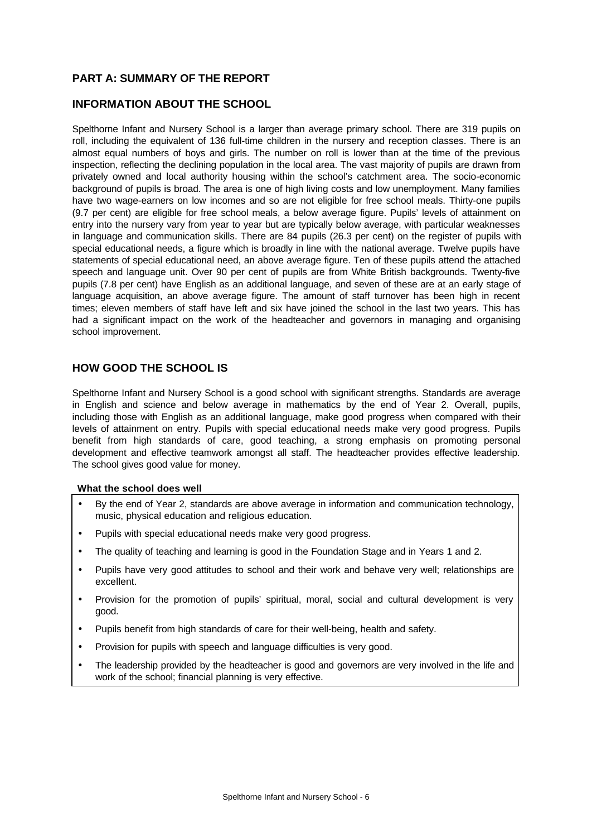## **PART A: SUMMARY OF THE REPORT**

### **INFORMATION ABOUT THE SCHOOL**

Spelthorne Infant and Nursery School is a larger than average primary school. There are 319 pupils on roll, including the equivalent of 136 full-time children in the nursery and reception classes. There is an almost equal numbers of boys and girls. The number on roll is lower than at the time of the previous inspection, reflecting the declining population in the local area. The vast majority of pupils are drawn from privately owned and local authority housing within the school's catchment area. The socio-economic background of pupils is broad. The area is one of high living costs and low unemployment. Many families have two wage-earners on low incomes and so are not eligible for free school meals. Thirty-one pupils (9.7 per cent) are eligible for free school meals, a below average figure. Pupils' levels of attainment on entry into the nursery vary from year to year but are typically below average, with particular weaknesses in language and communication skills. There are 84 pupils (26.3 per cent) on the register of pupils with special educational needs, a figure which is broadly in line with the national average. Twelve pupils have statements of special educational need, an above average figure. Ten of these pupils attend the attached speech and language unit. Over 90 per cent of pupils are from White British backgrounds. Twenty-five pupils (7.8 per cent) have English as an additional language, and seven of these are at an early stage of language acquisition, an above average figure. The amount of staff turnover has been high in recent times; eleven members of staff have left and six have joined the school in the last two years. This has had a significant impact on the work of the headteacher and governors in managing and organising school improvement.

## **HOW GOOD THE SCHOOL IS**

Spelthorne Infant and Nursery School is a good school with significant strengths. Standards are average in English and science and below average in mathematics by the end of Year 2. Overall, pupils, including those with English as an additional language, make good progress when compared with their levels of attainment on entry. Pupils with special educational needs make very good progress. Pupils benefit from high standards of care, good teaching, a strong emphasis on promoting personal development and effective teamwork amongst all staff. The headteacher provides effective leadership. The school gives good value for money.

### **What the school does well**

- By the end of Year 2, standards are above average in information and communication technology, music, physical education and religious education.
- Pupils with special educational needs make very good progress.
- The quality of teaching and learning is good in the Foundation Stage and in Years 1 and 2.
- Pupils have very good attitudes to school and their work and behave very well; relationships are excellent.
- Provision for the promotion of pupils' spiritual, moral, social and cultural development is very good.
- Pupils benefit from high standards of care for their well-being, health and safety.
- Provision for pupils with speech and language difficulties is very good.
- The leadership provided by the headteacher is good and governors are very involved in the life and work of the school; financial planning is very effective.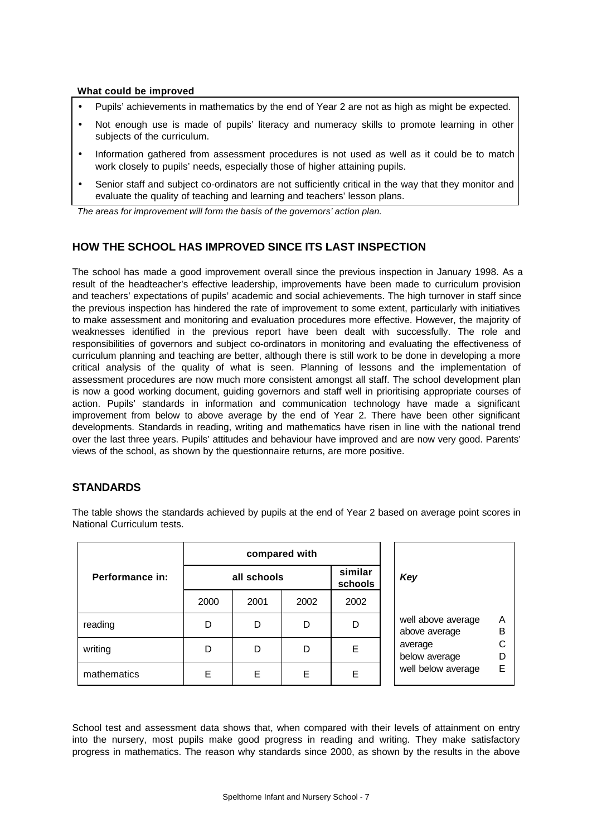### **What could be improved**

- Pupils' achievements in mathematics by the end of Year 2 are not as high as might be expected.
- Not enough use is made of pupils' literacy and numeracy skills to promote learning in other subjects of the curriculum.
- Information gathered from assessment procedures is not used as well as it could be to match work closely to pupils' needs, especially those of higher attaining pupils.
- Senior staff and subject co-ordinators are not sufficiently critical in the way that they monitor and evaluate the quality of teaching and learning and teachers' lesson plans.

*The areas for improvement will form the basis of the governors' action plan.*

## **HOW THE SCHOOL HAS IMPROVED SINCE ITS LAST INSPECTION**

The school has made a good improvement overall since the previous inspection in January 1998. As a result of the headteacher's effective leadership, improvements have been made to curriculum provision and teachers' expectations of pupils' academic and social achievements. The high turnover in staff since the previous inspection has hindered the rate of improvement to some extent, particularly with initiatives to make assessment and monitoring and evaluation procedures more effective. However, the majority of weaknesses identified in the previous report have been dealt with successfully. The role and responsibilities of governors and subject co-ordinators in monitoring and evaluating the effectiveness of curriculum planning and teaching are better, although there is still work to be done in developing a more critical analysis of the quality of what is seen. Planning of lessons and the implementation of assessment procedures are now much more consistent amongst all staff. The school development plan is now a good working document, guiding governors and staff well in prioritising appropriate courses of action. Pupils' standards in information and communication technology have made a significant improvement from below to above average by the end of Year 2. There have been other significant developments. Standards in reading, writing and mathematics have risen in line with the national trend over the last three years. Pupils' attitudes and behaviour have improved and are now very good. Parents' views of the school, as shown by the questionnaire returns, are more positive.

# **STANDARDS**

The table shows the standards achieved by pupils at the end of Year 2 based on average point scores in National Curriculum tests.

|                 | compared with                     |      |      |      |     |                 |
|-----------------|-----------------------------------|------|------|------|-----|-----------------|
| Performance in: | similar<br>all schools<br>schools |      |      |      | Key |                 |
|                 | 2000                              | 2001 | 2002 | 2002 |     |                 |
| reading         | D                                 | D    |      | D    |     | well a<br>above |
| writing         | D                                 | D    |      | Е    |     | avera<br>below  |
| mathematics     | E                                 | Е    | E    | Ε    |     | well b          |

| Key                                       |                                          |                       |
|-------------------------------------------|------------------------------------------|-----------------------|
| above average<br>average<br>below average | well above average<br>well below average | А<br>R<br>C<br>D<br>F |

School test and assessment data shows that, when compared with their levels of attainment on entry into the nursery, most pupils make good progress in reading and writing. They make satisfactory progress in mathematics. The reason why standards since 2000, as shown by the results in the above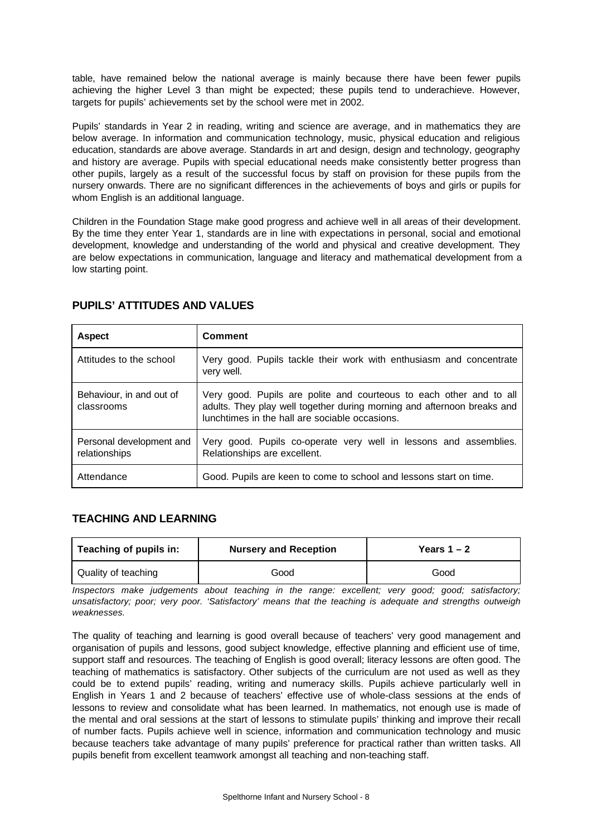table, have remained below the national average is mainly because there have been fewer pupils achieving the higher Level 3 than might be expected; these pupils tend to underachieve. However, targets for pupils' achievements set by the school were met in 2002.

Pupils' standards in Year 2 in reading, writing and science are average, and in mathematics they are below average. In information and communication technology, music, physical education and religious education, standards are above average. Standards in art and design, design and technology, geography and history are average. Pupils with special educational needs make consistently better progress than other pupils, largely as a result of the successful focus by staff on provision for these pupils from the nursery onwards. There are no significant differences in the achievements of boys and girls or pupils for whom English is an additional language.

Children in the Foundation Stage make good progress and achieve well in all areas of their development. By the time they enter Year 1, standards are in line with expectations in personal, social and emotional development, knowledge and understanding of the world and physical and creative development. They are below expectations in communication, language and literacy and mathematical development from a low starting point.

| <b>Aspect</b>                             | <b>Comment</b>                                                                                                                                                                                   |
|-------------------------------------------|--------------------------------------------------------------------------------------------------------------------------------------------------------------------------------------------------|
| Attitudes to the school                   | Very good. Pupils tackle their work with enthusiasm and concentrate<br>very well.                                                                                                                |
| Behaviour, in and out of<br>classrooms    | Very good. Pupils are polite and courteous to each other and to all<br>adults. They play well together during morning and afternoon breaks and<br>lunchtimes in the hall are sociable occasions. |
| Personal development and<br>relationships | Very good. Pupils co-operate very well in lessons and assemblies.<br>Relationships are excellent.                                                                                                |
| Attendance                                | Good. Pupils are keen to come to school and lessons start on time.                                                                                                                               |

## **PUPILS' ATTITUDES AND VALUES**

## **TEACHING AND LEARNING**

| Teaching of pupils in:<br><b>Nursery and Reception</b> |      | Years $1 - 2$ |
|--------------------------------------------------------|------|---------------|
| Quality of teaching                                    | Good | Good          |

*Inspectors make judgements about teaching in the range: excellent; very good; good; satisfactory; unsatisfactory; poor; very poor. 'Satisfactory' means that the teaching is adequate and strengths outweigh weaknesses.*

The quality of teaching and learning is good overall because of teachers' very good management and organisation of pupils and lessons, good subject knowledge, effective planning and efficient use of time, support staff and resources. The teaching of English is good overall; literacy lessons are often good. The teaching of mathematics is satisfactory. Other subjects of the curriculum are not used as well as they could be to extend pupils' reading, writing and numeracy skills. Pupils achieve particularly well in English in Years 1 and 2 because of teachers' effective use of whole-class sessions at the ends of lessons to review and consolidate what has been learned. In mathematics, not enough use is made of the mental and oral sessions at the start of lessons to stimulate pupils' thinking and improve their recall of number facts. Pupils achieve well in science, information and communication technology and music because teachers take advantage of many pupils' preference for practical rather than written tasks. All pupils benefit from excellent teamwork amongst all teaching and non-teaching staff.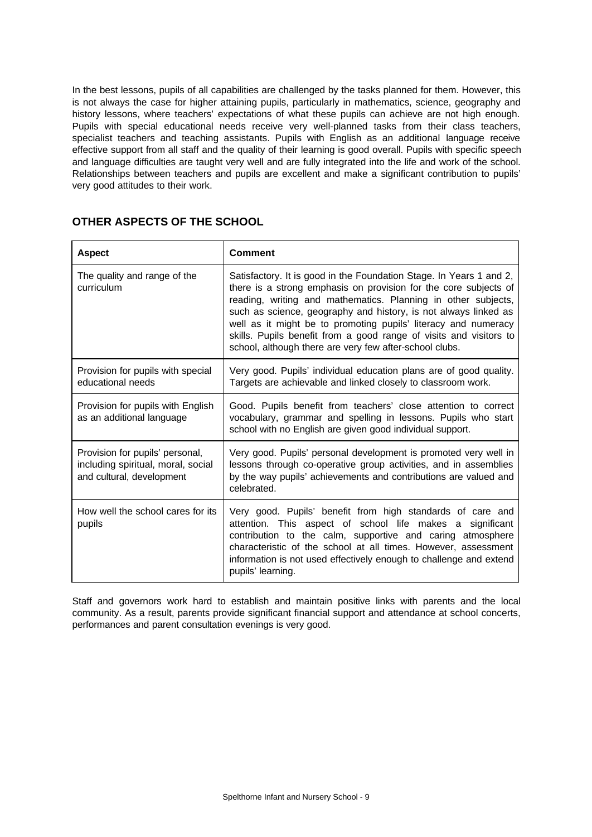In the best lessons, pupils of all capabilities are challenged by the tasks planned for them. However, this is not always the case for higher attaining pupils, particularly in mathematics, science, geography and history lessons, where teachers' expectations of what these pupils can achieve are not high enough. Pupils with special educational needs receive very well-planned tasks from their class teachers, specialist teachers and teaching assistants. Pupils with English as an additional language receive effective support from all staff and the quality of their learning is good overall. Pupils with specific speech and language difficulties are taught very well and are fully integrated into the life and work of the school. Relationships between teachers and pupils are excellent and make a significant contribution to pupils' very good attitudes to their work.

| <b>Aspect</b>                                                                                      | <b>Comment</b>                                                                                                                                                                                                                                                                                                                                                                                                                                                                 |
|----------------------------------------------------------------------------------------------------|--------------------------------------------------------------------------------------------------------------------------------------------------------------------------------------------------------------------------------------------------------------------------------------------------------------------------------------------------------------------------------------------------------------------------------------------------------------------------------|
| The quality and range of the<br>curriculum                                                         | Satisfactory. It is good in the Foundation Stage. In Years 1 and 2,<br>there is a strong emphasis on provision for the core subjects of<br>reading, writing and mathematics. Planning in other subjects,<br>such as science, geography and history, is not always linked as<br>well as it might be to promoting pupils' literacy and numeracy<br>skills. Pupils benefit from a good range of visits and visitors to<br>school, although there are very few after-school clubs. |
| Provision for pupils with special<br>educational needs                                             | Very good. Pupils' individual education plans are of good quality.<br>Targets are achievable and linked closely to classroom work.                                                                                                                                                                                                                                                                                                                                             |
| Provision for pupils with English<br>as an additional language                                     | Good. Pupils benefit from teachers' close attention to correct<br>vocabulary, grammar and spelling in lessons. Pupils who start<br>school with no English are given good individual support.                                                                                                                                                                                                                                                                                   |
| Provision for pupils' personal,<br>including spiritual, moral, social<br>and cultural, development | Very good. Pupils' personal development is promoted very well in<br>lessons through co-operative group activities, and in assemblies<br>by the way pupils' achievements and contributions are valued and<br>celebrated.                                                                                                                                                                                                                                                        |
| How well the school cares for its<br>pupils                                                        | Very good. Pupils' benefit from high standards of care and<br>attention. This aspect of school life makes a significant<br>contribution to the calm, supportive and caring atmosphere<br>characteristic of the school at all times. However, assessment<br>information is not used effectively enough to challenge and extend<br>pupils' learning.                                                                                                                             |

### **OTHER ASPECTS OF THE SCHOOL**

Staff and governors work hard to establish and maintain positive links with parents and the local community. As a result, parents provide significant financial support and attendance at school concerts, performances and parent consultation evenings is very good.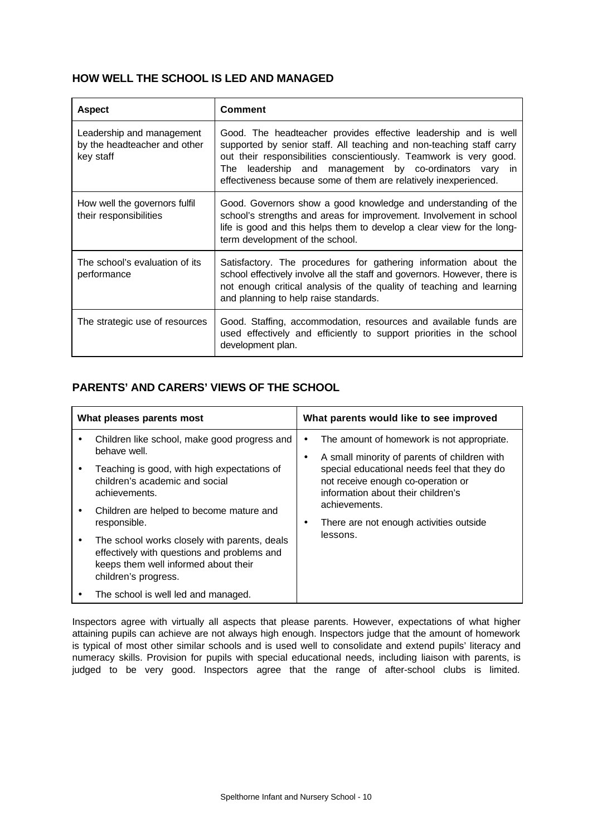## **HOW WELL THE SCHOOL IS LED AND MANAGED**

| <b>Aspect</b>                                                          | <b>Comment</b>                                                                                                                                                                                                                                                                                                                                 |
|------------------------------------------------------------------------|------------------------------------------------------------------------------------------------------------------------------------------------------------------------------------------------------------------------------------------------------------------------------------------------------------------------------------------------|
| Leadership and management<br>by the headteacher and other<br>key staff | Good. The headteacher provides effective leadership and is well<br>supported by senior staff. All teaching and non-teaching staff carry<br>out their responsibilities conscientiously. Teamwork is very good.<br>leadership and management by co-ordinators vary in<br>The<br>effectiveness because some of them are relatively inexperienced. |
| How well the governors fulfil<br>their responsibilities                | Good. Governors show a good knowledge and understanding of the<br>school's strengths and areas for improvement. Involvement in school<br>life is good and this helps them to develop a clear view for the long-<br>term development of the school.                                                                                             |
| The school's evaluation of its<br>performance                          | Satisfactory. The procedures for gathering information about the<br>school effectively involve all the staff and governors. However, there is<br>not enough critical analysis of the quality of teaching and learning<br>and planning to help raise standards.                                                                                 |
| The strategic use of resources                                         | Good. Staffing, accommodation, resources and available funds are<br>used effectively and efficiently to support priorities in the school<br>development plan.                                                                                                                                                                                  |

# **PARENTS' AND CARERS' VIEWS OF THE SCHOOL**

| What pleases parents most |                                                                                                                                                             | What parents would like to see improved |                                                                           |                                                                                                                         |                                         |
|---------------------------|-------------------------------------------------------------------------------------------------------------------------------------------------------------|-----------------------------------------|---------------------------------------------------------------------------|-------------------------------------------------------------------------------------------------------------------------|-----------------------------------------|
|                           | Children like school, make good progress and<br>behave well.                                                                                                |                                         | A small minority of parents of children with<br>achievements.<br>lessons. | The amount of homework is not appropriate.                                                                              |                                         |
|                           | Teaching is good, with high expectations of<br>children's academic and social<br>achievements.                                                              |                                         |                                                                           | special educational needs feel that they do<br>not receive enough co-operation or<br>information about their children's |                                         |
|                           | Children are helped to become mature and<br>responsible.                                                                                                    |                                         |                                                                           |                                                                                                                         | There are not enough activities outside |
|                           | The school works closely with parents, deals<br>effectively with questions and problems and<br>keeps them well informed about their<br>children's progress. |                                         |                                                                           |                                                                                                                         |                                         |
|                           | The school is well led and managed.                                                                                                                         |                                         |                                                                           |                                                                                                                         |                                         |

Inspectors agree with virtually all aspects that please parents. However, expectations of what higher attaining pupils can achieve are not always high enough. Inspectors judge that the amount of homework is typical of most other similar schools and is used well to consolidate and extend pupils' literacy and numeracy skills. Provision for pupils with special educational needs, including liaison with parents, is judged to be very good. Inspectors agree that the range of after-school clubs is limited.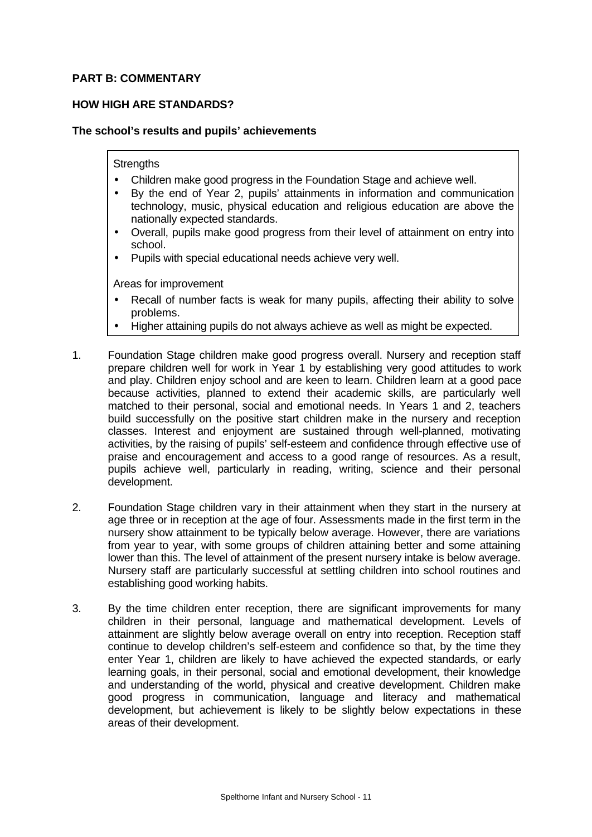## **PART B: COMMENTARY**

## **HOW HIGH ARE STANDARDS?**

### **The school's results and pupils' achievements**

### **Strengths**

- Children make good progress in the Foundation Stage and achieve well.
- By the end of Year 2, pupils' attainments in information and communication technology, music, physical education and religious education are above the nationally expected standards.
- Overall, pupils make good progress from their level of attainment on entry into school.
- Pupils with special educational needs achieve very well.

- Recall of number facts is weak for many pupils, affecting their ability to solve problems.
- Higher attaining pupils do not always achieve as well as might be expected.
- 1. Foundation Stage children make good progress overall. Nursery and reception staff prepare children well for work in Year 1 by establishing very good attitudes to work and play. Children enjoy school and are keen to learn. Children learn at a good pace because activities, planned to extend their academic skills, are particularly well matched to their personal, social and emotional needs. In Years 1 and 2, teachers build successfully on the positive start children make in the nursery and reception classes. Interest and enjoyment are sustained through well-planned, motivating activities, by the raising of pupils' self-esteem and confidence through effective use of praise and encouragement and access to a good range of resources. As a result, pupils achieve well, particularly in reading, writing, science and their personal development.
- 2. Foundation Stage children vary in their attainment when they start in the nursery at age three or in reception at the age of four. Assessments made in the first term in the nursery show attainment to be typically below average. However, there are variations from year to year, with some groups of children attaining better and some attaining lower than this. The level of attainment of the present nursery intake is below average. Nursery staff are particularly successful at settling children into school routines and establishing good working habits.
- 3. By the time children enter reception, there are significant improvements for many children in their personal, language and mathematical development. Levels of attainment are slightly below average overall on entry into reception. Reception staff continue to develop children's self-esteem and confidence so that, by the time they enter Year 1, children are likely to have achieved the expected standards, or early learning goals, in their personal, social and emotional development, their knowledge and understanding of the world, physical and creative development. Children make good progress in communication, language and literacy and mathematical development, but achievement is likely to be slightly below expectations in these areas of their development.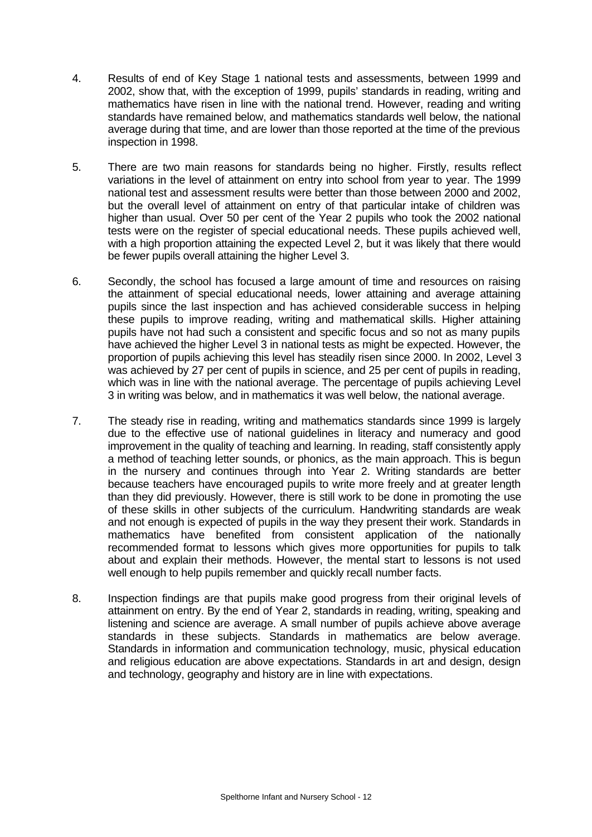- 4. Results of end of Key Stage 1 national tests and assessments, between 1999 and 2002, show that, with the exception of 1999, pupils' standards in reading, writing and mathematics have risen in line with the national trend. However, reading and writing standards have remained below, and mathematics standards well below, the national average during that time, and are lower than those reported at the time of the previous inspection in 1998.
- 5. There are two main reasons for standards being no higher. Firstly, results reflect variations in the level of attainment on entry into school from year to year. The 1999 national test and assessment results were better than those between 2000 and 2002, but the overall level of attainment on entry of that particular intake of children was higher than usual. Over 50 per cent of the Year 2 pupils who took the 2002 national tests were on the register of special educational needs. These pupils achieved well, with a high proportion attaining the expected Level 2, but it was likely that there would be fewer pupils overall attaining the higher Level 3.
- 6. Secondly, the school has focused a large amount of time and resources on raising the attainment of special educational needs, lower attaining and average attaining pupils since the last inspection and has achieved considerable success in helping these pupils to improve reading, writing and mathematical skills. Higher attaining pupils have not had such a consistent and specific focus and so not as many pupils have achieved the higher Level 3 in national tests as might be expected. However, the proportion of pupils achieving this level has steadily risen since 2000. In 2002, Level 3 was achieved by 27 per cent of pupils in science, and 25 per cent of pupils in reading, which was in line with the national average. The percentage of pupils achieving Level 3 in writing was below, and in mathematics it was well below, the national average.
- 7. The steady rise in reading, writing and mathematics standards since 1999 is largely due to the effective use of national guidelines in literacy and numeracy and good improvement in the quality of teaching and learning. In reading, staff consistently apply a method of teaching letter sounds, or phonics, as the main approach. This is begun in the nursery and continues through into Year 2. Writing standards are better because teachers have encouraged pupils to write more freely and at greater length than they did previously. However, there is still work to be done in promoting the use of these skills in other subjects of the curriculum. Handwriting standards are weak and not enough is expected of pupils in the way they present their work. Standards in mathematics have benefited from consistent application of the nationally recommended format to lessons which gives more opportunities for pupils to talk about and explain their methods. However, the mental start to lessons is not used well enough to help pupils remember and quickly recall number facts.
- 8. Inspection findings are that pupils make good progress from their original levels of attainment on entry. By the end of Year 2, standards in reading, writing, speaking and listening and science are average. A small number of pupils achieve above average standards in these subjects. Standards in mathematics are below average. Standards in information and communication technology, music, physical education and religious education are above expectations. Standards in art and design, design and technology, geography and history are in line with expectations.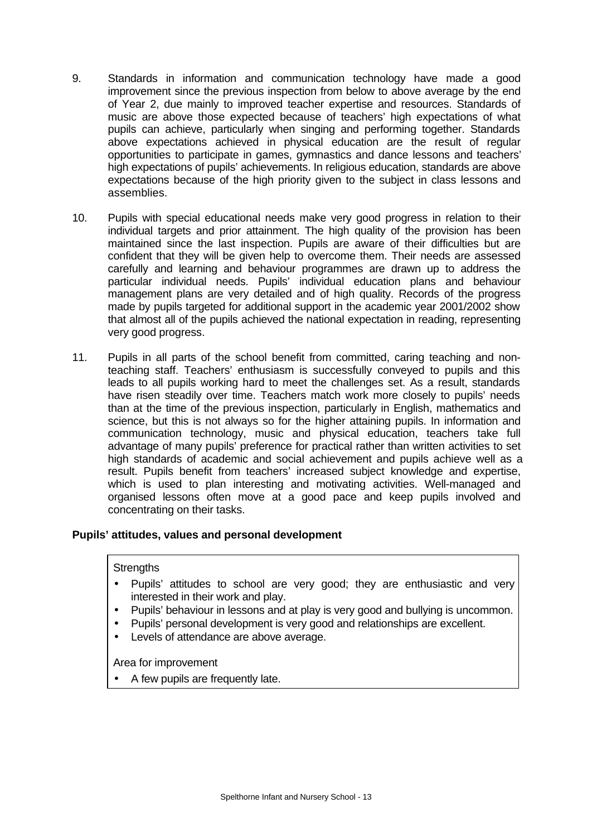- 9. Standards in information and communication technology have made a good improvement since the previous inspection from below to above average by the end of Year 2, due mainly to improved teacher expertise and resources. Standards of music are above those expected because of teachers' high expectations of what pupils can achieve, particularly when singing and performing together. Standards above expectations achieved in physical education are the result of regular opportunities to participate in games, gymnastics and dance lessons and teachers' high expectations of pupils' achievements. In religious education, standards are above expectations because of the high priority given to the subject in class lessons and assemblies.
- 10. Pupils with special educational needs make very good progress in relation to their individual targets and prior attainment. The high quality of the provision has been maintained since the last inspection. Pupils are aware of their difficulties but are confident that they will be given help to overcome them. Their needs are assessed carefully and learning and behaviour programmes are drawn up to address the particular individual needs. Pupils' individual education plans and behaviour management plans are very detailed and of high quality. Records of the progress made by pupils targeted for additional support in the academic year 2001/2002 show that almost all of the pupils achieved the national expectation in reading, representing very good progress.
- 11. Pupils in all parts of the school benefit from committed, caring teaching and nonteaching staff. Teachers' enthusiasm is successfully conveyed to pupils and this leads to all pupils working hard to meet the challenges set. As a result, standards have risen steadily over time. Teachers match work more closely to pupils' needs than at the time of the previous inspection, particularly in English, mathematics and science, but this is not always so for the higher attaining pupils. In information and communication technology, music and physical education, teachers take full advantage of many pupils' preference for practical rather than written activities to set high standards of academic and social achievement and pupils achieve well as a result. Pupils benefit from teachers' increased subject knowledge and expertise, which is used to plan interesting and motivating activities. Well-managed and organised lessons often move at a good pace and keep pupils involved and concentrating on their tasks.

## **Pupils' attitudes, values and personal development**

### **Strengths**

- Pupils' attitudes to school are very good; they are enthusiastic and very interested in their work and play.
- Pupils' behaviour in lessons and at play is very good and bullying is uncommon.
- Pupils' personal development is very good and relationships are excellent.
- Levels of attendance are above average.

Area for improvement

• A few pupils are frequently late.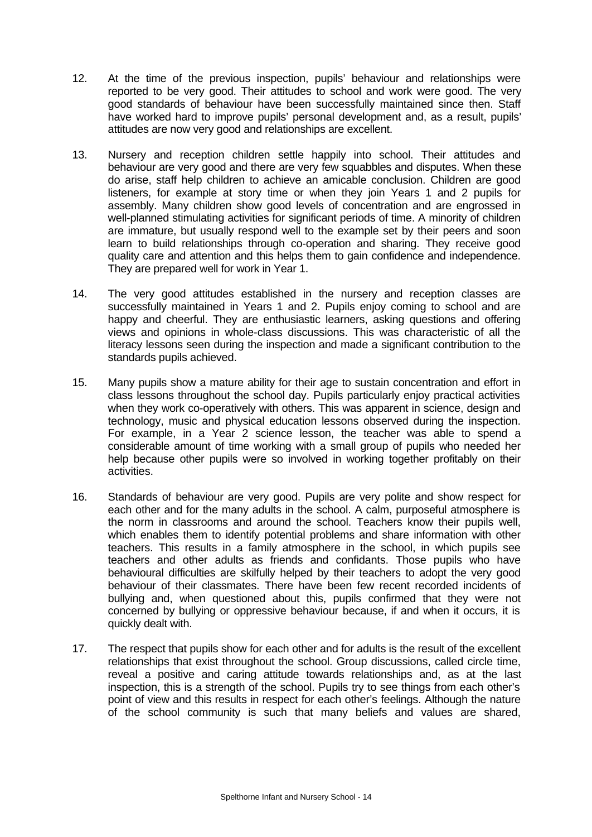- 12. At the time of the previous inspection, pupils' behaviour and relationships were reported to be very good. Their attitudes to school and work were good. The very good standards of behaviour have been successfully maintained since then. Staff have worked hard to improve pupils' personal development and, as a result, pupils' attitudes are now very good and relationships are excellent.
- 13. Nursery and reception children settle happily into school. Their attitudes and behaviour are very good and there are very few squabbles and disputes. When these do arise, staff help children to achieve an amicable conclusion. Children are good listeners, for example at story time or when they join Years 1 and 2 pupils for assembly. Many children show good levels of concentration and are engrossed in well-planned stimulating activities for significant periods of time. A minority of children are immature, but usually respond well to the example set by their peers and soon learn to build relationships through co-operation and sharing. They receive good quality care and attention and this helps them to gain confidence and independence. They are prepared well for work in Year 1.
- 14. The very good attitudes established in the nursery and reception classes are successfully maintained in Years 1 and 2. Pupils enjoy coming to school and are happy and cheerful. They are enthusiastic learners, asking questions and offering views and opinions in whole-class discussions. This was characteristic of all the literacy lessons seen during the inspection and made a significant contribution to the standards pupils achieved.
- 15. Many pupils show a mature ability for their age to sustain concentration and effort in class lessons throughout the school day. Pupils particularly enjoy practical activities when they work co-operatively with others. This was apparent in science, design and technology, music and physical education lessons observed during the inspection. For example, in a Year 2 science lesson, the teacher was able to spend a considerable amount of time working with a small group of pupils who needed her help because other pupils were so involved in working together profitably on their activities.
- 16. Standards of behaviour are very good. Pupils are very polite and show respect for each other and for the many adults in the school. A calm, purposeful atmosphere is the norm in classrooms and around the school. Teachers know their pupils well, which enables them to identify potential problems and share information with other teachers. This results in a family atmosphere in the school, in which pupils see teachers and other adults as friends and confidants. Those pupils who have behavioural difficulties are skilfully helped by their teachers to adopt the very good behaviour of their classmates. There have been few recent recorded incidents of bullying and, when questioned about this, pupils confirmed that they were not concerned by bullying or oppressive behaviour because, if and when it occurs, it is quickly dealt with.
- 17. The respect that pupils show for each other and for adults is the result of the excellent relationships that exist throughout the school. Group discussions, called circle time, reveal a positive and caring attitude towards relationships and, as at the last inspection, this is a strength of the school. Pupils try to see things from each other's point of view and this results in respect for each other's feelings. Although the nature of the school community is such that many beliefs and values are shared,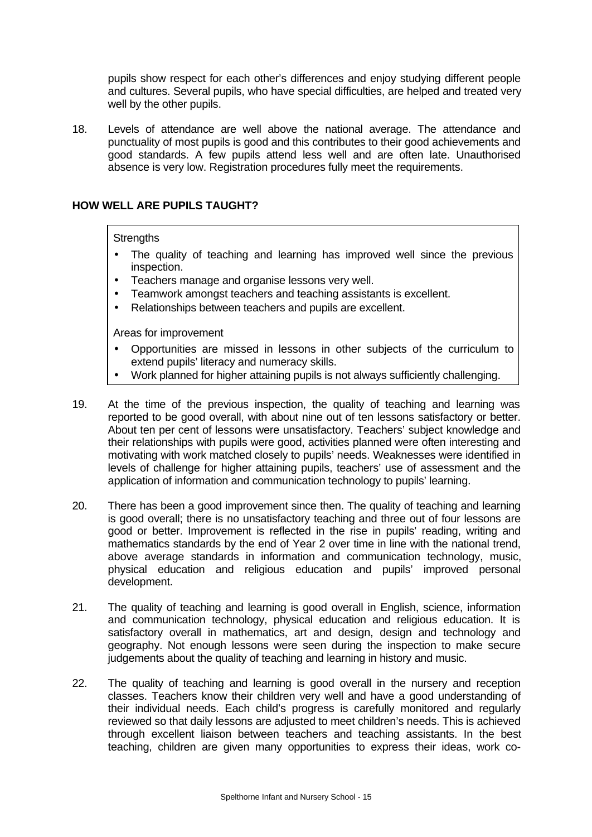pupils show respect for each other's differences and enjoy studying different people and cultures. Several pupils, who have special difficulties, are helped and treated very well by the other pupils.

18. Levels of attendance are well above the national average. The attendance and punctuality of most pupils is good and this contributes to their good achievements and good standards. A few pupils attend less well and are often late. Unauthorised absence is very low. Registration procedures fully meet the requirements.

### **HOW WELL ARE PUPILS TAUGHT?**

### **Strengths**

- The quality of teaching and learning has improved well since the previous inspection.
- Teachers manage and organise lessons very well.
- Teamwork amongst teachers and teaching assistants is excellent.
- Relationships between teachers and pupils are excellent.

- Opportunities are missed in lessons in other subjects of the curriculum to extend pupils' literacy and numeracy skills.
- Work planned for higher attaining pupils is not always sufficiently challenging.
- 19. At the time of the previous inspection, the quality of teaching and learning was reported to be good overall, with about nine out of ten lessons satisfactory or better. About ten per cent of lessons were unsatisfactory. Teachers' subject knowledge and their relationships with pupils were good, activities planned were often interesting and motivating with work matched closely to pupils' needs. Weaknesses were identified in levels of challenge for higher attaining pupils, teachers' use of assessment and the application of information and communication technology to pupils' learning.
- 20. There has been a good improvement since then. The quality of teaching and learning is good overall; there is no unsatisfactory teaching and three out of four lessons are good or better. Improvement is reflected in the rise in pupils' reading, writing and mathematics standards by the end of Year 2 over time in line with the national trend, above average standards in information and communication technology, music, physical education and religious education and pupils' improved personal development.
- 21. The quality of teaching and learning is good overall in English, science, information and communication technology, physical education and religious education. It is satisfactory overall in mathematics, art and design, design and technology and geography. Not enough lessons were seen during the inspection to make secure judgements about the quality of teaching and learning in history and music.
- 22. The quality of teaching and learning is good overall in the nursery and reception classes. Teachers know their children very well and have a good understanding of their individual needs. Each child's progress is carefully monitored and regularly reviewed so that daily lessons are adjusted to meet children's needs. This is achieved through excellent liaison between teachers and teaching assistants. In the best teaching, children are given many opportunities to express their ideas, work co-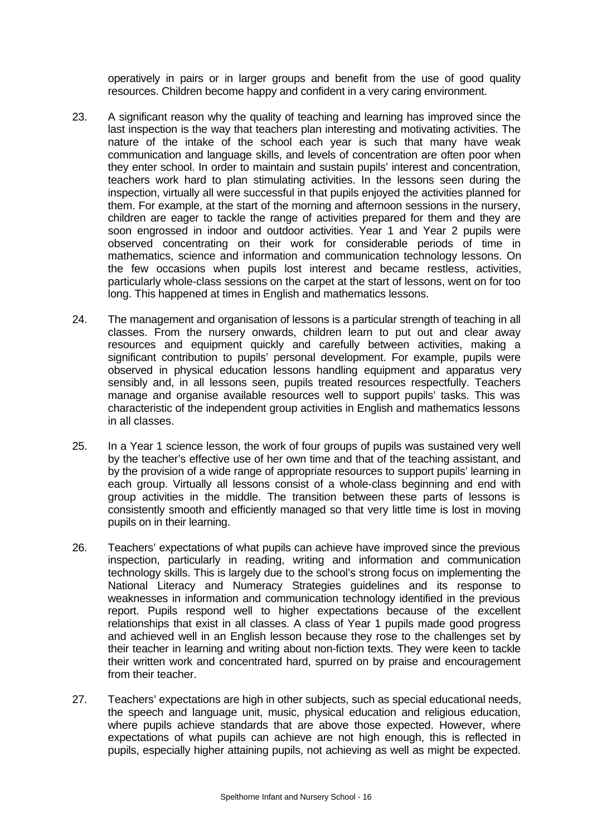operatively in pairs or in larger groups and benefit from the use of good quality resources. Children become happy and confident in a very caring environment.

- 23. A significant reason why the quality of teaching and learning has improved since the last inspection is the way that teachers plan interesting and motivating activities. The nature of the intake of the school each year is such that many have weak communication and language skills, and levels of concentration are often poor when they enter school. In order to maintain and sustain pupils' interest and concentration, teachers work hard to plan stimulating activities. In the lessons seen during the inspection, virtually all were successful in that pupils enjoyed the activities planned for them. For example, at the start of the morning and afternoon sessions in the nursery, children are eager to tackle the range of activities prepared for them and they are soon engrossed in indoor and outdoor activities. Year 1 and Year 2 pupils were observed concentrating on their work for considerable periods of time in mathematics, science and information and communication technology lessons. On the few occasions when pupils lost interest and became restless, activities, particularly whole-class sessions on the carpet at the start of lessons, went on for too long. This happened at times in English and mathematics lessons.
- 24. The management and organisation of lessons is a particular strength of teaching in all classes. From the nursery onwards, children learn to put out and clear away resources and equipment quickly and carefully between activities, making a significant contribution to pupils' personal development. For example, pupils were observed in physical education lessons handling equipment and apparatus very sensibly and, in all lessons seen, pupils treated resources respectfully. Teachers manage and organise available resources well to support pupils' tasks. This was characteristic of the independent group activities in English and mathematics lessons in all classes.
- 25. In a Year 1 science lesson, the work of four groups of pupils was sustained very well by the teacher's effective use of her own time and that of the teaching assistant, and by the provision of a wide range of appropriate resources to support pupils' learning in each group. Virtually all lessons consist of a whole-class beginning and end with group activities in the middle. The transition between these parts of lessons is consistently smooth and efficiently managed so that very little time is lost in moving pupils on in their learning.
- 26. Teachers' expectations of what pupils can achieve have improved since the previous inspection, particularly in reading, writing and information and communication technology skills. This is largely due to the school's strong focus on implementing the National Literacy and Numeracy Strategies guidelines and its response to weaknesses in information and communication technology identified in the previous report. Pupils respond well to higher expectations because of the excellent relationships that exist in all classes. A class of Year 1 pupils made good progress and achieved well in an English lesson because they rose to the challenges set by their teacher in learning and writing about non-fiction texts. They were keen to tackle their written work and concentrated hard, spurred on by praise and encouragement from their teacher.
- 27. Teachers' expectations are high in other subjects, such as special educational needs, the speech and language unit, music, physical education and religious education, where pupils achieve standards that are above those expected. However, where expectations of what pupils can achieve are not high enough, this is reflected in pupils, especially higher attaining pupils, not achieving as well as might be expected.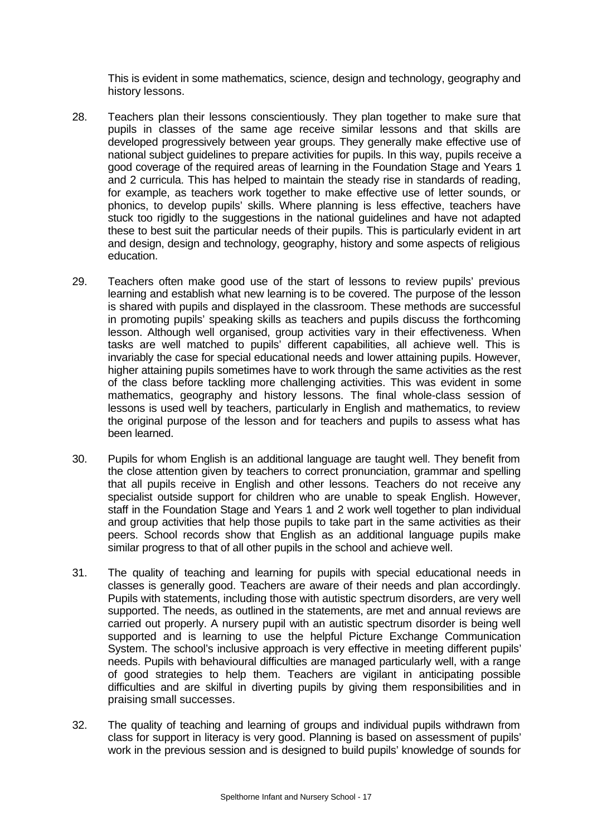This is evident in some mathematics, science, design and technology, geography and history lessons.

- 28. Teachers plan their lessons conscientiously. They plan together to make sure that pupils in classes of the same age receive similar lessons and that skills are developed progressively between year groups. They generally make effective use of national subject guidelines to prepare activities for pupils. In this way, pupils receive a good coverage of the required areas of learning in the Foundation Stage and Years 1 and 2 curricula. This has helped to maintain the steady rise in standards of reading, for example, as teachers work together to make effective use of letter sounds, or phonics, to develop pupils' skills. Where planning is less effective, teachers have stuck too rigidly to the suggestions in the national guidelines and have not adapted these to best suit the particular needs of their pupils. This is particularly evident in art and design, design and technology, geography, history and some aspects of religious education.
- 29. Teachers often make good use of the start of lessons to review pupils' previous learning and establish what new learning is to be covered. The purpose of the lesson is shared with pupils and displayed in the classroom. These methods are successful in promoting pupils' speaking skills as teachers and pupils discuss the forthcoming lesson. Although well organised, group activities vary in their effectiveness. When tasks are well matched to pupils' different capabilities, all achieve well. This is invariably the case for special educational needs and lower attaining pupils. However, higher attaining pupils sometimes have to work through the same activities as the rest of the class before tackling more challenging activities. This was evident in some mathematics, geography and history lessons. The final whole-class session of lessons is used well by teachers, particularly in English and mathematics, to review the original purpose of the lesson and for teachers and pupils to assess what has been learned.
- 30. Pupils for whom English is an additional language are taught well. They benefit from the close attention given by teachers to correct pronunciation, grammar and spelling that all pupils receive in English and other lessons. Teachers do not receive any specialist outside support for children who are unable to speak English. However, staff in the Foundation Stage and Years 1 and 2 work well together to plan individual and group activities that help those pupils to take part in the same activities as their peers. School records show that English as an additional language pupils make similar progress to that of all other pupils in the school and achieve well.
- 31. The quality of teaching and learning for pupils with special educational needs in classes is generally good. Teachers are aware of their needs and plan accordingly. Pupils with statements, including those with autistic spectrum disorders, are very well supported. The needs, as outlined in the statements, are met and annual reviews are carried out properly. A nursery pupil with an autistic spectrum disorder is being well supported and is learning to use the helpful Picture Exchange Communication System. The school's inclusive approach is very effective in meeting different pupils' needs. Pupils with behavioural difficulties are managed particularly well, with a range of good strategies to help them. Teachers are vigilant in anticipating possible difficulties and are skilful in diverting pupils by giving them responsibilities and in praising small successes.
- 32. The quality of teaching and learning of groups and individual pupils withdrawn from class for support in literacy is very good. Planning is based on assessment of pupils' work in the previous session and is designed to build pupils' knowledge of sounds for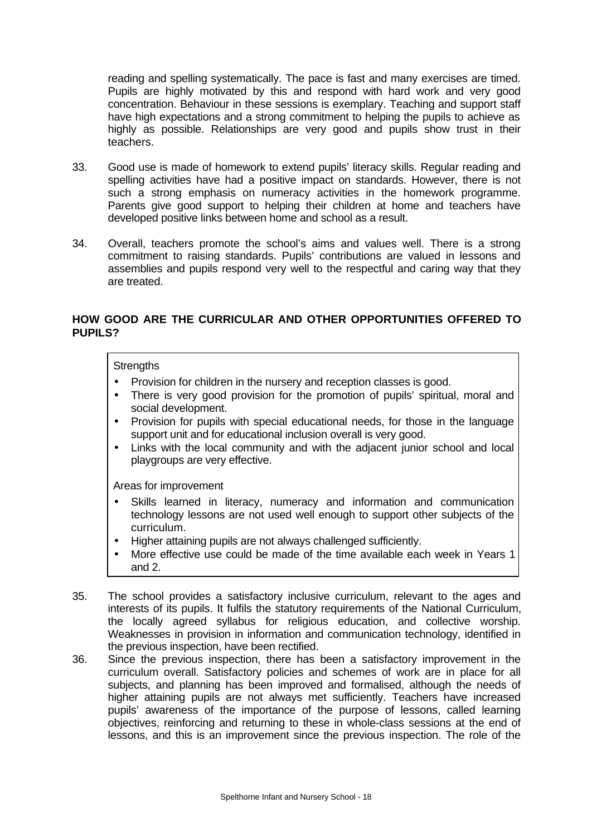reading and spelling systematically. The pace is fast and many exercises are timed. Pupils are highly motivated by this and respond with hard work and very good concentration. Behaviour in these sessions is exemplary. Teaching and support staff have high expectations and a strong commitment to helping the pupils to achieve as highly as possible. Relationships are very good and pupils show trust in their teachers.

- 33. Good use is made of homework to extend pupils' literacy skills. Regular reading and spelling activities have had a positive impact on standards. However, there is not such a strong emphasis on numeracy activities in the homework programme. Parents give good support to helping their children at home and teachers have developed positive links between home and school as a result.
- 34. Overall, teachers promote the school's aims and values well. There is a strong commitment to raising standards. Pupils' contributions are valued in lessons and assemblies and pupils respond very well to the respectful and caring way that they are treated.

## **HOW GOOD ARE THE CURRICULAR AND OTHER OPPORTUNITIES OFFERED TO PUPILS?**

### **Strengths**

- Provision for children in the nursery and reception classes is good.
- There is very good provision for the promotion of pupils' spiritual, moral and social development.
- Provision for pupils with special educational needs, for those in the language support unit and for educational inclusion overall is very good.
- Links with the local community and with the adjacent junior school and local playgroups are very effective.

- Skills learned in literacy, numeracy and information and communication technology lessons are not used well enough to support other subjects of the curriculum.
- Higher attaining pupils are not always challenged sufficiently.
- More effective use could be made of the time available each week in Years 1 and 2.
- 35. The school provides a satisfactory inclusive curriculum, relevant to the ages and interests of its pupils. It fulfils the statutory requirements of the National Curriculum, the locally agreed syllabus for religious education, and collective worship. Weaknesses in provision in information and communication technology, identified in the previous inspection, have been rectified.
- 36. Since the previous inspection, there has been a satisfactory improvement in the curriculum overall. Satisfactory policies and schemes of work are in place for all subjects, and planning has been improved and formalised, although the needs of higher attaining pupils are not always met sufficiently. Teachers have increased pupils' awareness of the importance of the purpose of lessons, called learning objectives, reinforcing and returning to these in whole-class sessions at the end of lessons, and this is an improvement since the previous inspection. The role of the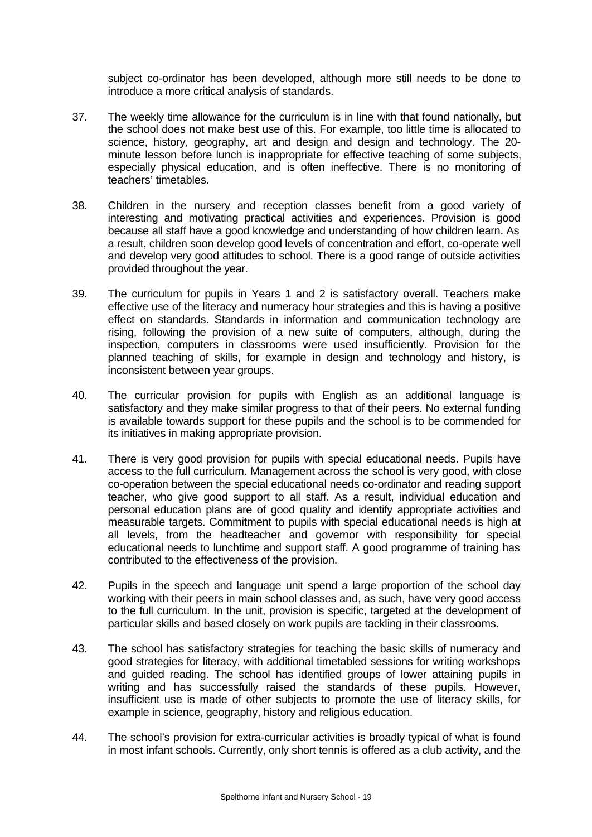subject co-ordinator has been developed, although more still needs to be done to introduce a more critical analysis of standards.

- 37. The weekly time allowance for the curriculum is in line with that found nationally, but the school does not make best use of this. For example, too little time is allocated to science, history, geography, art and design and design and technology. The 20 minute lesson before lunch is inappropriate for effective teaching of some subjects, especially physical education, and is often ineffective. There is no monitoring of teachers' timetables.
- 38. Children in the nursery and reception classes benefit from a good variety of interesting and motivating practical activities and experiences. Provision is good because all staff have a good knowledge and understanding of how children learn. As a result, children soon develop good levels of concentration and effort, co-operate well and develop very good attitudes to school. There is a good range of outside activities provided throughout the year.
- 39. The curriculum for pupils in Years 1 and 2 is satisfactory overall. Teachers make effective use of the literacy and numeracy hour strategies and this is having a positive effect on standards. Standards in information and communication technology are rising, following the provision of a new suite of computers, although, during the inspection, computers in classrooms were used insufficiently. Provision for the planned teaching of skills, for example in design and technology and history, is inconsistent between year groups.
- 40. The curricular provision for pupils with English as an additional language is satisfactory and they make similar progress to that of their peers. No external funding is available towards support for these pupils and the school is to be commended for its initiatives in making appropriate provision.
- 41. There is very good provision for pupils with special educational needs. Pupils have access to the full curriculum. Management across the school is very good, with close co-operation between the special educational needs co-ordinator and reading support teacher, who give good support to all staff. As a result, individual education and personal education plans are of good quality and identify appropriate activities and measurable targets. Commitment to pupils with special educational needs is high at all levels, from the headteacher and governor with responsibility for special educational needs to lunchtime and support staff. A good programme of training has contributed to the effectiveness of the provision.
- 42. Pupils in the speech and language unit spend a large proportion of the school day working with their peers in main school classes and, as such, have very good access to the full curriculum. In the unit, provision is specific, targeted at the development of particular skills and based closely on work pupils are tackling in their classrooms.
- 43. The school has satisfactory strategies for teaching the basic skills of numeracy and good strategies for literacy, with additional timetabled sessions for writing workshops and guided reading. The school has identified groups of lower attaining pupils in writing and has successfully raised the standards of these pupils. However, insufficient use is made of other subjects to promote the use of literacy skills, for example in science, geography, history and religious education.
- 44. The school's provision for extra-curricular activities is broadly typical of what is found in most infant schools. Currently, only short tennis is offered as a club activity, and the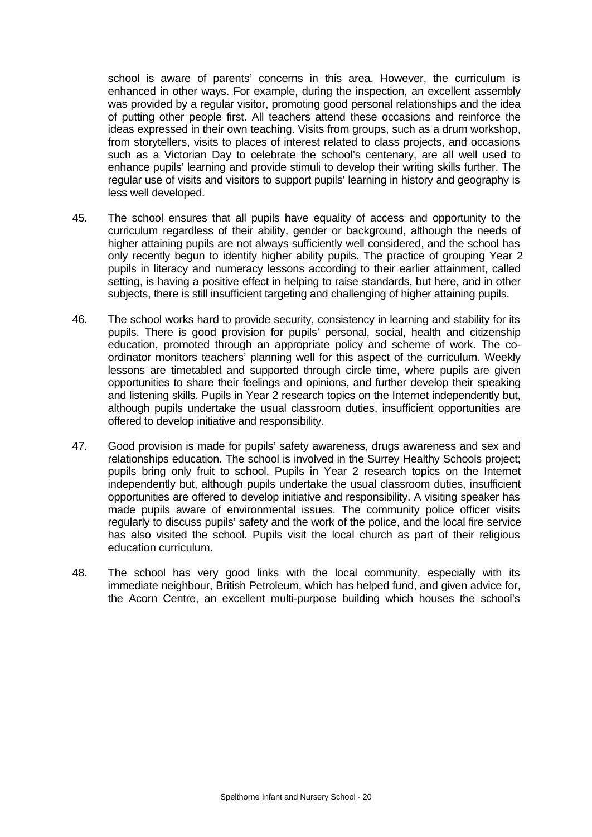school is aware of parents' concerns in this area. However, the curriculum is enhanced in other ways. For example, during the inspection, an excellent assembly was provided by a regular visitor, promoting good personal relationships and the idea of putting other people first. All teachers attend these occasions and reinforce the ideas expressed in their own teaching. Visits from groups, such as a drum workshop, from storytellers, visits to places of interest related to class projects, and occasions such as a Victorian Day to celebrate the school's centenary, are all well used to enhance pupils' learning and provide stimuli to develop their writing skills further. The regular use of visits and visitors to support pupils' learning in history and geography is less well developed.

- 45. The school ensures that all pupils have equality of access and opportunity to the curriculum regardless of their ability, gender or background, although the needs of higher attaining pupils are not always sufficiently well considered, and the school has only recently begun to identify higher ability pupils. The practice of grouping Year 2 pupils in literacy and numeracy lessons according to their earlier attainment, called setting, is having a positive effect in helping to raise standards, but here, and in other subjects, there is still insufficient targeting and challenging of higher attaining pupils.
- 46. The school works hard to provide security, consistency in learning and stability for its pupils. There is good provision for pupils' personal, social, health and citizenship education, promoted through an appropriate policy and scheme of work. The coordinator monitors teachers' planning well for this aspect of the curriculum. Weekly lessons are timetabled and supported through circle time, where pupils are given opportunities to share their feelings and opinions, and further develop their speaking and listening skills. Pupils in Year 2 research topics on the Internet independently but, although pupils undertake the usual classroom duties, insufficient opportunities are offered to develop initiative and responsibility.
- 47. Good provision is made for pupils' safety awareness, drugs awareness and sex and relationships education. The school is involved in the Surrey Healthy Schools project; pupils bring only fruit to school. Pupils in Year 2 research topics on the Internet independently but, although pupils undertake the usual classroom duties, insufficient opportunities are offered to develop initiative and responsibility. A visiting speaker has made pupils aware of environmental issues. The community police officer visits regularly to discuss pupils' safety and the work of the police, and the local fire service has also visited the school. Pupils visit the local church as part of their religious education curriculum.
- 48. The school has very good links with the local community, especially with its immediate neighbour, British Petroleum, which has helped fund, and given advice for, the Acorn Centre, an excellent multi-purpose building which houses the school's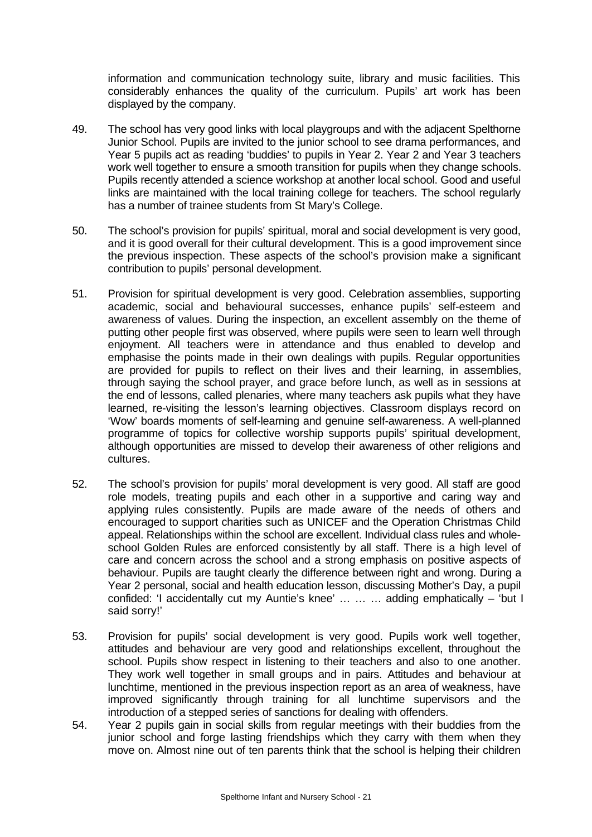information and communication technology suite, library and music facilities. This considerably enhances the quality of the curriculum. Pupils' art work has been displayed by the company.

- 49. The school has very good links with local playgroups and with the adjacent Spelthorne Junior School. Pupils are invited to the junior school to see drama performances, and Year 5 pupils act as reading 'buddies' to pupils in Year 2. Year 2 and Year 3 teachers work well together to ensure a smooth transition for pupils when they change schools. Pupils recently attended a science workshop at another local school. Good and useful links are maintained with the local training college for teachers. The school regularly has a number of trainee students from St Mary's College.
- 50. The school's provision for pupils' spiritual, moral and social development is very good, and it is good overall for their cultural development. This is a good improvement since the previous inspection. These aspects of the school's provision make a significant contribution to pupils' personal development.
- 51. Provision for spiritual development is very good. Celebration assemblies, supporting academic, social and behavioural successes, enhance pupils' self-esteem and awareness of values. During the inspection, an excellent assembly on the theme of putting other people first was observed, where pupils were seen to learn well through enjoyment. All teachers were in attendance and thus enabled to develop and emphasise the points made in their own dealings with pupils. Regular opportunities are provided for pupils to reflect on their lives and their learning, in assemblies, through saying the school prayer, and grace before lunch, as well as in sessions at the end of lessons, called plenaries, where many teachers ask pupils what they have learned, re-visiting the lesson's learning objectives. Classroom displays record on 'Wow' boards moments of self-learning and genuine self-awareness. A well-planned programme of topics for collective worship supports pupils' spiritual development, although opportunities are missed to develop their awareness of other religions and cultures.
- 52. The school's provision for pupils' moral development is very good. All staff are good role models, treating pupils and each other in a supportive and caring way and applying rules consistently. Pupils are made aware of the needs of others and encouraged to support charities such as UNICEF and the Operation Christmas Child appeal. Relationships within the school are excellent. Individual class rules and wholeschool Golden Rules are enforced consistently by all staff. There is a high level of care and concern across the school and a strong emphasis on positive aspects of behaviour. Pupils are taught clearly the difference between right and wrong. During a Year 2 personal, social and health education lesson, discussing Mother's Day, a pupil confided: 'I accidentally cut my Auntie's knee' … … … adding emphatically – 'but I said sorry!'
- 53. Provision for pupils' social development is very good. Pupils work well together, attitudes and behaviour are very good and relationships excellent, throughout the school. Pupils show respect in listening to their teachers and also to one another. They work well together in small groups and in pairs. Attitudes and behaviour at lunchtime, mentioned in the previous inspection report as an area of weakness, have improved significantly through training for all lunchtime supervisors and the introduction of a stepped series of sanctions for dealing with offenders.
- 54. Year 2 pupils gain in social skills from regular meetings with their buddies from the junior school and forge lasting friendships which they carry with them when they move on. Almost nine out of ten parents think that the school is helping their children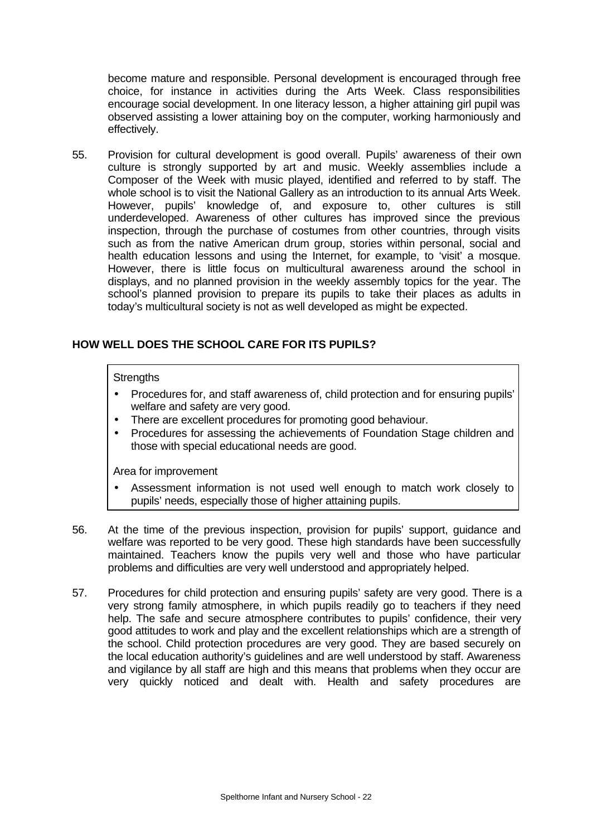become mature and responsible. Personal development is encouraged through free choice, for instance in activities during the Arts Week. Class responsibilities encourage social development. In one literacy lesson, a higher attaining girl pupil was observed assisting a lower attaining boy on the computer, working harmoniously and effectively.

55. Provision for cultural development is good overall. Pupils' awareness of their own culture is strongly supported by art and music. Weekly assemblies include a Composer of the Week with music played, identified and referred to by staff. The whole school is to visit the National Gallery as an introduction to its annual Arts Week. However, pupils' knowledge of, and exposure to, other cultures is still underdeveloped. Awareness of other cultures has improved since the previous inspection, through the purchase of costumes from other countries, through visits such as from the native American drum group, stories within personal, social and health education lessons and using the Internet, for example, to 'visit' a mosque. However, there is little focus on multicultural awareness around the school in displays, and no planned provision in the weekly assembly topics for the year. The school's planned provision to prepare its pupils to take their places as adults in today's multicultural society is not as well developed as might be expected.

## **HOW WELL DOES THE SCHOOL CARE FOR ITS PUPILS?**

### **Strengths**

- Procedures for, and staff awareness of, child protection and for ensuring pupils' welfare and safety are very good.
- There are excellent procedures for promoting good behaviour.
- Procedures for assessing the achievements of Foundation Stage children and those with special educational needs are good.

- Assessment information is not used well enough to match work closely to pupils' needs, especially those of higher attaining pupils.
- 56. At the time of the previous inspection, provision for pupils' support, guidance and welfare was reported to be very good. These high standards have been successfully maintained. Teachers know the pupils very well and those who have particular problems and difficulties are very well understood and appropriately helped.
- 57. Procedures for child protection and ensuring pupils' safety are very good. There is a very strong family atmosphere, in which pupils readily go to teachers if they need help. The safe and secure atmosphere contributes to pupils' confidence, their very good attitudes to work and play and the excellent relationships which are a strength of the school. Child protection procedures are very good. They are based securely on the local education authority's guidelines and are well understood by staff. Awareness and vigilance by all staff are high and this means that problems when they occur are very quickly noticed and dealt with. Health and safety procedures are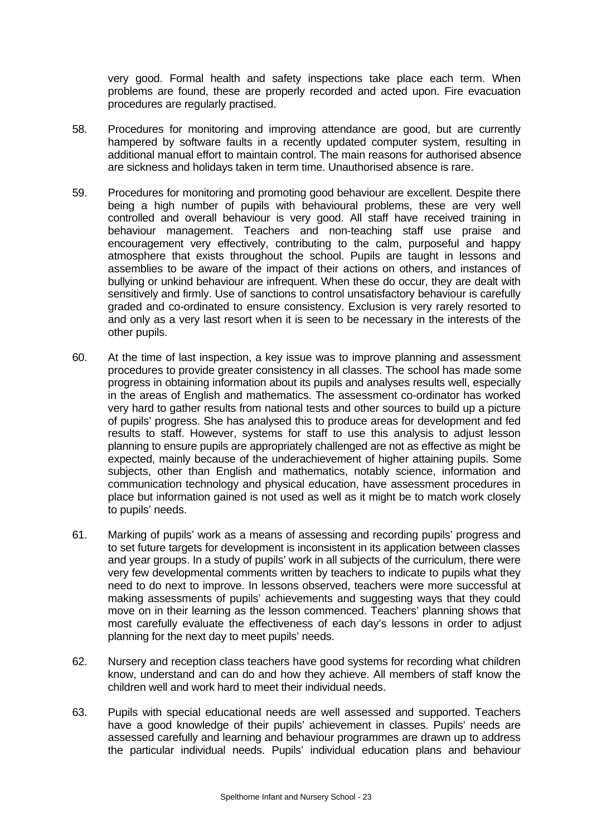very good. Formal health and safety inspections take place each term. When problems are found, these are properly recorded and acted upon. Fire evacuation procedures are regularly practised.

- 58. Procedures for monitoring and improving attendance are good, but are currently hampered by software faults in a recently updated computer system, resulting in additional manual effort to maintain control. The main reasons for authorised absence are sickness and holidays taken in term time. Unauthorised absence is rare.
- 59. Procedures for monitoring and promoting good behaviour are excellent. Despite there being a high number of pupils with behavioural problems, these are very well controlled and overall behaviour is very good. All staff have received training in behaviour management. Teachers and non-teaching staff use praise and encouragement very effectively, contributing to the calm, purposeful and happy atmosphere that exists throughout the school. Pupils are taught in lessons and assemblies to be aware of the impact of their actions on others, and instances of bullying or unkind behaviour are infrequent. When these do occur, they are dealt with sensitively and firmly. Use of sanctions to control unsatisfactory behaviour is carefully graded and co-ordinated to ensure consistency. Exclusion is very rarely resorted to and only as a very last resort when it is seen to be necessary in the interests of the other pupils.
- 60. At the time of last inspection, a key issue was to improve planning and assessment procedures to provide greater consistency in all classes. The school has made some progress in obtaining information about its pupils and analyses results well, especially in the areas of English and mathematics. The assessment co-ordinator has worked very hard to gather results from national tests and other sources to build up a picture of pupils' progress. She has analysed this to produce areas for development and fed results to staff. However, systems for staff to use this analysis to adjust lesson planning to ensure pupils are appropriately challenged are not as effective as might be expected, mainly because of the underachievement of higher attaining pupils. Some subjects, other than English and mathematics, notably science, information and communication technology and physical education, have assessment procedures in place but information gained is not used as well as it might be to match work closely to pupils' needs.
- 61. Marking of pupils' work as a means of assessing and recording pupils' progress and to set future targets for development is inconsistent in its application between classes and year groups. In a study of pupils' work in all subjects of the curriculum, there were very few developmental comments written by teachers to indicate to pupils what they need to do next to improve. In lessons observed, teachers were more successful at making assessments of pupils' achievements and suggesting ways that they could move on in their learning as the lesson commenced. Teachers' planning shows that most carefully evaluate the effectiveness of each day's lessons in order to adjust planning for the next day to meet pupils' needs.
- 62. Nursery and reception class teachers have good systems for recording what children know, understand and can do and how they achieve. All members of staff know the children well and work hard to meet their individual needs.
- 63. Pupils with special educational needs are well assessed and supported. Teachers have a good knowledge of their pupils' achievement in classes. Pupils' needs are assessed carefully and learning and behaviour programmes are drawn up to address the particular individual needs. Pupils' individual education plans and behaviour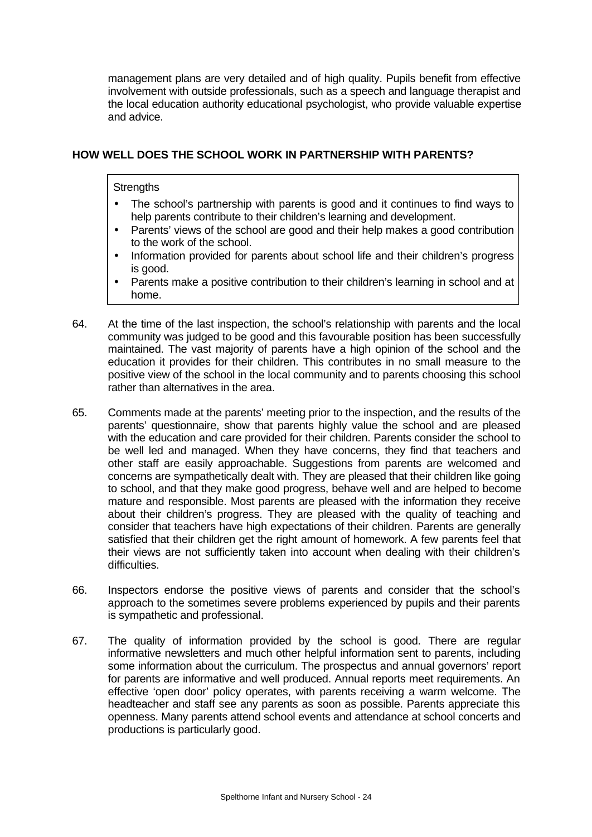management plans are very detailed and of high quality. Pupils benefit from effective involvement with outside professionals, such as a speech and language therapist and the local education authority educational psychologist, who provide valuable expertise and advice.

## **HOW WELL DOES THE SCHOOL WORK IN PARTNERSHIP WITH PARENTS?**

### **Strengths**

- The school's partnership with parents is good and it continues to find ways to help parents contribute to their children's learning and development.
- Parents' views of the school are good and their help makes a good contribution to the work of the school.
- Information provided for parents about school life and their children's progress is good.
- Parents make a positive contribution to their children's learning in school and at home.
- 64. At the time of the last inspection, the school's relationship with parents and the local community was judged to be good and this favourable position has been successfully maintained. The vast majority of parents have a high opinion of the school and the education it provides for their children. This contributes in no small measure to the positive view of the school in the local community and to parents choosing this school rather than alternatives in the area.
- 65. Comments made at the parents' meeting prior to the inspection, and the results of the parents' questionnaire, show that parents highly value the school and are pleased with the education and care provided for their children. Parents consider the school to be well led and managed. When they have concerns, they find that teachers and other staff are easily approachable. Suggestions from parents are welcomed and concerns are sympathetically dealt with. They are pleased that their children like going to school, and that they make good progress, behave well and are helped to become mature and responsible. Most parents are pleased with the information they receive about their children's progress. They are pleased with the quality of teaching and consider that teachers have high expectations of their children. Parents are generally satisfied that their children get the right amount of homework. A few parents feel that their views are not sufficiently taken into account when dealing with their children's difficulties.
- 66. Inspectors endorse the positive views of parents and consider that the school's approach to the sometimes severe problems experienced by pupils and their parents is sympathetic and professional.
- 67. The quality of information provided by the school is good. There are regular informative newsletters and much other helpful information sent to parents, including some information about the curriculum. The prospectus and annual governors' report for parents are informative and well produced. Annual reports meet requirements. An effective 'open door' policy operates, with parents receiving a warm welcome. The headteacher and staff see any parents as soon as possible. Parents appreciate this openness. Many parents attend school events and attendance at school concerts and productions is particularly good.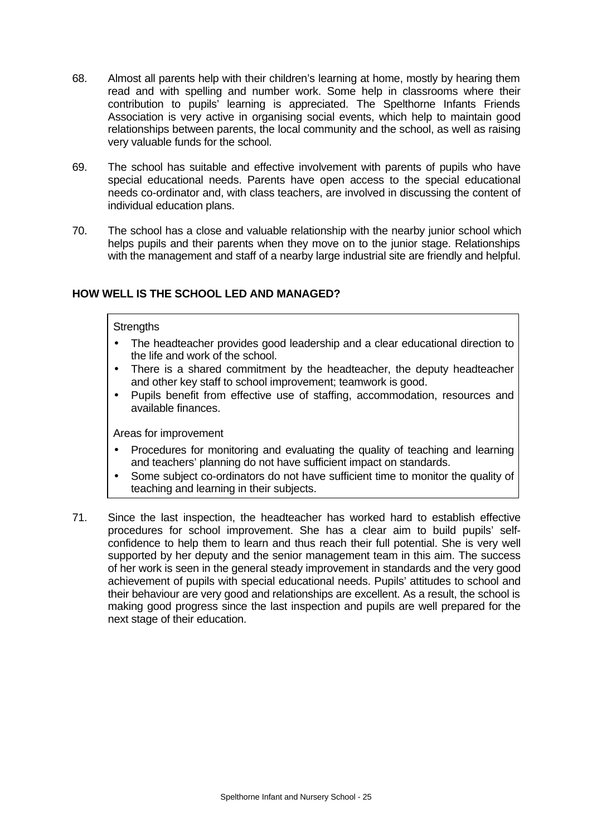- 68. Almost all parents help with their children's learning at home, mostly by hearing them read and with spelling and number work. Some help in classrooms where their contribution to pupils' learning is appreciated. The Spelthorne Infants Friends Association is very active in organising social events, which help to maintain good relationships between parents, the local community and the school, as well as raising very valuable funds for the school.
- 69. The school has suitable and effective involvement with parents of pupils who have special educational needs. Parents have open access to the special educational needs co-ordinator and, with class teachers, are involved in discussing the content of individual education plans.
- 70. The school has a close and valuable relationship with the nearby junior school which helps pupils and their parents when they move on to the junior stage. Relationships with the management and staff of a nearby large industrial site are friendly and helpful.

# **HOW WELL IS THE SCHOOL LED AND MANAGED?**

### **Strengths**

- The headteacher provides good leadership and a clear educational direction to the life and work of the school.
- There is a shared commitment by the headteacher, the deputy headteacher and other key staff to school improvement; teamwork is good.
- Pupils benefit from effective use of staffing, accommodation, resources and available finances.

- Procedures for monitoring and evaluating the quality of teaching and learning and teachers' planning do not have sufficient impact on standards.
- Some subject co-ordinators do not have sufficient time to monitor the quality of teaching and learning in their subjects.
- 71. Since the last inspection, the headteacher has worked hard to establish effective procedures for school improvement. She has a clear aim to build pupils' selfconfidence to help them to learn and thus reach their full potential. She is very well supported by her deputy and the senior management team in this aim. The success of her work is seen in the general steady improvement in standards and the very good achievement of pupils with special educational needs. Pupils' attitudes to school and their behaviour are very good and relationships are excellent. As a result, the school is making good progress since the last inspection and pupils are well prepared for the next stage of their education.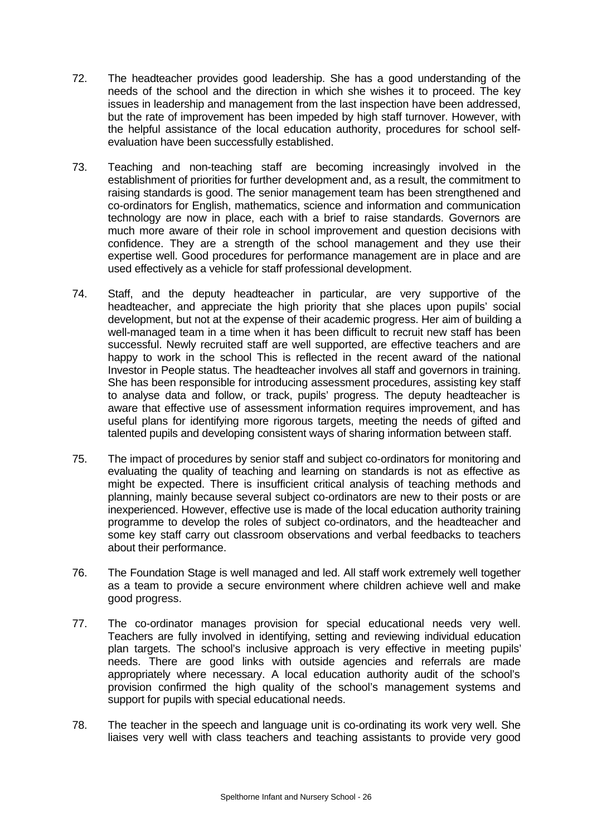- 72. The headteacher provides good leadership. She has a good understanding of the needs of the school and the direction in which she wishes it to proceed. The key issues in leadership and management from the last inspection have been addressed, but the rate of improvement has been impeded by high staff turnover. However, with the helpful assistance of the local education authority, procedures for school selfevaluation have been successfully established.
- 73. Teaching and non-teaching staff are becoming increasingly involved in the establishment of priorities for further development and, as a result, the commitment to raising standards is good. The senior management team has been strengthened and co-ordinators for English, mathematics, science and information and communication technology are now in place, each with a brief to raise standards. Governors are much more aware of their role in school improvement and question decisions with confidence. They are a strength of the school management and they use their expertise well. Good procedures for performance management are in place and are used effectively as a vehicle for staff professional development.
- 74. Staff, and the deputy headteacher in particular, are very supportive of the headteacher, and appreciate the high priority that she places upon pupils' social development, but not at the expense of their academic progress. Her aim of building a well-managed team in a time when it has been difficult to recruit new staff has been successful. Newly recruited staff are well supported, are effective teachers and are happy to work in the school This is reflected in the recent award of the national Investor in People status. The headteacher involves all staff and governors in training. She has been responsible for introducing assessment procedures, assisting key staff to analyse data and follow, or track, pupils' progress. The deputy headteacher is aware that effective use of assessment information requires improvement, and has useful plans for identifying more rigorous targets, meeting the needs of gifted and talented pupils and developing consistent ways of sharing information between staff.
- 75. The impact of procedures by senior staff and subject co-ordinators for monitoring and evaluating the quality of teaching and learning on standards is not as effective as might be expected. There is insufficient critical analysis of teaching methods and planning, mainly because several subject co-ordinators are new to their posts or are inexperienced. However, effective use is made of the local education authority training programme to develop the roles of subject co-ordinators, and the headteacher and some key staff carry out classroom observations and verbal feedbacks to teachers about their performance.
- 76. The Foundation Stage is well managed and led. All staff work extremely well together as a team to provide a secure environment where children achieve well and make good progress.
- 77. The co-ordinator manages provision for special educational needs very well. Teachers are fully involved in identifying, setting and reviewing individual education plan targets. The school's inclusive approach is very effective in meeting pupils' needs. There are good links with outside agencies and referrals are made appropriately where necessary. A local education authority audit of the school's provision confirmed the high quality of the school's management systems and support for pupils with special educational needs.
- 78. The teacher in the speech and language unit is co-ordinating its work very well. She liaises very well with class teachers and teaching assistants to provide very good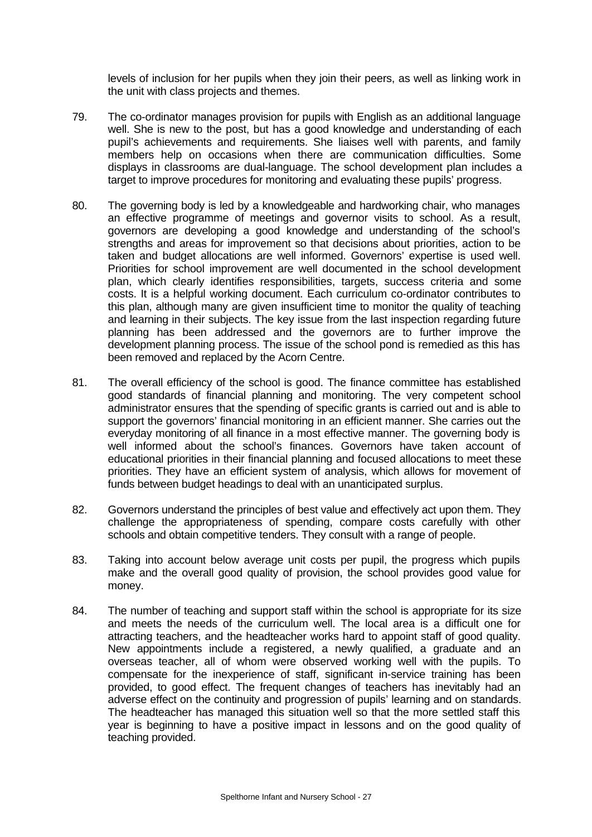levels of inclusion for her pupils when they join their peers, as well as linking work in the unit with class projects and themes.

- 79. The co-ordinator manages provision for pupils with English as an additional language well. She is new to the post, but has a good knowledge and understanding of each pupil's achievements and requirements. She liaises well with parents, and family members help on occasions when there are communication difficulties. Some displays in classrooms are dual-language. The school development plan includes a target to improve procedures for monitoring and evaluating these pupils' progress.
- 80. The governing body is led by a knowledgeable and hardworking chair, who manages an effective programme of meetings and governor visits to school. As a result, governors are developing a good knowledge and understanding of the school's strengths and areas for improvement so that decisions about priorities, action to be taken and budget allocations are well informed. Governors' expertise is used well. Priorities for school improvement are well documented in the school development plan, which clearly identifies responsibilities, targets, success criteria and some costs. It is a helpful working document. Each curriculum co-ordinator contributes to this plan, although many are given insufficient time to monitor the quality of teaching and learning in their subjects. The key issue from the last inspection regarding future planning has been addressed and the governors are to further improve the development planning process. The issue of the school pond is remedied as this has been removed and replaced by the Acorn Centre.
- 81. The overall efficiency of the school is good. The finance committee has established good standards of financial planning and monitoring. The very competent school administrator ensures that the spending of specific grants is carried out and is able to support the governors' financial monitoring in an efficient manner. She carries out the everyday monitoring of all finance in a most effective manner. The governing body is well informed about the school's finances. Governors have taken account of educational priorities in their financial planning and focused allocations to meet these priorities. They have an efficient system of analysis, which allows for movement of funds between budget headings to deal with an unanticipated surplus.
- 82. Governors understand the principles of best value and effectively act upon them. They challenge the appropriateness of spending, compare costs carefully with other schools and obtain competitive tenders. They consult with a range of people.
- 83. Taking into account below average unit costs per pupil, the progress which pupils make and the overall good quality of provision, the school provides good value for money.
- 84. The number of teaching and support staff within the school is appropriate for its size and meets the needs of the curriculum well. The local area is a difficult one for attracting teachers, and the headteacher works hard to appoint staff of good quality. New appointments include a registered, a newly qualified, a graduate and an overseas teacher, all of whom were observed working well with the pupils. To compensate for the inexperience of staff, significant in-service training has been provided, to good effect. The frequent changes of teachers has inevitably had an adverse effect on the continuity and progression of pupils' learning and on standards. The headteacher has managed this situation well so that the more settled staff this year is beginning to have a positive impact in lessons and on the good quality of teaching provided.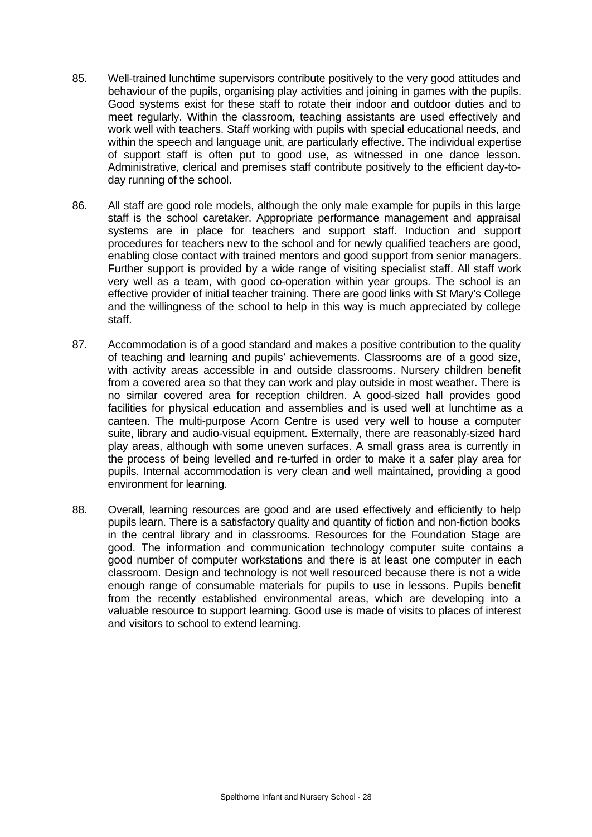- 85. Well-trained lunchtime supervisors contribute positively to the very good attitudes and behaviour of the pupils, organising play activities and joining in games with the pupils. Good systems exist for these staff to rotate their indoor and outdoor duties and to meet regularly. Within the classroom, teaching assistants are used effectively and work well with teachers. Staff working with pupils with special educational needs, and within the speech and language unit, are particularly effective. The individual expertise of support staff is often put to good use, as witnessed in one dance lesson. Administrative, clerical and premises staff contribute positively to the efficient day-today running of the school.
- 86. All staff are good role models, although the only male example for pupils in this large staff is the school caretaker. Appropriate performance management and appraisal systems are in place for teachers and support staff. Induction and support procedures for teachers new to the school and for newly qualified teachers are good, enabling close contact with trained mentors and good support from senior managers. Further support is provided by a wide range of visiting specialist staff. All staff work very well as a team, with good co-operation within year groups. The school is an effective provider of initial teacher training. There are good links with St Mary's College and the willingness of the school to help in this way is much appreciated by college staff.
- 87. Accommodation is of a good standard and makes a positive contribution to the quality of teaching and learning and pupils' achievements. Classrooms are of a good size, with activity areas accessible in and outside classrooms. Nursery children benefit from a covered area so that they can work and play outside in most weather. There is no similar covered area for reception children. A good-sized hall provides good facilities for physical education and assemblies and is used well at lunchtime as a canteen. The multi-purpose Acorn Centre is used very well to house a computer suite, library and audio-visual equipment. Externally, there are reasonably-sized hard play areas, although with some uneven surfaces. A small grass area is currently in the process of being levelled and re-turfed in order to make it a safer play area for pupils. Internal accommodation is very clean and well maintained, providing a good environment for learning.
- 88. Overall, learning resources are good and are used effectively and efficiently to help pupils learn. There is a satisfactory quality and quantity of fiction and non-fiction books in the central library and in classrooms. Resources for the Foundation Stage are good. The information and communication technology computer suite contains a good number of computer workstations and there is at least one computer in each classroom. Design and technology is not well resourced because there is not a wide enough range of consumable materials for pupils to use in lessons. Pupils benefit from the recently established environmental areas, which are developing into a valuable resource to support learning. Good use is made of visits to places of interest and visitors to school to extend learning.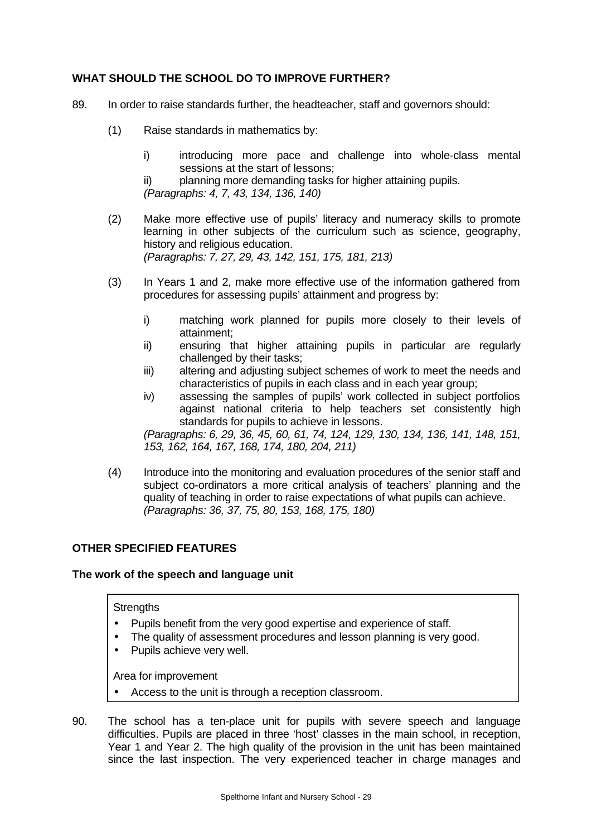## **WHAT SHOULD THE SCHOOL DO TO IMPROVE FURTHER?**

- 89. In order to raise standards further, the headteacher, staff and governors should:
	- (1) Raise standards in mathematics by:
		- i) introducing more pace and challenge into whole-class mental sessions at the start of lessons;

ii) planning more demanding tasks for higher attaining pupils. *(Paragraphs: 4, 7, 43, 134, 136, 140)*

- (2) Make more effective use of pupils' literacy and numeracy skills to promote learning in other subjects of the curriculum such as science, geography, history and religious education. *(Paragraphs: 7, 27, 29, 43, 142, 151, 175, 181, 213)*
- (3) In Years 1 and 2, make more effective use of the information gathered from procedures for assessing pupils' attainment and progress by:
	- i) matching work planned for pupils more closely to their levels of attainment;
	- ii) ensuring that higher attaining pupils in particular are regularly challenged by their tasks;
	- iii) altering and adjusting subject schemes of work to meet the needs and characteristics of pupils in each class and in each year group;
	- iv) assessing the samples of pupils' work collected in subject portfolios against national criteria to help teachers set consistently high standards for pupils to achieve in lessons.

*(Paragraphs: 6, 29, 36, 45, 60, 61, 74, 124, 129, 130, 134, 136, 141, 148, 151, 153, 162, 164, 167, 168, 174, 180, 204, 211)*

(4) Introduce into the monitoring and evaluation procedures of the senior staff and subject co-ordinators a more critical analysis of teachers' planning and the quality of teaching in order to raise expectations of what pupils can achieve. *(Paragraphs: 36, 37, 75, 80, 153, 168, 175, 180)*

## **OTHER SPECIFIED FEATURES**

## **The work of the speech and language unit**

### **Strengths**

- Pupils benefit from the very good expertise and experience of staff.
- The quality of assessment procedures and lesson planning is very good.
- Pupils achieve very well.

- Access to the unit is through a reception classroom.
- 90. The school has a ten-place unit for pupils with severe speech and language difficulties. Pupils are placed in three 'host' classes in the main school, in reception, Year 1 and Year 2. The high quality of the provision in the unit has been maintained since the last inspection. The very experienced teacher in charge manages and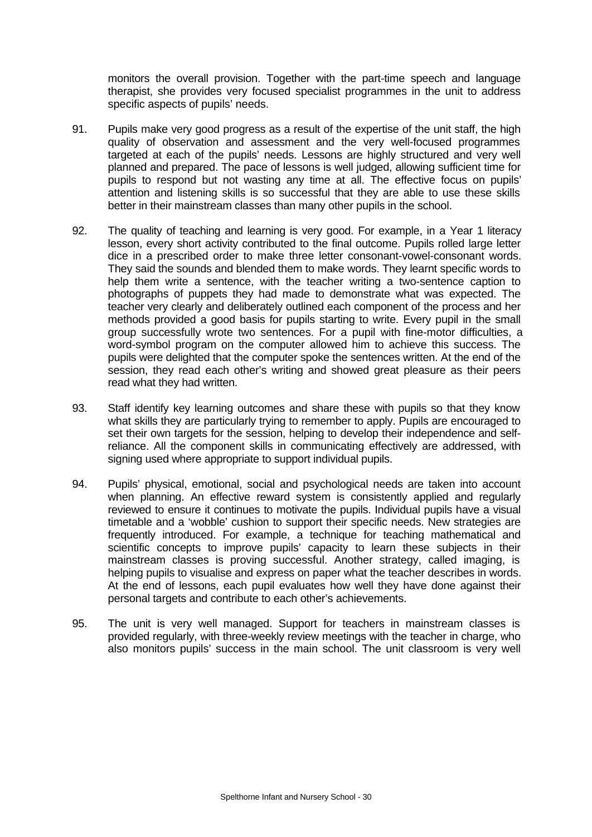monitors the overall provision. Together with the part-time speech and language therapist, she provides very focused specialist programmes in the unit to address specific aspects of pupils' needs.

- 91. Pupils make very good progress as a result of the expertise of the unit staff, the high quality of observation and assessment and the very well-focused programmes targeted at each of the pupils' needs. Lessons are highly structured and very well planned and prepared. The pace of lessons is well judged, allowing sufficient time for pupils to respond but not wasting any time at all. The effective focus on pupils' attention and listening skills is so successful that they are able to use these skills better in their mainstream classes than many other pupils in the school.
- 92. The quality of teaching and learning is very good. For example, in a Year 1 literacy lesson, every short activity contributed to the final outcome. Pupils rolled large letter dice in a prescribed order to make three letter consonant-vowel-consonant words. They said the sounds and blended them to make words. They learnt specific words to help them write a sentence, with the teacher writing a two-sentence caption to photographs of puppets they had made to demonstrate what was expected. The teacher very clearly and deliberately outlined each component of the process and her methods provided a good basis for pupils starting to write. Every pupil in the small group successfully wrote two sentences. For a pupil with fine-motor difficulties, a word-symbol program on the computer allowed him to achieve this success. The pupils were delighted that the computer spoke the sentences written. At the end of the session, they read each other's writing and showed great pleasure as their peers read what they had written.
- 93. Staff identify key learning outcomes and share these with pupils so that they know what skills they are particularly trying to remember to apply. Pupils are encouraged to set their own targets for the session, helping to develop their independence and selfreliance. All the component skills in communicating effectively are addressed, with signing used where appropriate to support individual pupils.
- 94. Pupils' physical, emotional, social and psychological needs are taken into account when planning. An effective reward system is consistently applied and regularly reviewed to ensure it continues to motivate the pupils. Individual pupils have a visual timetable and a 'wobble' cushion to support their specific needs. New strategies are frequently introduced. For example, a technique for teaching mathematical and scientific concepts to improve pupils' capacity to learn these subjects in their mainstream classes is proving successful. Another strategy, called imaging, is helping pupils to visualise and express on paper what the teacher describes in words. At the end of lessons, each pupil evaluates how well they have done against their personal targets and contribute to each other's achievements.
- 95. The unit is very well managed. Support for teachers in mainstream classes is provided regularly, with three-weekly review meetings with the teacher in charge, who also monitors pupils' success in the main school. The unit classroom is very well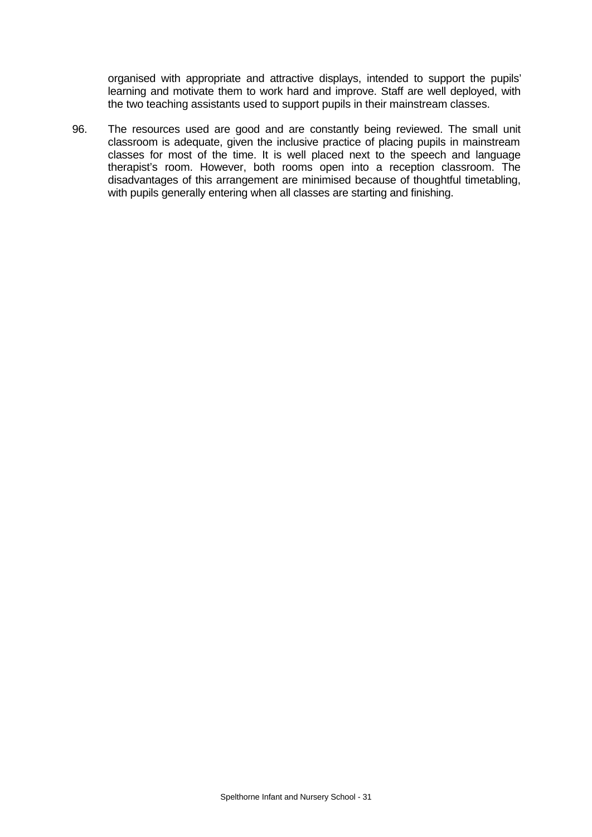organised with appropriate and attractive displays, intended to support the pupils' learning and motivate them to work hard and improve. Staff are well deployed, with the two teaching assistants used to support pupils in their mainstream classes.

96. The resources used are good and are constantly being reviewed. The small unit classroom is adequate, given the inclusive practice of placing pupils in mainstream classes for most of the time. It is well placed next to the speech and language therapist's room. However, both rooms open into a reception classroom. The disadvantages of this arrangement are minimised because of thoughtful timetabling, with pupils generally entering when all classes are starting and finishing.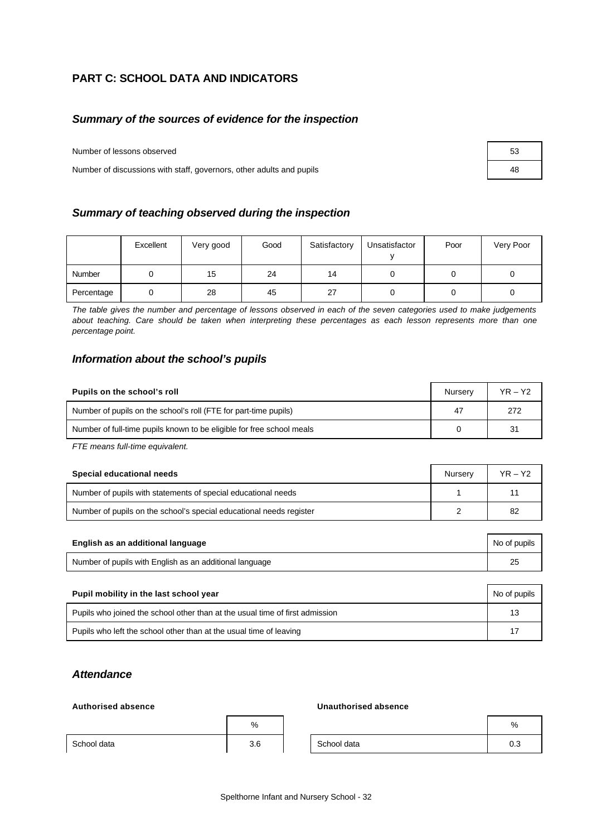# **PART C: SCHOOL DATA AND INDICATORS**

## *Summary of the sources of evidence for the inspection*

Number of lessons observed 53

Number of discussions with staff, governors, other adults and pupils 48

| Summary of teaching observed during the inspection |
|----------------------------------------------------|
|----------------------------------------------------|

|            | Excellent | Very good | Good | Satisfactory | Unsatisfactor | Poor | Very Poor |
|------------|-----------|-----------|------|--------------|---------------|------|-----------|
| Number     |           | 15        | 24   | 14           |               |      |           |
| Percentage |           | 28        | 45   | 27           |               |      |           |

*The table gives the number and percentage of lessons observed in each of the seven categories used to make judgements about teaching. Care should be taken when interpreting these percentages as each lesson represents more than one percentage point.*

### *Information about the school's pupils*

| Pupils on the school's roll                                           | Nurserv | YR – Y2 |
|-----------------------------------------------------------------------|---------|---------|
| Number of pupils on the school's roll (FTE for part-time pupils)      | 47      | 272     |
| Number of full-time pupils known to be eligible for free school meals |         | 31      |

*FTE means full-time equivalent.*

| Special educational needs                                           | Nurserv | YR – Y2 |
|---------------------------------------------------------------------|---------|---------|
| Number of pupils with statements of special educational needs       |         |         |
| Number of pupils on the school's special educational needs register |         | 82      |

| English as an additional language                       | No of pupils |
|---------------------------------------------------------|--------------|
| Number of pupils with English as an additional language |              |

| Pupil mobility in the last school year                                       | No of pupils |
|------------------------------------------------------------------------------|--------------|
| Pupils who joined the school other than at the usual time of first admission | 13           |
| Pupils who left the school other than at the usual time of leaving           | 17           |

## *Attendance*

### **Authorised absence Unauthorised absence**

|             | %   |             | %   |
|-------------|-----|-------------|-----|
| School data | 3.6 | School data | 0.3 |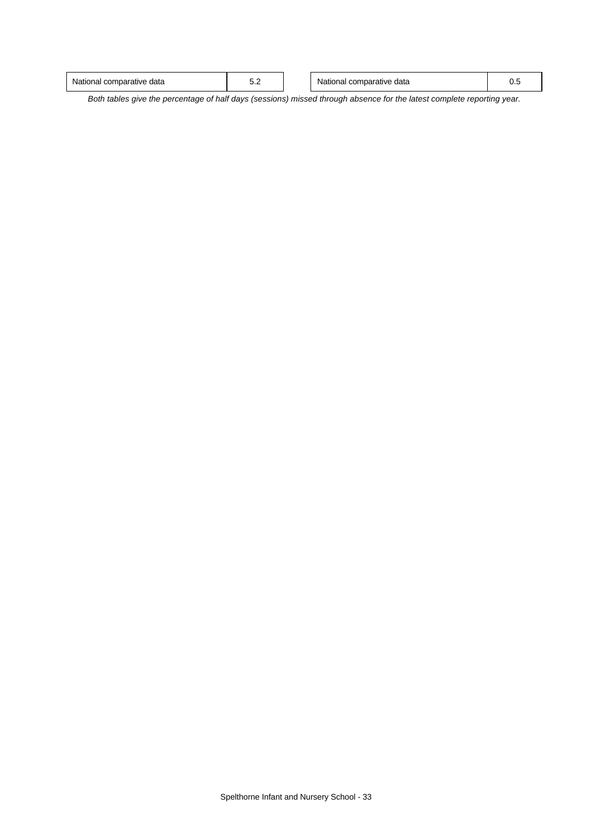| comparative<br>∘data<br>≅data<br>mparative<br>National<br>cor<br>tionai<br>v.<br>ັ |
|------------------------------------------------------------------------------------|
|------------------------------------------------------------------------------------|

*Both tables give the percentage of half days (sessions) missed through absence for the latest complete reporting year.*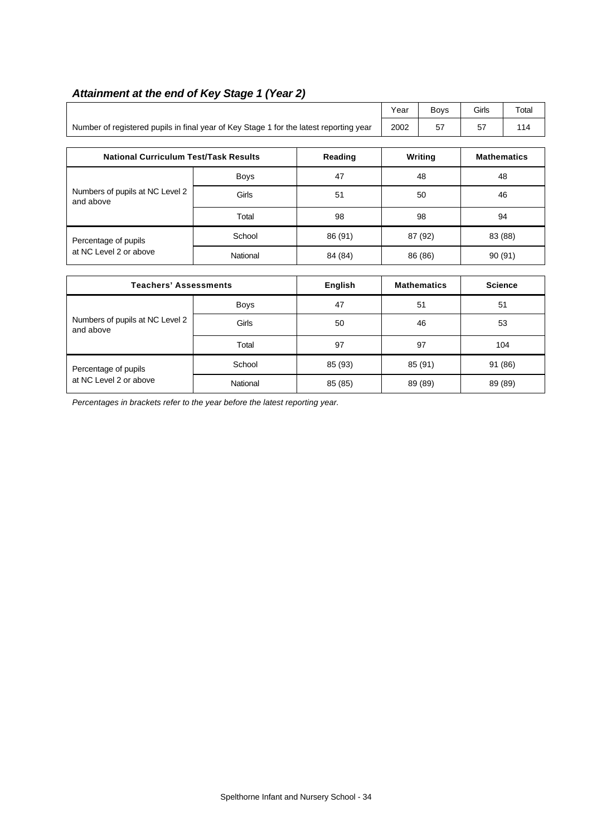$\mathsf{l}$ 

|                                                                                        | Year | Bovs | Girls | $\tau$ <sub>otal</sub> |
|----------------------------------------------------------------------------------------|------|------|-------|------------------------|
| Number of registered pupils in final year of Key Stage 1 for the latest reporting year | 2002 | 57   |       | 114                    |

| <b>National Curriculum Test/Task Results</b> |             | Reading | Writing | <b>Mathematics</b> |
|----------------------------------------------|-------------|---------|---------|--------------------|
|                                              | <b>Boys</b> | 47      | 48      | 48                 |
| Numbers of pupils at NC Level 2<br>and above | Girls       | 51      | 50      | 46                 |
|                                              | Total       | 98      | 98      | 94                 |
| Percentage of pupils                         | School      | 86 (91) | 87 (92) | 83 (88)            |
| at NC Level 2 or above                       | National    | 84 (84) | 86 (86) | 90(91)             |

| <b>Teachers' Assessments</b>                 |             | English | <b>Mathematics</b> | <b>Science</b> |  |
|----------------------------------------------|-------------|---------|--------------------|----------------|--|
|                                              | <b>Boys</b> | 47      | 51                 | 51             |  |
| Numbers of pupils at NC Level 2<br>and above | Girls       | 50      | 46                 | 53             |  |
|                                              | Total       | 97      | 97                 | 104            |  |
| Percentage of pupils                         | School      | 85 (93) | 85 (91)            | 91 (86)        |  |
| at NC Level 2 or above                       | National    | 85 (85) | 89 (89)            | 89 (89)        |  |

*Percentages in brackets refer to the year before the latest reporting year.*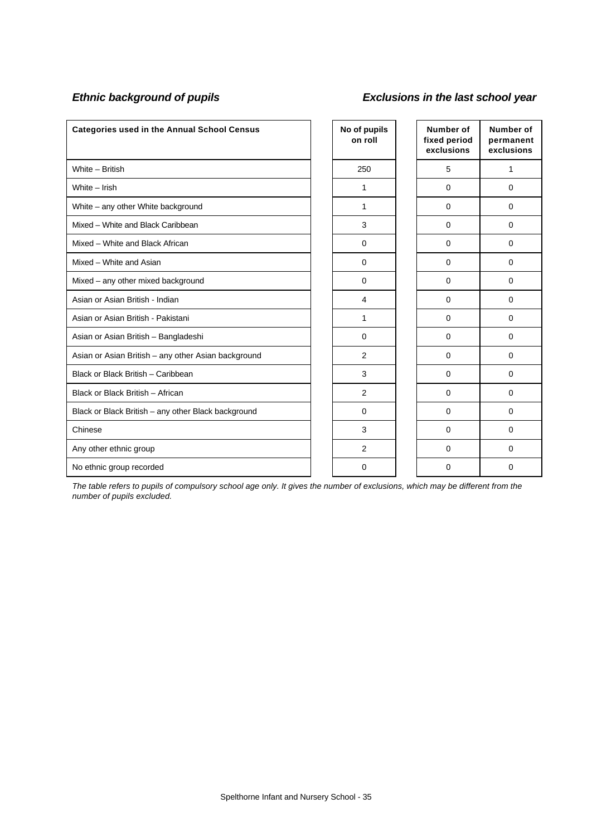# *Ethnic background of pupils Exclusions in the last school year*

| <b>Categories used in the Annual School Census</b>  | No of pupils<br>on roll | Number of<br>fixed period<br>exclusions | Number of<br>permanent<br>exclusions |
|-----------------------------------------------------|-------------------------|-----------------------------------------|--------------------------------------|
| White - British                                     | 250                     | 5                                       | 1                                    |
| White - Irish                                       | 1                       | $\Omega$                                | 0                                    |
| White - any other White background                  | 1                       | $\Omega$                                | 0                                    |
| Mixed - White and Black Caribbean                   | 3                       | $\Omega$                                | 0                                    |
| Mixed - White and Black African                     | $\Omega$                | $\Omega$                                | 0                                    |
| Mixed - White and Asian                             | $\mathbf 0$             | $\Omega$                                | $\Omega$                             |
| Mixed - any other mixed background                  | $\mathbf 0$             | $\mathbf 0$                             | 0                                    |
| Asian or Asian British - Indian                     | 4                       | $\Omega$                                | 0                                    |
| Asian or Asian British - Pakistani                  | 1                       | $\Omega$                                | 0                                    |
| Asian or Asian British - Bangladeshi                | $\Omega$                | $\Omega$                                | 0                                    |
| Asian or Asian British - any other Asian background | 2                       | $\Omega$                                | 0                                    |
| Black or Black British - Caribbean                  | 3                       | $\Omega$                                | 0                                    |
| Black or Black British - African                    | 2                       | $\Omega$                                | $\Omega$                             |
| Black or Black British - any other Black background | $\Omega$                | $\Omega$                                | 0                                    |
| Chinese                                             | 3                       | $\Omega$                                | $\Omega$                             |
| Any other ethnic group                              | 2                       | $\Omega$                                | 0                                    |
| No ethnic group recorded                            | $\Omega$                | 0                                       | 0                                    |

*The table refers to pupils of compulsory school age only. It gives the number of exclusions, which may be different from the number of pupils excluded.*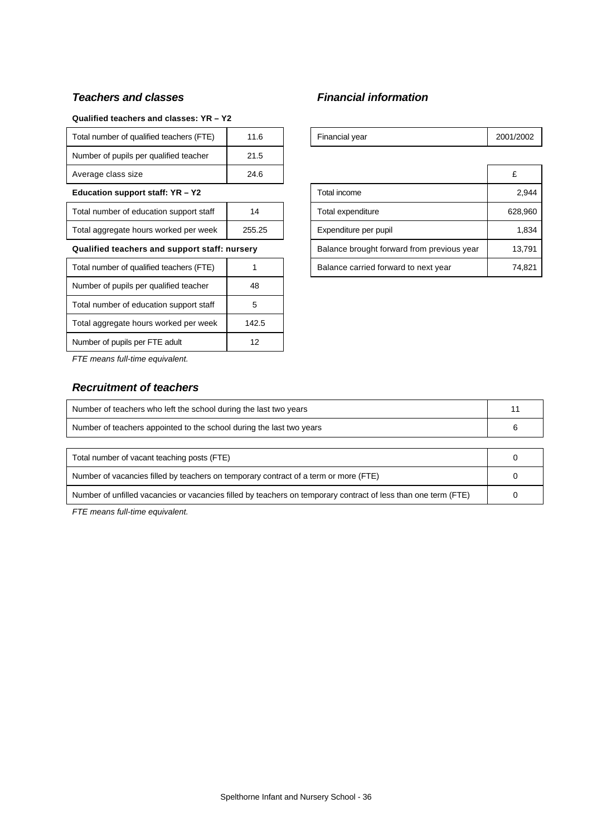## *Teachers and classes Financial information*

### **Qualified teachers and classes: YR – Y2**

| Total number of qualified teachers (FTE)      | 11.6            | Financial year                             | 2001/ |
|-----------------------------------------------|-----------------|--------------------------------------------|-------|
| Number of pupils per qualified teacher        | 21.5            |                                            |       |
| Average class size                            | 24.6            |                                            | £     |
| Education support staff: YR - Y2              |                 | Total income                               |       |
| Total number of education support staff       | 14              | Total expenditure                          | 62    |
| Total aggregate hours worked per week         | 255.25          | Expenditure per pupil                      |       |
| Qualified teachers and support staff: nursery |                 | Balance brought forward from previous year |       |
| Total number of qualified teachers (FTE)      |                 | Balance carried forward to next year       | 7     |
| Number of pupils per qualified teacher        | 48              |                                            |       |
| Total number of education support staff       | 5               |                                            |       |
| Total aggregate hours worked per week         | 142.5           |                                            |       |
| Number of pupils per FTE adult                | 12 <sup>2</sup> |                                            |       |
|                                               |                 |                                            |       |

| Total number of qualified teachers (FTE)      | 11.6   |                                            | Financial year                       | 2001/2002 |
|-----------------------------------------------|--------|--------------------------------------------|--------------------------------------|-----------|
| Number of pupils per qualified teacher        | 21.5   |                                            |                                      |           |
| Average class size                            | 24.6   |                                            |                                      | £         |
| Education support staff: YR - Y2              |        | Total income                               | 2,944                                |           |
| Total number of education support staff       | 14     |                                            | Total expenditure                    | 628,960   |
| Total aggregate hours worked per week         | 255.25 |                                            | Expenditure per pupil                | 1,834     |
| Qualified teachers and support staff: nursery |        | Balance brought forward from previous year | 13,791                               |           |
| Total number of qualified teachers (FTE)      |        |                                            | Balance carried forward to next year | 74,821    |

*FTE means full-time equivalent.*

## *Recruitment of teachers*

| Number of teachers who left the school during the last two years                                               |  |  |
|----------------------------------------------------------------------------------------------------------------|--|--|
| Number of teachers appointed to the school during the last two years                                           |  |  |
|                                                                                                                |  |  |
| Total number of vacant teaching posts (FTE)                                                                    |  |  |
| Number of vacancies filled by teachers on temporary contract of a term or more (FTE)                           |  |  |
| Number of unfilled vacancies or vacancies filled by teachers on temporary contract of less than one term (FTE) |  |  |

*FTE means full-time equivalent.*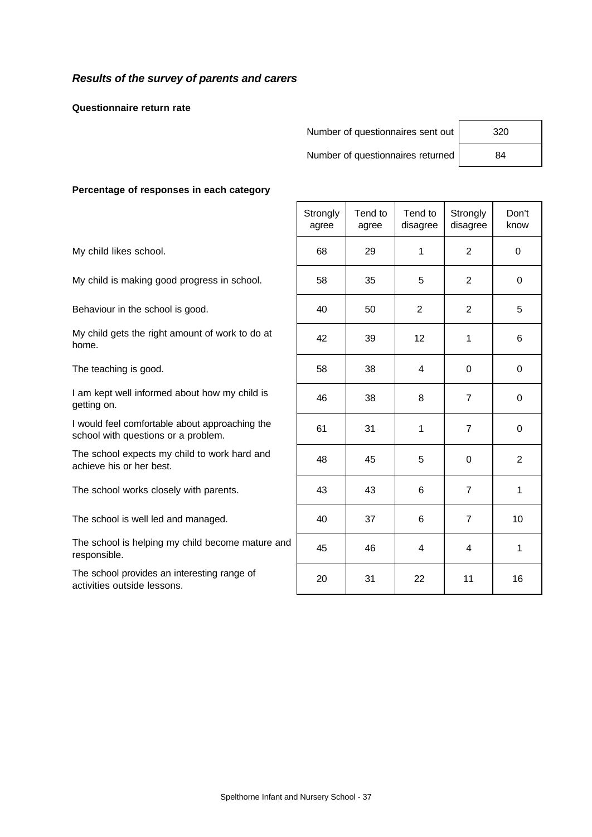## *Results of the survey of parents and carers*

**Questionnaire return rate**

Number of questionnaires sent out 320

Number of questionnaires returned | 84

### **Percentage of responses in each category**

|                                                                                       | Strongly<br>agree | Tend to<br>agree | Tend to<br>disagree | Strongly<br>disagree | Don't<br>know |
|---------------------------------------------------------------------------------------|-------------------|------------------|---------------------|----------------------|---------------|
| My child likes school.                                                                | 68                | 29               | 1                   | 2                    | $\Omega$      |
| My child is making good progress in school.                                           | 58                | 35               | 5                   | 2                    | 0             |
| Behaviour in the school is good.                                                      | 40                | 50               | $\overline{2}$      | 2                    | 5             |
| My child gets the right amount of work to do at<br>home.                              | 42                | 39               | 12                  | 1                    | 6             |
| The teaching is good.                                                                 | 58                | 38               | 4                   | 0                    | $\mathbf 0$   |
| I am kept well informed about how my child is<br>getting on.                          | 46                | 38               | 8                   | $\overline{7}$       | 0             |
| I would feel comfortable about approaching the<br>school with questions or a problem. | 61                | 31               | $\mathbf{1}$        | 7                    | 0             |
| The school expects my child to work hard and<br>achieve his or her best.              | 48                | 45               | 5                   | $\Omega$             | 2             |
| The school works closely with parents.                                                | 43                | 43               | 6                   | $\overline{7}$       | 1             |
| The school is well led and managed.                                                   | 40                | 37               | 6                   | $\overline{7}$       | 10            |
| The school is helping my child become mature and<br>responsible.                      | 45                | 46               | 4                   | 4                    | 1             |
| The school provides an interesting range of<br>activities outside lessons.            | 20                | 31               | 22                  | 11                   | 16            |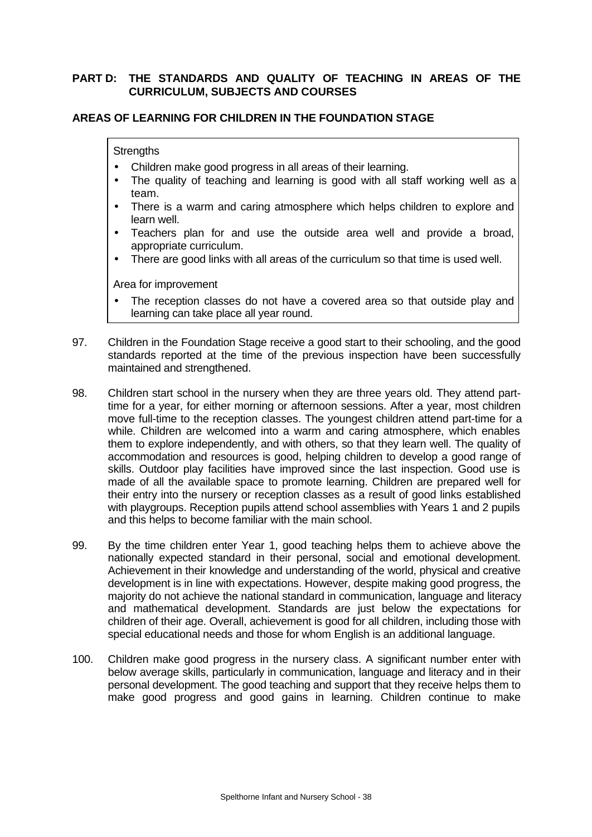## **PART D: THE STANDARDS AND QUALITY OF TEACHING IN AREAS OF THE CURRICULUM, SUBJECTS AND COURSES**

### **AREAS OF LEARNING FOR CHILDREN IN THE FOUNDATION STAGE**

### **Strengths**

- Children make good progress in all areas of their learning.
- The quality of teaching and learning is good with all staff working well as a team.
- There is a warm and caring atmosphere which helps children to explore and learn well.
- Teachers plan for and use the outside area well and provide a broad, appropriate curriculum.
- There are good links with all areas of the curriculum so that time is used well.

- The reception classes do not have a covered area so that outside play and learning can take place all year round.
- 97. Children in the Foundation Stage receive a good start to their schooling, and the good standards reported at the time of the previous inspection have been successfully maintained and strengthened.
- 98. Children start school in the nursery when they are three years old. They attend parttime for a year, for either morning or afternoon sessions. After a year, most children move full-time to the reception classes. The youngest children attend part-time for a while. Children are welcomed into a warm and caring atmosphere, which enables them to explore independently, and with others, so that they learn well. The quality of accommodation and resources is good, helping children to develop a good range of skills. Outdoor play facilities have improved since the last inspection. Good use is made of all the available space to promote learning. Children are prepared well for their entry into the nursery or reception classes as a result of good links established with playgroups. Reception pupils attend school assemblies with Years 1 and 2 pupils and this helps to become familiar with the main school.
- 99. By the time children enter Year 1, good teaching helps them to achieve above the nationally expected standard in their personal, social and emotional development. Achievement in their knowledge and understanding of the world, physical and creative development is in line with expectations. However, despite making good progress, the majority do not achieve the national standard in communication, language and literacy and mathematical development. Standards are just below the expectations for children of their age. Overall, achievement is good for all children, including those with special educational needs and those for whom English is an additional language.
- 100. Children make good progress in the nursery class. A significant number enter with below average skills, particularly in communication, language and literacy and in their personal development. The good teaching and support that they receive helps them to make good progress and good gains in learning. Children continue to make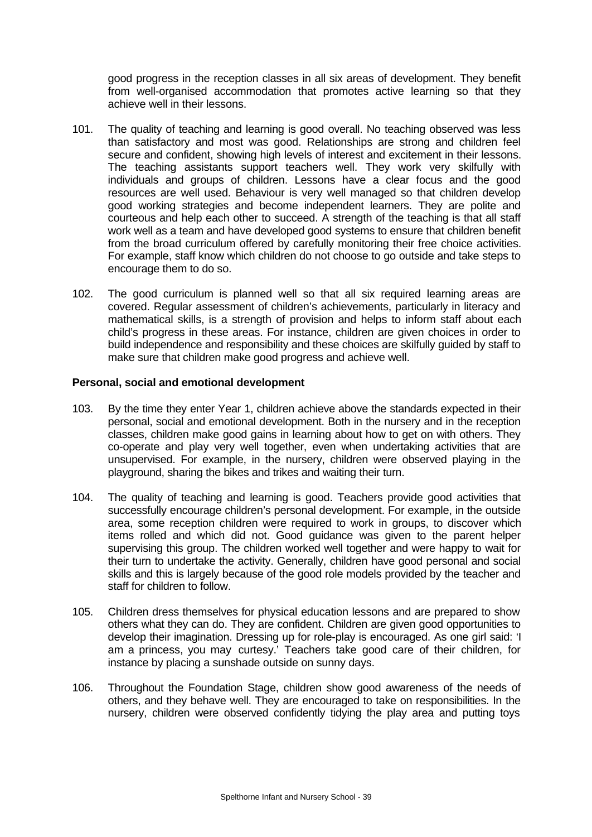good progress in the reception classes in all six areas of development. They benefit from well-organised accommodation that promotes active learning so that they achieve well in their lessons.

- 101. The quality of teaching and learning is good overall. No teaching observed was less than satisfactory and most was good. Relationships are strong and children feel secure and confident, showing high levels of interest and excitement in their lessons. The teaching assistants support teachers well. They work very skilfully with individuals and groups of children. Lessons have a clear focus and the good resources are well used. Behaviour is very well managed so that children develop good working strategies and become independent learners. They are polite and courteous and help each other to succeed. A strength of the teaching is that all staff work well as a team and have developed good systems to ensure that children benefit from the broad curriculum offered by carefully monitoring their free choice activities. For example, staff know which children do not choose to go outside and take steps to encourage them to do so.
- 102. The good curriculum is planned well so that all six required learning areas are covered. Regular assessment of children's achievements, particularly in literacy and mathematical skills, is a strength of provision and helps to inform staff about each child's progress in these areas. For instance, children are given choices in order to build independence and responsibility and these choices are skilfully guided by staff to make sure that children make good progress and achieve well.

### **Personal, social and emotional development**

- 103. By the time they enter Year 1, children achieve above the standards expected in their personal, social and emotional development. Both in the nursery and in the reception classes, children make good gains in learning about how to get on with others. They co-operate and play very well together, even when undertaking activities that are unsupervised. For example, in the nursery, children were observed playing in the playground, sharing the bikes and trikes and waiting their turn.
- 104. The quality of teaching and learning is good. Teachers provide good activities that successfully encourage children's personal development. For example, in the outside area, some reception children were required to work in groups, to discover which items rolled and which did not. Good guidance was given to the parent helper supervising this group. The children worked well together and were happy to wait for their turn to undertake the activity. Generally, children have good personal and social skills and this is largely because of the good role models provided by the teacher and staff for children to follow.
- 105. Children dress themselves for physical education lessons and are prepared to show others what they can do. They are confident. Children are given good opportunities to develop their imagination. Dressing up for role-play is encouraged. As one girl said: 'I am a princess, you may curtesy.' Teachers take good care of their children, for instance by placing a sunshade outside on sunny days.
- 106. Throughout the Foundation Stage, children show good awareness of the needs of others, and they behave well. They are encouraged to take on responsibilities. In the nursery, children were observed confidently tidying the play area and putting toys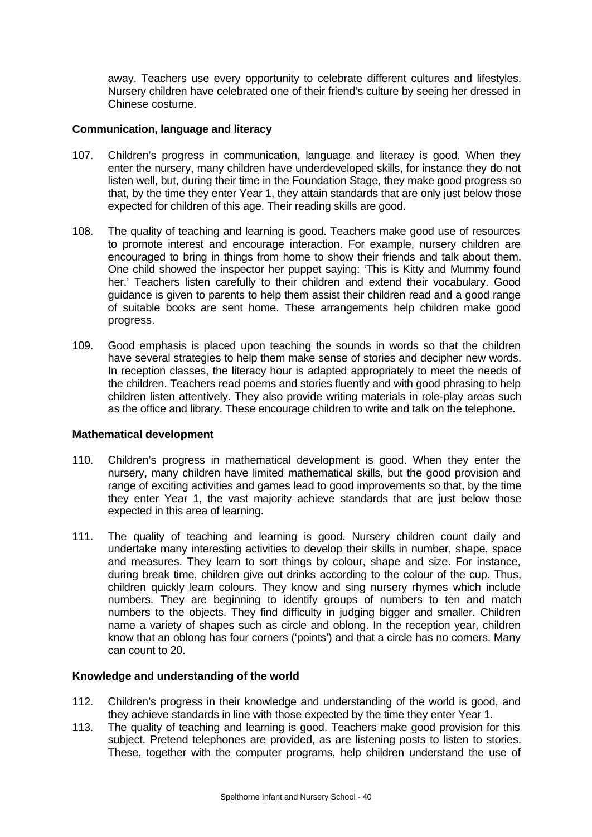away. Teachers use every opportunity to celebrate different cultures and lifestyles. Nursery children have celebrated one of their friend's culture by seeing her dressed in Chinese costume.

### **Communication, language and literacy**

- 107. Children's progress in communication, language and literacy is good. When they enter the nursery, many children have underdeveloped skills, for instance they do not listen well, but, during their time in the Foundation Stage, they make good progress so that, by the time they enter Year 1, they attain standards that are only just below those expected for children of this age. Their reading skills are good.
- 108. The quality of teaching and learning is good. Teachers make good use of resources to promote interest and encourage interaction. For example, nursery children are encouraged to bring in things from home to show their friends and talk about them. One child showed the inspector her puppet saying: 'This is Kitty and Mummy found her.' Teachers listen carefully to their children and extend their vocabulary. Good guidance is given to parents to help them assist their children read and a good range of suitable books are sent home. These arrangements help children make good progress.
- 109. Good emphasis is placed upon teaching the sounds in words so that the children have several strategies to help them make sense of stories and decipher new words. In reception classes, the literacy hour is adapted appropriately to meet the needs of the children. Teachers read poems and stories fluently and with good phrasing to help children listen attentively. They also provide writing materials in role-play areas such as the office and library. These encourage children to write and talk on the telephone.

## **Mathematical development**

- 110. Children's progress in mathematical development is good. When they enter the nursery, many children have limited mathematical skills, but the good provision and range of exciting activities and games lead to good improvements so that, by the time they enter Year 1, the vast majority achieve standards that are just below those expected in this area of learning.
- 111. The quality of teaching and learning is good. Nursery children count daily and undertake many interesting activities to develop their skills in number, shape, space and measures. They learn to sort things by colour, shape and size. For instance, during break time, children give out drinks according to the colour of the cup. Thus, children quickly learn colours. They know and sing nursery rhymes which include numbers. They are beginning to identify groups of numbers to ten and match numbers to the objects. They find difficulty in judging bigger and smaller. Children name a variety of shapes such as circle and oblong. In the reception year, children know that an oblong has four corners ('points') and that a circle has no corners. Many can count to 20.

## **Knowledge and understanding of the world**

- 112. Children's progress in their knowledge and understanding of the world is good, and they achieve standards in line with those expected by the time they enter Year 1.
- 113. The quality of teaching and learning is good. Teachers make good provision for this subject. Pretend telephones are provided, as are listening posts to listen to stories. These, together with the computer programs, help children understand the use of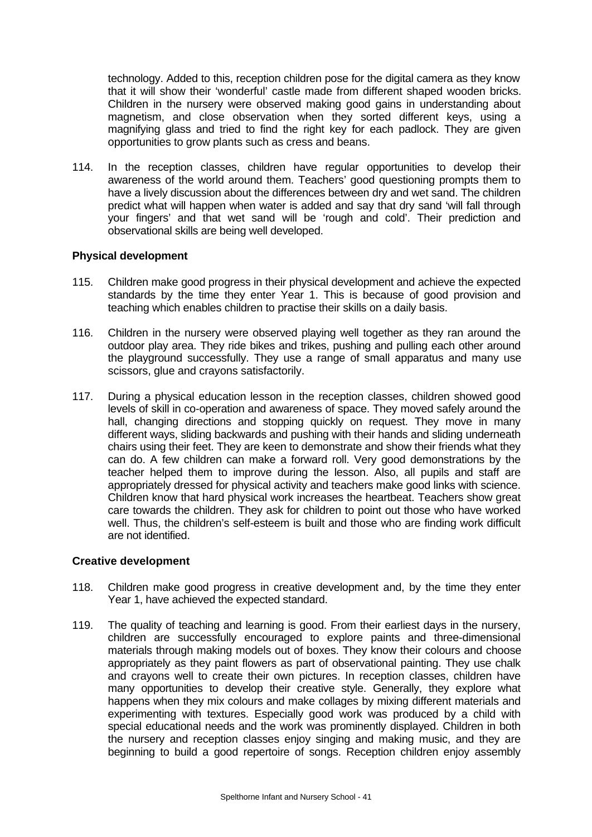technology. Added to this, reception children pose for the digital camera as they know that it will show their 'wonderful' castle made from different shaped wooden bricks. Children in the nursery were observed making good gains in understanding about magnetism, and close observation when they sorted different keys, using a magnifying glass and tried to find the right key for each padlock. They are given opportunities to grow plants such as cress and beans.

114. In the reception classes, children have regular opportunities to develop their awareness of the world around them. Teachers' good questioning prompts them to have a lively discussion about the differences between dry and wet sand. The children predict what will happen when water is added and say that dry sand 'will fall through your fingers' and that wet sand will be 'rough and cold'. Their prediction and observational skills are being well developed.

## **Physical development**

- 115. Children make good progress in their physical development and achieve the expected standards by the time they enter Year 1. This is because of good provision and teaching which enables children to practise their skills on a daily basis.
- 116. Children in the nursery were observed playing well together as they ran around the outdoor play area. They ride bikes and trikes, pushing and pulling each other around the playground successfully. They use a range of small apparatus and many use scissors, glue and crayons satisfactorily.
- 117. During a physical education lesson in the reception classes, children showed good levels of skill in co-operation and awareness of space. They moved safely around the hall, changing directions and stopping quickly on request. They move in many different ways, sliding backwards and pushing with their hands and sliding underneath chairs using their feet. They are keen to demonstrate and show their friends what they can do. A few children can make a forward roll. Very good demonstrations by the teacher helped them to improve during the lesson. Also, all pupils and staff are appropriately dressed for physical activity and teachers make good links with science. Children know that hard physical work increases the heartbeat. Teachers show great care towards the children. They ask for children to point out those who have worked well. Thus, the children's self-esteem is built and those who are finding work difficult are not identified.

## **Creative development**

- 118. Children make good progress in creative development and, by the time they enter Year 1, have achieved the expected standard.
- 119. The quality of teaching and learning is good. From their earliest days in the nursery, children are successfully encouraged to explore paints and three-dimensional materials through making models out of boxes. They know their colours and choose appropriately as they paint flowers as part of observational painting. They use chalk and crayons well to create their own pictures. In reception classes, children have many opportunities to develop their creative style. Generally, they explore what happens when they mix colours and make collages by mixing different materials and experimenting with textures. Especially good work was produced by a child with special educational needs and the work was prominently displayed. Children in both the nursery and reception classes enjoy singing and making music, and they are beginning to build a good repertoire of songs. Reception children enjoy assembly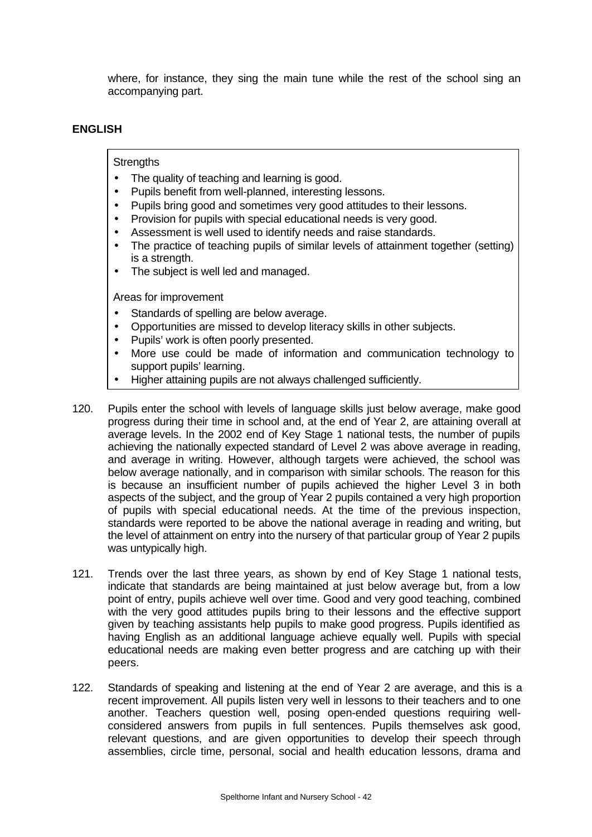where, for instance, they sing the main tune while the rest of the school sing an accompanying part.

## **ENGLISH**

### **Strengths**

- The quality of teaching and learning is good.
- Pupils benefit from well-planned, interesting lessons.
- Pupils bring good and sometimes very good attitudes to their lessons.
- Provision for pupils with special educational needs is very good.
- Assessment is well used to identify needs and raise standards.
- The practice of teaching pupils of similar levels of attainment together (setting) is a strength.
- The subject is well led and managed.

- Standards of spelling are below average.
- Opportunities are missed to develop literacy skills in other subjects.
- Pupils' work is often poorly presented.
- More use could be made of information and communication technology to support pupils' learning.
- Higher attaining pupils are not always challenged sufficiently.
- 120. Pupils enter the school with levels of language skills just below average, make good progress during their time in school and, at the end of Year 2, are attaining overall at average levels. In the 2002 end of Key Stage 1 national tests, the number of pupils achieving the nationally expected standard of Level 2 was above average in reading, and average in writing. However, although targets were achieved, the school was below average nationally, and in comparison with similar schools. The reason for this is because an insufficient number of pupils achieved the higher Level 3 in both aspects of the subject, and the group of Year 2 pupils contained a very high proportion of pupils with special educational needs. At the time of the previous inspection, standards were reported to be above the national average in reading and writing, but the level of attainment on entry into the nursery of that particular group of Year 2 pupils was untypically high.
- 121. Trends over the last three years, as shown by end of Key Stage 1 national tests, indicate that standards are being maintained at just below average but, from a low point of entry, pupils achieve well over time. Good and very good teaching, combined with the very good attitudes pupils bring to their lessons and the effective support given by teaching assistants help pupils to make good progress. Pupils identified as having English as an additional language achieve equally well. Pupils with special educational needs are making even better progress and are catching up with their peers.
- 122. Standards of speaking and listening at the end of Year 2 are average, and this is a recent improvement. All pupils listen very well in lessons to their teachers and to one another. Teachers question well, posing open-ended questions requiring wellconsidered answers from pupils in full sentences. Pupils themselves ask good, relevant questions, and are given opportunities to develop their speech through assemblies, circle time, personal, social and health education lessons, drama and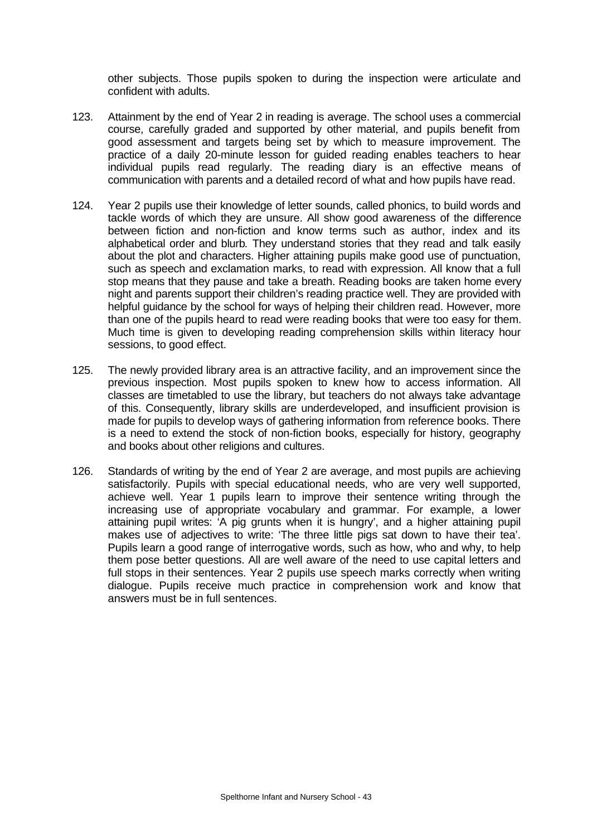other subjects. Those pupils spoken to during the inspection were articulate and confident with adults.

- 123. Attainment by the end of Year 2 in reading is average. The school uses a commercial course, carefully graded and supported by other material, and pupils benefit from good assessment and targets being set by which to measure improvement. The practice of a daily 20-minute lesson for guided reading enables teachers to hear individual pupils read regularly. The reading diary is an effective means of communication with parents and a detailed record of what and how pupils have read.
- 124. Year 2 pupils use their knowledge of letter sounds, called phonics, to build words and tackle words of which they are unsure. All show good awareness of the difference between fiction and non-fiction and know terms such as author, index and its alphabetical order and blurb*.* They understand stories that they read and talk easily about the plot and characters. Higher attaining pupils make good use of punctuation, such as speech and exclamation marks, to read with expression. All know that a full stop means that they pause and take a breath. Reading books are taken home every night and parents support their children's reading practice well. They are provided with helpful guidance by the school for ways of helping their children read. However, more than one of the pupils heard to read were reading books that were too easy for them. Much time is given to developing reading comprehension skills within literacy hour sessions, to good effect.
- 125. The newly provided library area is an attractive facility, and an improvement since the previous inspection. Most pupils spoken to knew how to access information. All classes are timetabled to use the library, but teachers do not always take advantage of this. Consequently, library skills are underdeveloped, and insufficient provision is made for pupils to develop ways of gathering information from reference books. There is a need to extend the stock of non-fiction books, especially for history, geography and books about other religions and cultures.
- 126. Standards of writing by the end of Year 2 are average, and most pupils are achieving satisfactorily. Pupils with special educational needs, who are very well supported, achieve well. Year 1 pupils learn to improve their sentence writing through the increasing use of appropriate vocabulary and grammar. For example, a lower attaining pupil writes: 'A pig grunts when it is hungry', and a higher attaining pupil makes use of adjectives to write: 'The three little pigs sat down to have their tea'. Pupils learn a good range of interrogative words, such as how, who and why, to help them pose better questions. All are well aware of the need to use capital letters and full stops in their sentences. Year 2 pupils use speech marks correctly when writing dialogue. Pupils receive much practice in comprehension work and know that answers must be in full sentences.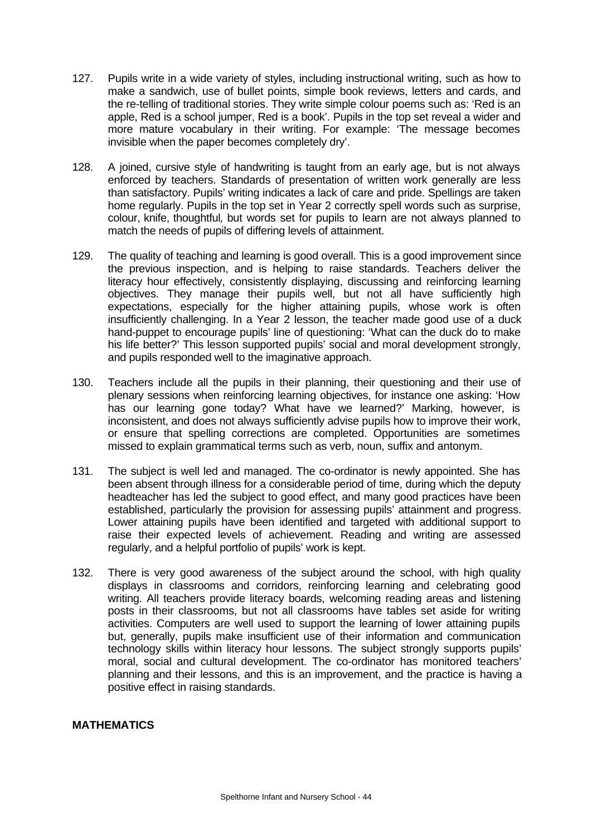- 127. Pupils write in a wide variety of styles, including instructional writing, such as how to make a sandwich, use of bullet points, simple book reviews, letters and cards, and the re-telling of traditional stories. They write simple colour poems such as: 'Red is an apple, Red is a school jumper, Red is a book'. Pupils in the top set reveal a wider and more mature vocabulary in their writing. For example: 'The message becomes invisible when the paper becomes completely dry'.
- 128. A joined, cursive style of handwriting is taught from an early age, but is not always enforced by teachers. Standards of presentation of written work generally are less than satisfactory. Pupils' writing indicates a lack of care and pride. Spellings are taken home regularly. Pupils in the top set in Year 2 correctly spell words such as surprise, colour, knife, thoughtful*,* but words set for pupils to learn are not always planned to match the needs of pupils of differing levels of attainment.
- 129. The quality of teaching and learning is good overall. This is a good improvement since the previous inspection, and is helping to raise standards. Teachers deliver the literacy hour effectively, consistently displaying, discussing and reinforcing learning objectives. They manage their pupils well, but not all have sufficiently high expectations, especially for the higher attaining pupils, whose work is often insufficiently challenging. In a Year 2 lesson, the teacher made good use of a duck hand-puppet to encourage pupils' line of questioning: 'What can the duck do to make his life better?' This lesson supported pupils' social and moral development strongly, and pupils responded well to the imaginative approach.
- 130. Teachers include all the pupils in their planning, their questioning and their use of plenary sessions when reinforcing learning objectives, for instance one asking: 'How has our learning gone today? What have we learned?' Marking, however, is inconsistent, and does not always sufficiently advise pupils how to improve their work, or ensure that spelling corrections are completed. Opportunities are sometimes missed to explain grammatical terms such as verb, noun, suffix and antonym.
- 131. The subject is well led and managed. The co-ordinator is newly appointed. She has been absent through illness for a considerable period of time, during which the deputy headteacher has led the subject to good effect, and many good practices have been established, particularly the provision for assessing pupils' attainment and progress. Lower attaining pupils have been identified and targeted with additional support to raise their expected levels of achievement. Reading and writing are assessed regularly, and a helpful portfolio of pupils' work is kept.
- 132. There is very good awareness of the subject around the school, with high quality displays in classrooms and corridors, reinforcing learning and celebrating good writing. All teachers provide literacy boards, welcoming reading areas and listening posts in their classrooms, but not all classrooms have tables set aside for writing activities. Computers are well used to support the learning of lower attaining pupils but, generally, pupils make insufficient use of their information and communication technology skills within literacy hour lessons. The subject strongly supports pupils' moral, social and cultural development. The co-ordinator has monitored teachers' planning and their lessons, and this is an improvement, and the practice is having a positive effect in raising standards.

## **MATHEMATICS**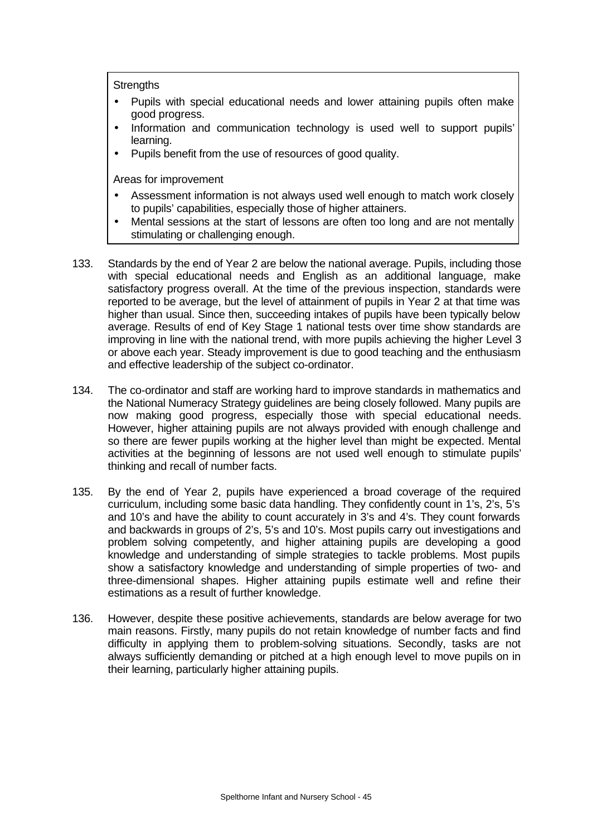**Strengths** 

- Pupils with special educational needs and lower attaining pupils often make good progress.
- Information and communication technology is used well to support pupils' learning.
- Pupils benefit from the use of resources of good quality.

- Assessment information is not always used well enough to match work closely to pupils' capabilities, especially those of higher attainers.
- Mental sessions at the start of lessons are often too long and are not mentally stimulating or challenging enough.
- 133. Standards by the end of Year 2 are below the national average. Pupils, including those with special educational needs and English as an additional language, make satisfactory progress overall. At the time of the previous inspection, standards were reported to be average, but the level of attainment of pupils in Year 2 at that time was higher than usual. Since then, succeeding intakes of pupils have been typically below average. Results of end of Key Stage 1 national tests over time show standards are improving in line with the national trend, with more pupils achieving the higher Level 3 or above each year. Steady improvement is due to good teaching and the enthusiasm and effective leadership of the subject co-ordinator.
- 134. The co-ordinator and staff are working hard to improve standards in mathematics and the National Numeracy Strategy guidelines are being closely followed. Many pupils are now making good progress, especially those with special educational needs. However, higher attaining pupils are not always provided with enough challenge and so there are fewer pupils working at the higher level than might be expected. Mental activities at the beginning of lessons are not used well enough to stimulate pupils' thinking and recall of number facts.
- 135. By the end of Year 2, pupils have experienced a broad coverage of the required curriculum, including some basic data handling. They confidently count in 1's, 2's, 5's and 10's and have the ability to count accurately in 3's and 4's. They count forwards and backwards in groups of 2's, 5's and 10's. Most pupils carry out investigations and problem solving competently, and higher attaining pupils are developing a good knowledge and understanding of simple strategies to tackle problems. Most pupils show a satisfactory knowledge and understanding of simple properties of two- and three-dimensional shapes. Higher attaining pupils estimate well and refine their estimations as a result of further knowledge.
- 136. However, despite these positive achievements, standards are below average for two main reasons. Firstly, many pupils do not retain knowledge of number facts and find difficulty in applying them to problem-solving situations. Secondly, tasks are not always sufficiently demanding or pitched at a high enough level to move pupils on in their learning, particularly higher attaining pupils.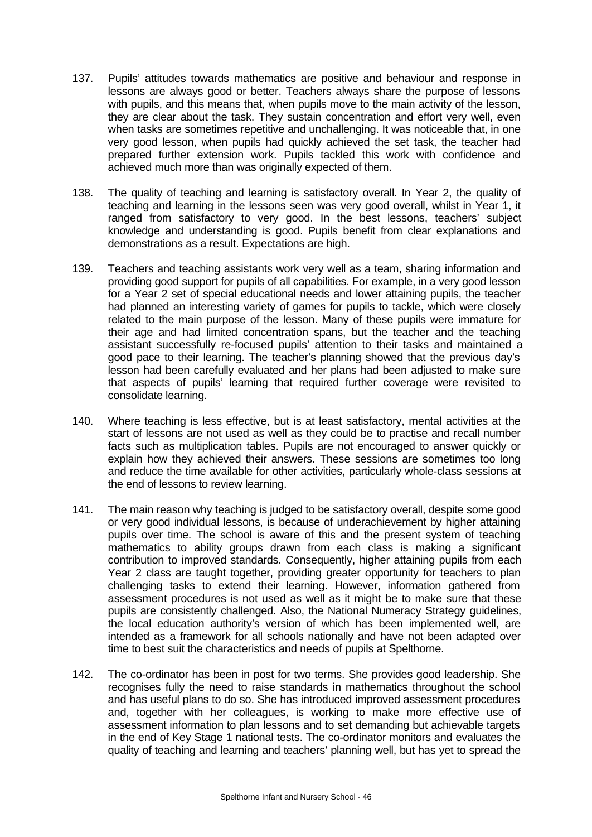- 137. Pupils' attitudes towards mathematics are positive and behaviour and response in lessons are always good or better. Teachers always share the purpose of lessons with pupils, and this means that, when pupils move to the main activity of the lesson, they are clear about the task. They sustain concentration and effort very well, even when tasks are sometimes repetitive and unchallenging. It was noticeable that, in one very good lesson, when pupils had quickly achieved the set task, the teacher had prepared further extension work. Pupils tackled this work with confidence and achieved much more than was originally expected of them.
- 138. The quality of teaching and learning is satisfactory overall. In Year 2, the quality of teaching and learning in the lessons seen was very good overall, whilst in Year 1, it ranged from satisfactory to very good. In the best lessons, teachers' subject knowledge and understanding is good. Pupils benefit from clear explanations and demonstrations as a result. Expectations are high.
- 139. Teachers and teaching assistants work very well as a team, sharing information and providing good support for pupils of all capabilities. For example, in a very good lesson for a Year 2 set of special educational needs and lower attaining pupils, the teacher had planned an interesting variety of games for pupils to tackle, which were closely related to the main purpose of the lesson. Many of these pupils were immature for their age and had limited concentration spans, but the teacher and the teaching assistant successfully re-focused pupils' attention to their tasks and maintained a good pace to their learning. The teacher's planning showed that the previous day's lesson had been carefully evaluated and her plans had been adjusted to make sure that aspects of pupils' learning that required further coverage were revisited to consolidate learning.
- 140. Where teaching is less effective, but is at least satisfactory, mental activities at the start of lessons are not used as well as they could be to practise and recall number facts such as multiplication tables. Pupils are not encouraged to answer quickly or explain how they achieved their answers. These sessions are sometimes too long and reduce the time available for other activities, particularly whole-class sessions at the end of lessons to review learning.
- 141. The main reason why teaching is judged to be satisfactory overall, despite some good or very good individual lessons, is because of underachievement by higher attaining pupils over time. The school is aware of this and the present system of teaching mathematics to ability groups drawn from each class is making a significant contribution to improved standards. Consequently, higher attaining pupils from each Year 2 class are taught together, providing greater opportunity for teachers to plan challenging tasks to extend their learning. However, information gathered from assessment procedures is not used as well as it might be to make sure that these pupils are consistently challenged. Also, the National Numeracy Strategy guidelines, the local education authority's version of which has been implemented well, are intended as a framework for all schools nationally and have not been adapted over time to best suit the characteristics and needs of pupils at Spelthorne.
- 142. The co-ordinator has been in post for two terms. She provides good leadership. She recognises fully the need to raise standards in mathematics throughout the school and has useful plans to do so. She has introduced improved assessment procedures and, together with her colleagues, is working to make more effective use of assessment information to plan lessons and to set demanding but achievable targets in the end of Key Stage 1 national tests. The co-ordinator monitors and evaluates the quality of teaching and learning and teachers' planning well, but has yet to spread the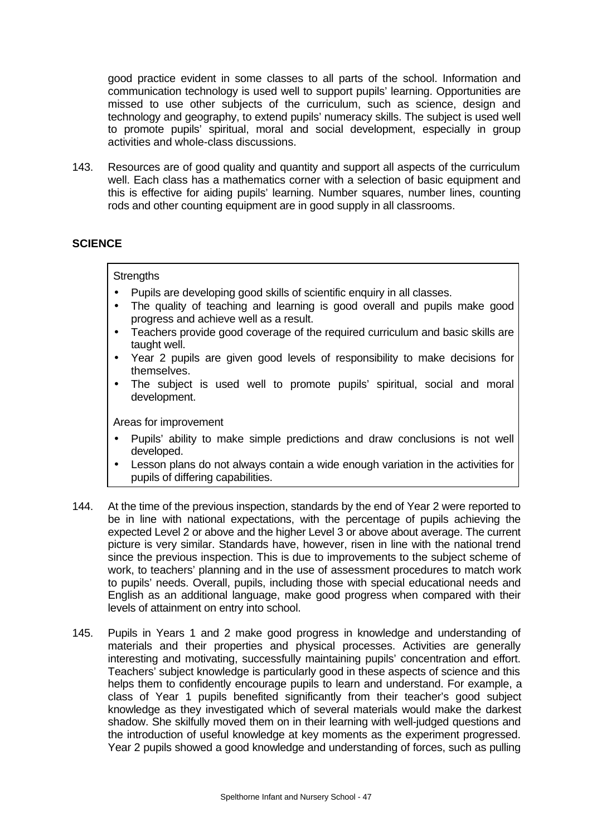good practice evident in some classes to all parts of the school. Information and communication technology is used well to support pupils' learning. Opportunities are missed to use other subjects of the curriculum, such as science, design and technology and geography, to extend pupils' numeracy skills. The subject is used well to promote pupils' spiritual, moral and social development, especially in group activities and whole-class discussions.

143. Resources are of good quality and quantity and support all aspects of the curriculum well. Each class has a mathematics corner with a selection of basic equipment and this is effective for aiding pupils' learning. Number squares, number lines, counting rods and other counting equipment are in good supply in all classrooms.

## **SCIENCE**

### **Strengths**

- Pupils are developing good skills of scientific enquiry in all classes.
- The quality of teaching and learning is good overall and pupils make good progress and achieve well as a result.
- Teachers provide good coverage of the required curriculum and basic skills are taught well.
- Year 2 pupils are given good levels of responsibility to make decisions for themselves.
- The subject is used well to promote pupils' spiritual, social and moral development.

- Pupils' ability to make simple predictions and draw conclusions is not well developed.
- Lesson plans do not always contain a wide enough variation in the activities for pupils of differing capabilities.
- 144. At the time of the previous inspection, standards by the end of Year 2 were reported to be in line with national expectations, with the percentage of pupils achieving the expected Level 2 or above and the higher Level 3 or above about average. The current picture is very similar. Standards have, however, risen in line with the national trend since the previous inspection. This is due to improvements to the subject scheme of work, to teachers' planning and in the use of assessment procedures to match work to pupils' needs. Overall, pupils, including those with special educational needs and English as an additional language, make good progress when compared with their levels of attainment on entry into school.
- 145. Pupils in Years 1 and 2 make good progress in knowledge and understanding of materials and their properties and physical processes. Activities are generally interesting and motivating, successfully maintaining pupils' concentration and effort. Teachers' subject knowledge is particularly good in these aspects of science and this helps them to confidently encourage pupils to learn and understand. For example, a class of Year 1 pupils benefited significantly from their teacher's good subject knowledge as they investigated which of several materials would make the darkest shadow. She skilfully moved them on in their learning with well-judged questions and the introduction of useful knowledge at key moments as the experiment progressed. Year 2 pupils showed a good knowledge and understanding of forces, such as pulling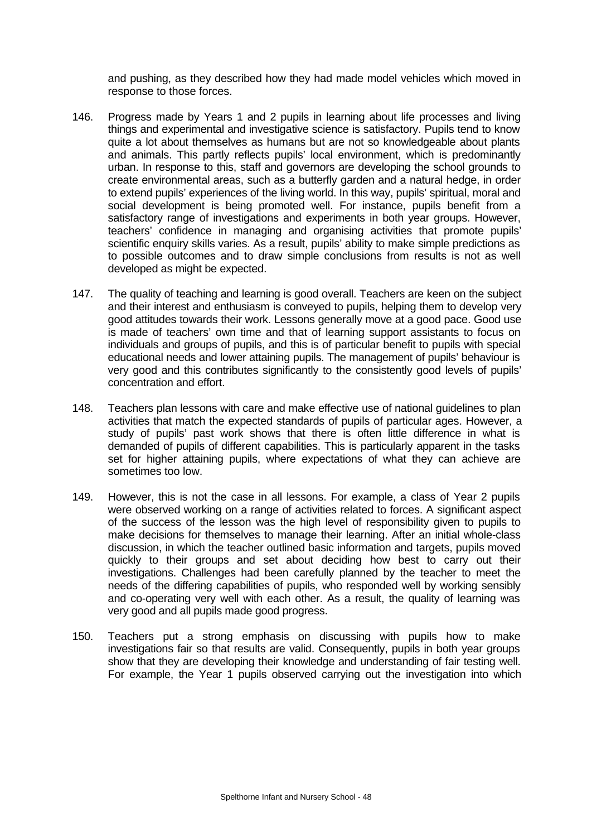and pushing, as they described how they had made model vehicles which moved in response to those forces.

- 146. Progress made by Years 1 and 2 pupils in learning about life processes and living things and experimental and investigative science is satisfactory. Pupils tend to know quite a lot about themselves as humans but are not so knowledgeable about plants and animals. This partly reflects pupils' local environment, which is predominantly urban. In response to this, staff and governors are developing the school grounds to create environmental areas, such as a butterfly garden and a natural hedge, in order to extend pupils' experiences of the living world. In this way, pupils' spiritual, moral and social development is being promoted well. For instance, pupils benefit from a satisfactory range of investigations and experiments in both year groups. However, teachers' confidence in managing and organising activities that promote pupils' scientific enquiry skills varies. As a result, pupils' ability to make simple predictions as to possible outcomes and to draw simple conclusions from results is not as well developed as might be expected.
- 147. The quality of teaching and learning is good overall. Teachers are keen on the subject and their interest and enthusiasm is conveyed to pupils, helping them to develop very good attitudes towards their work. Lessons generally move at a good pace. Good use is made of teachers' own time and that of learning support assistants to focus on individuals and groups of pupils, and this is of particular benefit to pupils with special educational needs and lower attaining pupils. The management of pupils' behaviour is very good and this contributes significantly to the consistently good levels of pupils' concentration and effort.
- 148. Teachers plan lessons with care and make effective use of national guidelines to plan activities that match the expected standards of pupils of particular ages. However, a study of pupils' past work shows that there is often little difference in what is demanded of pupils of different capabilities. This is particularly apparent in the tasks set for higher attaining pupils, where expectations of what they can achieve are sometimes too low.
- 149. However, this is not the case in all lessons. For example, a class of Year 2 pupils were observed working on a range of activities related to forces. A significant aspect of the success of the lesson was the high level of responsibility given to pupils to make decisions for themselves to manage their learning. After an initial whole-class discussion, in which the teacher outlined basic information and targets, pupils moved quickly to their groups and set about deciding how best to carry out their investigations. Challenges had been carefully planned by the teacher to meet the needs of the differing capabilities of pupils, who responded well by working sensibly and co-operating very well with each other. As a result, the quality of learning was very good and all pupils made good progress.
- 150. Teachers put a strong emphasis on discussing with pupils how to make investigations fair so that results are valid. Consequently, pupils in both year groups show that they are developing their knowledge and understanding of fair testing well. For example, the Year 1 pupils observed carrying out the investigation into which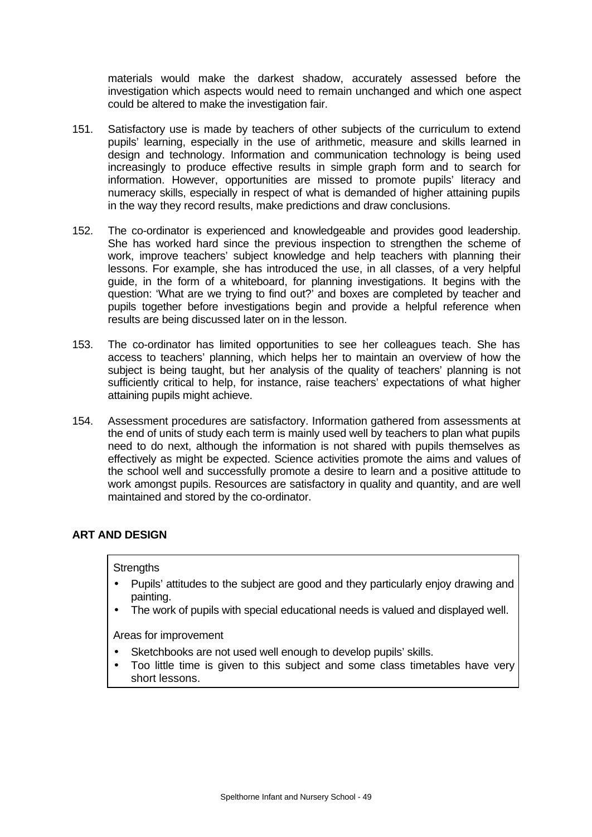materials would make the darkest shadow, accurately assessed before the investigation which aspects would need to remain unchanged and which one aspect could be altered to make the investigation fair.

- 151. Satisfactory use is made by teachers of other subjects of the curriculum to extend pupils' learning, especially in the use of arithmetic, measure and skills learned in design and technology. Information and communication technology is being used increasingly to produce effective results in simple graph form and to search for information. However, opportunities are missed to promote pupils' literacy and numeracy skills, especially in respect of what is demanded of higher attaining pupils in the way they record results, make predictions and draw conclusions.
- 152. The co-ordinator is experienced and knowledgeable and provides good leadership. She has worked hard since the previous inspection to strengthen the scheme of work, improve teachers' subject knowledge and help teachers with planning their lessons. For example, she has introduced the use, in all classes, of a very helpful guide, in the form of a whiteboard, for planning investigations. It begins with the question: 'What are we trying to find out?' and boxes are completed by teacher and pupils together before investigations begin and provide a helpful reference when results are being discussed later on in the lesson.
- 153. The co-ordinator has limited opportunities to see her colleagues teach. She has access to teachers' planning, which helps her to maintain an overview of how the subject is being taught, but her analysis of the quality of teachers' planning is not sufficiently critical to help, for instance, raise teachers' expectations of what higher attaining pupils might achieve.
- 154. Assessment procedures are satisfactory. Information gathered from assessments at the end of units of study each term is mainly used well by teachers to plan what pupils need to do next, although the information is not shared with pupils themselves as effectively as might be expected. Science activities promote the aims and values of the school well and successfully promote a desire to learn and a positive attitude to work amongst pupils. Resources are satisfactory in quality and quantity, and are well maintained and stored by the co-ordinator.

## **ART AND DESIGN**

### **Strengths**

- Pupils' attitudes to the subject are good and they particularly enjoy drawing and painting.
- The work of pupils with special educational needs is valued and displayed well.

- Sketchbooks are not used well enough to develop pupils' skills.
- Too little time is given to this subject and some class timetables have very short lessons.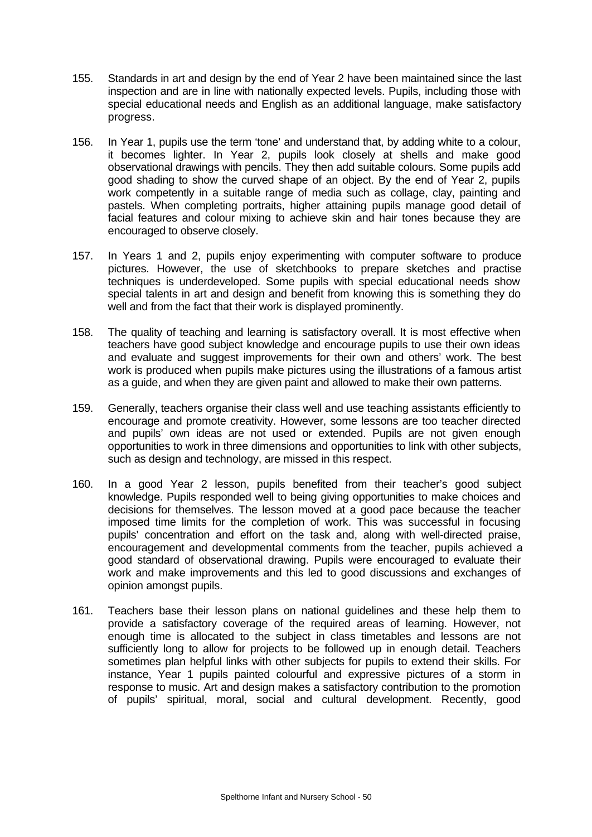- 155. Standards in art and design by the end of Year 2 have been maintained since the last inspection and are in line with nationally expected levels. Pupils, including those with special educational needs and English as an additional language, make satisfactory progress.
- 156. In Year 1, pupils use the term 'tone' and understand that, by adding white to a colour, it becomes lighter. In Year 2, pupils look closely at shells and make good observational drawings with pencils. They then add suitable colours. Some pupils add good shading to show the curved shape of an object. By the end of Year 2, pupils work competently in a suitable range of media such as collage, clay, painting and pastels. When completing portraits, higher attaining pupils manage good detail of facial features and colour mixing to achieve skin and hair tones because they are encouraged to observe closely.
- 157. In Years 1 and 2, pupils enjoy experimenting with computer software to produce pictures. However, the use of sketchbooks to prepare sketches and practise techniques is underdeveloped. Some pupils with special educational needs show special talents in art and design and benefit from knowing this is something they do well and from the fact that their work is displayed prominently.
- 158. The quality of teaching and learning is satisfactory overall. It is most effective when teachers have good subject knowledge and encourage pupils to use their own ideas and evaluate and suggest improvements for their own and others' work. The best work is produced when pupils make pictures using the illustrations of a famous artist as a guide, and when they are given paint and allowed to make their own patterns.
- 159. Generally, teachers organise their class well and use teaching assistants efficiently to encourage and promote creativity. However, some lessons are too teacher directed and pupils' own ideas are not used or extended. Pupils are not given enough opportunities to work in three dimensions and opportunities to link with other subjects, such as design and technology, are missed in this respect.
- 160. In a good Year 2 lesson, pupils benefited from their teacher's good subject knowledge. Pupils responded well to being giving opportunities to make choices and decisions for themselves. The lesson moved at a good pace because the teacher imposed time limits for the completion of work. This was successful in focusing pupils' concentration and effort on the task and, along with well-directed praise, encouragement and developmental comments from the teacher, pupils achieved a good standard of observational drawing. Pupils were encouraged to evaluate their work and make improvements and this led to good discussions and exchanges of opinion amongst pupils.
- 161. Teachers base their lesson plans on national guidelines and these help them to provide a satisfactory coverage of the required areas of learning. However, not enough time is allocated to the subject in class timetables and lessons are not sufficiently long to allow for projects to be followed up in enough detail. Teachers sometimes plan helpful links with other subjects for pupils to extend their skills. For instance, Year 1 pupils painted colourful and expressive pictures of a storm in response to music. Art and design makes a satisfactory contribution to the promotion of pupils' spiritual, moral, social and cultural development. Recently, good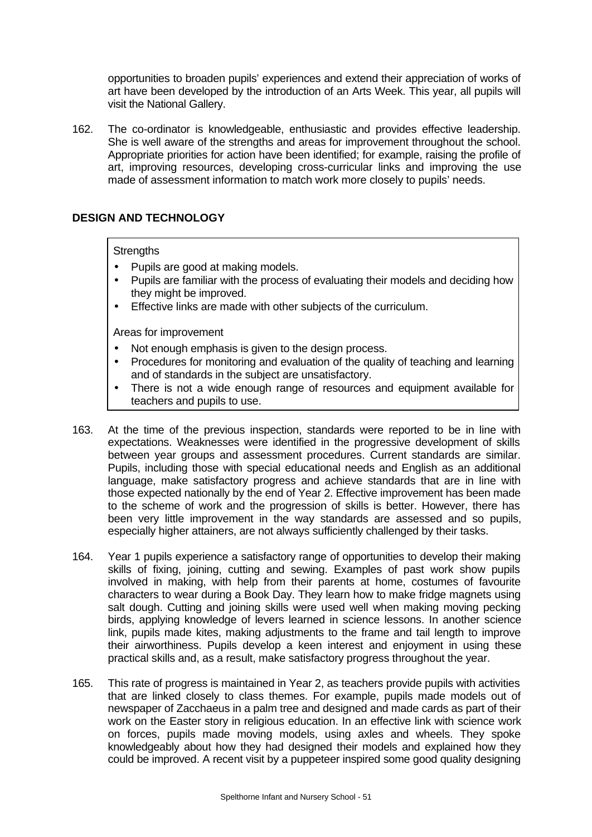opportunities to broaden pupils' experiences and extend their appreciation of works of art have been developed by the introduction of an Arts Week. This year, all pupils will visit the National Gallery.

162. The co-ordinator is knowledgeable, enthusiastic and provides effective leadership. She is well aware of the strengths and areas for improvement throughout the school. Appropriate priorities for action have been identified; for example, raising the profile of art, improving resources, developing cross-curricular links and improving the use made of assessment information to match work more closely to pupils' needs.

# **DESIGN AND TECHNOLOGY**

### **Strengths**

- Pupils are good at making models.
- Pupils are familiar with the process of evaluating their models and deciding how they might be improved.
- Effective links are made with other subjects of the curriculum.

- Not enough emphasis is given to the design process.
- Procedures for monitoring and evaluation of the quality of teaching and learning and of standards in the subject are unsatisfactory.
- There is not a wide enough range of resources and equipment available for teachers and pupils to use.
- 163. At the time of the previous inspection, standards were reported to be in line with expectations. Weaknesses were identified in the progressive development of skills between year groups and assessment procedures. Current standards are similar. Pupils, including those with special educational needs and English as an additional language, make satisfactory progress and achieve standards that are in line with those expected nationally by the end of Year 2. Effective improvement has been made to the scheme of work and the progression of skills is better. However, there has been very little improvement in the way standards are assessed and so pupils, especially higher attainers, are not always sufficiently challenged by their tasks.
- 164. Year 1 pupils experience a satisfactory range of opportunities to develop their making skills of fixing, joining, cutting and sewing. Examples of past work show pupils involved in making, with help from their parents at home, costumes of favourite characters to wear during a Book Day. They learn how to make fridge magnets using salt dough. Cutting and joining skills were used well when making moving pecking birds, applying knowledge of levers learned in science lessons. In another science link, pupils made kites, making adjustments to the frame and tail length to improve their airworthiness. Pupils develop a keen interest and enjoyment in using these practical skills and, as a result, make satisfactory progress throughout the year.
- 165. This rate of progress is maintained in Year 2, as teachers provide pupils with activities that are linked closely to class themes. For example, pupils made models out of newspaper of Zacchaeus in a palm tree and designed and made cards as part of their work on the Easter story in religious education. In an effective link with science work on forces, pupils made moving models, using axles and wheels. They spoke knowledgeably about how they had designed their models and explained how they could be improved. A recent visit by a puppeteer inspired some good quality designing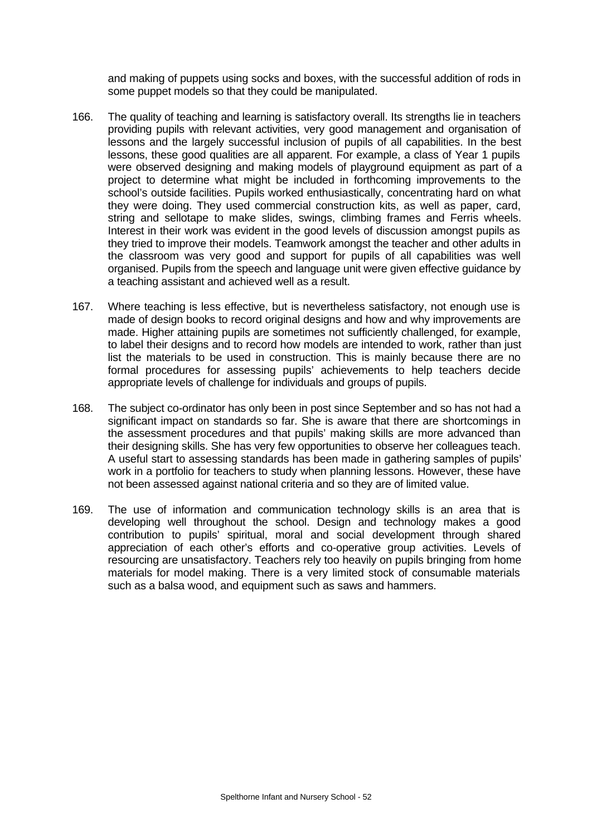and making of puppets using socks and boxes, with the successful addition of rods in some puppet models so that they could be manipulated.

- 166. The quality of teaching and learning is satisfactory overall. Its strengths lie in teachers providing pupils with relevant activities, very good management and organisation of lessons and the largely successful inclusion of pupils of all capabilities. In the best lessons, these good qualities are all apparent. For example, a class of Year 1 pupils were observed designing and making models of playground equipment as part of a project to determine what might be included in forthcoming improvements to the school's outside facilities. Pupils worked enthusiastically, concentrating hard on what they were doing. They used commercial construction kits, as well as paper, card, string and sellotape to make slides, swings, climbing frames and Ferris wheels. Interest in their work was evident in the good levels of discussion amongst pupils as they tried to improve their models. Teamwork amongst the teacher and other adults in the classroom was very good and support for pupils of all capabilities was well organised. Pupils from the speech and language unit were given effective guidance by a teaching assistant and achieved well as a result.
- 167. Where teaching is less effective, but is nevertheless satisfactory, not enough use is made of design books to record original designs and how and why improvements are made. Higher attaining pupils are sometimes not sufficiently challenged, for example, to label their designs and to record how models are intended to work, rather than just list the materials to be used in construction. This is mainly because there are no formal procedures for assessing pupils' achievements to help teachers decide appropriate levels of challenge for individuals and groups of pupils.
- 168. The subject co-ordinator has only been in post since September and so has not had a significant impact on standards so far. She is aware that there are shortcomings in the assessment procedures and that pupils' making skills are more advanced than their designing skills. She has very few opportunities to observe her colleagues teach. A useful start to assessing standards has been made in gathering samples of pupils' work in a portfolio for teachers to study when planning lessons. However, these have not been assessed against national criteria and so they are of limited value.
- 169. The use of information and communication technology skills is an area that is developing well throughout the school. Design and technology makes a good contribution to pupils' spiritual, moral and social development through shared appreciation of each other's efforts and co-operative group activities. Levels of resourcing are unsatisfactory. Teachers rely too heavily on pupils bringing from home materials for model making. There is a very limited stock of consumable materials such as a balsa wood, and equipment such as saws and hammers.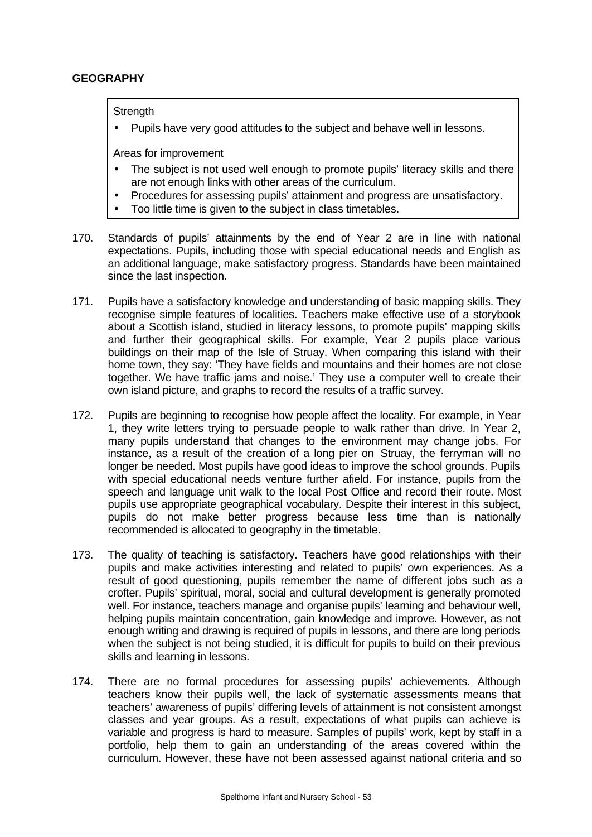## **GEOGRAPHY**

**Strength** 

• Pupils have very good attitudes to the subject and behave well in lessons.

- The subject is not used well enough to promote pupils' literacy skills and there are not enough links with other areas of the curriculum.
- Procedures for assessing pupils' attainment and progress are unsatisfactory.
- Too little time is given to the subject in class timetables.
- 170. Standards of pupils' attainments by the end of Year 2 are in line with national expectations. Pupils, including those with special educational needs and English as an additional language, make satisfactory progress. Standards have been maintained since the last inspection.
- 171. Pupils have a satisfactory knowledge and understanding of basic mapping skills. They recognise simple features of localities. Teachers make effective use of a storybook about a Scottish island, studied in literacy lessons, to promote pupils' mapping skills and further their geographical skills. For example, Year 2 pupils place various buildings on their map of the Isle of Struay. When comparing this island with their home town, they say: 'They have fields and mountains and their homes are not close together. We have traffic jams and noise.' They use a computer well to create their own island picture, and graphs to record the results of a traffic survey.
- 172. Pupils are beginning to recognise how people affect the locality. For example, in Year 1, they write letters trying to persuade people to walk rather than drive. In Year 2, many pupils understand that changes to the environment may change jobs. For instance, as a result of the creation of a long pier on Struay, the ferryman will no longer be needed. Most pupils have good ideas to improve the school grounds. Pupils with special educational needs venture further afield. For instance, pupils from the speech and language unit walk to the local Post Office and record their route. Most pupils use appropriate geographical vocabulary. Despite their interest in this subject, pupils do not make better progress because less time than is nationally recommended is allocated to geography in the timetable.
- 173. The quality of teaching is satisfactory. Teachers have good relationships with their pupils and make activities interesting and related to pupils' own experiences. As a result of good questioning, pupils remember the name of different jobs such as a crofter. Pupils' spiritual, moral, social and cultural development is generally promoted well. For instance, teachers manage and organise pupils' learning and behaviour well, helping pupils maintain concentration, gain knowledge and improve. However, as not enough writing and drawing is required of pupils in lessons, and there are long periods when the subject is not being studied, it is difficult for pupils to build on their previous skills and learning in lessons.
- 174. There are no formal procedures for assessing pupils' achievements. Although teachers know their pupils well, the lack of systematic assessments means that teachers' awareness of pupils' differing levels of attainment is not consistent amongst classes and year groups. As a result, expectations of what pupils can achieve is variable and progress is hard to measure. Samples of pupils' work, kept by staff in a portfolio, help them to gain an understanding of the areas covered within the curriculum. However, these have not been assessed against national criteria and so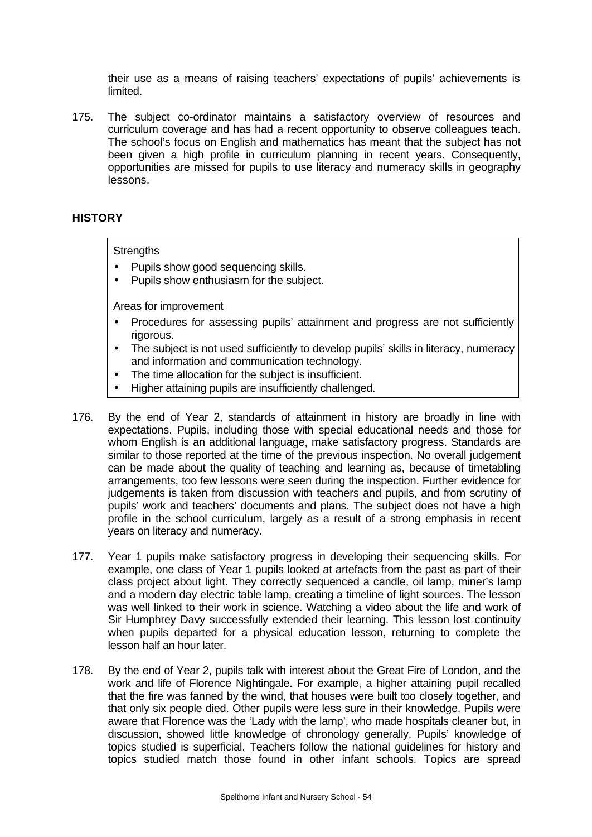their use as a means of raising teachers' expectations of pupils' achievements is limited.

175. The subject co-ordinator maintains a satisfactory overview of resources and curriculum coverage and has had a recent opportunity to observe colleagues teach. The school's focus on English and mathematics has meant that the subject has not been given a high profile in curriculum planning in recent years. Consequently, opportunities are missed for pupils to use literacy and numeracy skills in geography lessons.

## **HISTORY**

**Strengths** 

- Pupils show good sequencing skills.
- Pupils show enthusiasm for the subject.

- Procedures for assessing pupils' attainment and progress are not sufficiently rigorous.
- The subject is not used sufficiently to develop pupils' skills in literacy, numeracy and information and communication technology.
- The time allocation for the subject is insufficient.
- Higher attaining pupils are insufficiently challenged.
- 176. By the end of Year 2, standards of attainment in history are broadly in line with expectations. Pupils, including those with special educational needs and those for whom English is an additional language, make satisfactory progress. Standards are similar to those reported at the time of the previous inspection. No overall judgement can be made about the quality of teaching and learning as, because of timetabling arrangements, too few lessons were seen during the inspection. Further evidence for judgements is taken from discussion with teachers and pupils, and from scrutiny of pupils' work and teachers' documents and plans. The subject does not have a high profile in the school curriculum, largely as a result of a strong emphasis in recent years on literacy and numeracy.
- 177. Year 1 pupils make satisfactory progress in developing their sequencing skills. For example, one class of Year 1 pupils looked at artefacts from the past as part of their class project about light. They correctly sequenced a candle, oil lamp, miner's lamp and a modern day electric table lamp, creating a timeline of light sources. The lesson was well linked to their work in science. Watching a video about the life and work of Sir Humphrey Davy successfully extended their learning. This lesson lost continuity when pupils departed for a physical education lesson, returning to complete the lesson half an hour later.
- 178. By the end of Year 2, pupils talk with interest about the Great Fire of London, and the work and life of Florence Nightingale. For example, a higher attaining pupil recalled that the fire was fanned by the wind, that houses were built too closely together, and that only six people died. Other pupils were less sure in their knowledge. Pupils were aware that Florence was the 'Lady with the lamp', who made hospitals cleaner but, in discussion, showed little knowledge of chronology generally. Pupils' knowledge of topics studied is superficial. Teachers follow the national guidelines for history and topics studied match those found in other infant schools. Topics are spread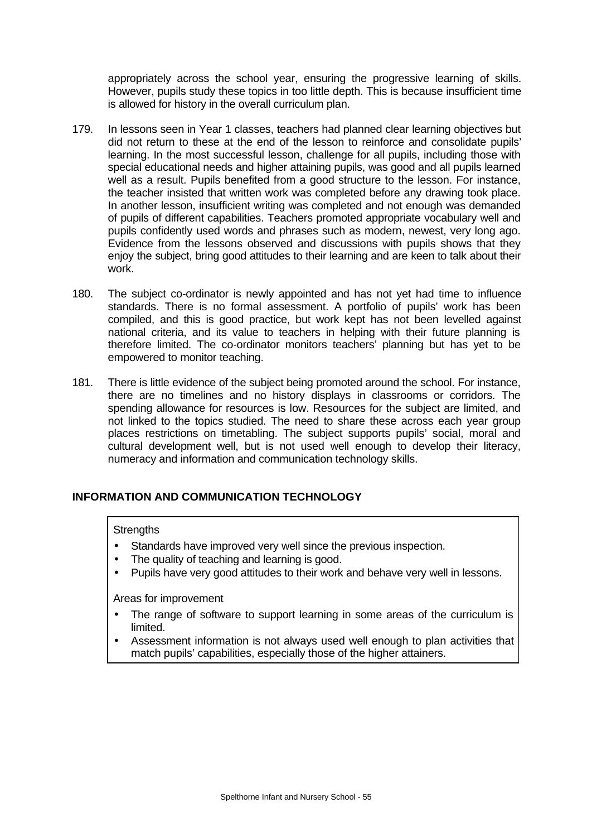appropriately across the school year, ensuring the progressive learning of skills. However, pupils study these topics in too little depth. This is because insufficient time is allowed for history in the overall curriculum plan.

- 179. In lessons seen in Year 1 classes, teachers had planned clear learning objectives but did not return to these at the end of the lesson to reinforce and consolidate pupils' learning. In the most successful lesson, challenge for all pupils, including those with special educational needs and higher attaining pupils, was good and all pupils learned well as a result. Pupils benefited from a good structure to the lesson. For instance, the teacher insisted that written work was completed before any drawing took place. In another lesson, insufficient writing was completed and not enough was demanded of pupils of different capabilities. Teachers promoted appropriate vocabulary well and pupils confidently used words and phrases such as modern, newest, very long ago. Evidence from the lessons observed and discussions with pupils shows that they enjoy the subject, bring good attitudes to their learning and are keen to talk about their work.
- 180. The subject co-ordinator is newly appointed and has not yet had time to influence standards. There is no formal assessment. A portfolio of pupils' work has been compiled, and this is good practice, but work kept has not been levelled against national criteria, and its value to teachers in helping with their future planning is therefore limited. The co-ordinator monitors teachers' planning but has yet to be empowered to monitor teaching.
- 181. There is little evidence of the subject being promoted around the school. For instance, there are no timelines and no history displays in classrooms or corridors. The spending allowance for resources is low. Resources for the subject are limited, and not linked to the topics studied. The need to share these across each year group places restrictions on timetabling. The subject supports pupils' social, moral and cultural development well, but is not used well enough to develop their literacy, numeracy and information and communication technology skills.

# **INFORMATION AND COMMUNICATION TECHNOLOGY**

### **Strengths**

- Standards have improved very well since the previous inspection.
- The quality of teaching and learning is good.
- Pupils have very good attitudes to their work and behave very well in lessons.

- The range of software to support learning in some areas of the curriculum is limited.
- Assessment information is not always used well enough to plan activities that match pupils' capabilities, especially those of the higher attainers.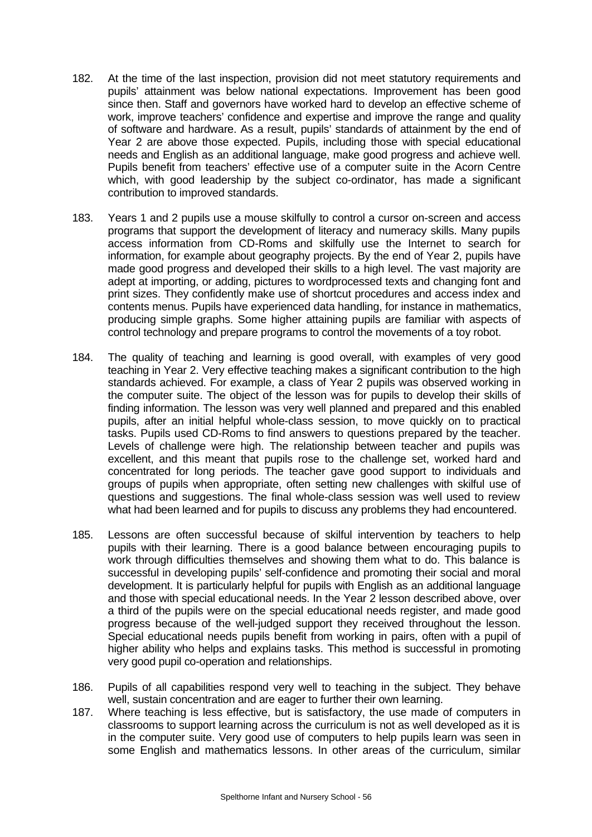- 182. At the time of the last inspection, provision did not meet statutory requirements and pupils' attainment was below national expectations. Improvement has been good since then. Staff and governors have worked hard to develop an effective scheme of work, improve teachers' confidence and expertise and improve the range and quality of software and hardware. As a result, pupils' standards of attainment by the end of Year 2 are above those expected. Pupils, including those with special educational needs and English as an additional language, make good progress and achieve well. Pupils benefit from teachers' effective use of a computer suite in the Acorn Centre which, with good leadership by the subject co-ordinator, has made a significant contribution to improved standards.
- 183. Years 1 and 2 pupils use a mouse skilfully to control a cursor on-screen and access programs that support the development of literacy and numeracy skills. Many pupils access information from CD-Roms and skilfully use the Internet to search for information, for example about geography projects. By the end of Year 2, pupils have made good progress and developed their skills to a high level. The vast majority are adept at importing, or adding, pictures to wordprocessed texts and changing font and print sizes. They confidently make use of shortcut procedures and access index and contents menus. Pupils have experienced data handling, for instance in mathematics, producing simple graphs. Some higher attaining pupils are familiar with aspects of control technology and prepare programs to control the movements of a toy robot.
- 184. The quality of teaching and learning is good overall, with examples of very good teaching in Year 2. Very effective teaching makes a significant contribution to the high standards achieved. For example, a class of Year 2 pupils was observed working in the computer suite. The object of the lesson was for pupils to develop their skills of finding information. The lesson was very well planned and prepared and this enabled pupils, after an initial helpful whole-class session, to move quickly on to practical tasks. Pupils used CD-Roms to find answers to questions prepared by the teacher. Levels of challenge were high. The relationship between teacher and pupils was excellent, and this meant that pupils rose to the challenge set, worked hard and concentrated for long periods. The teacher gave good support to individuals and groups of pupils when appropriate, often setting new challenges with skilful use of questions and suggestions. The final whole-class session was well used to review what had been learned and for pupils to discuss any problems they had encountered.
- 185. Lessons are often successful because of skilful intervention by teachers to help pupils with their learning. There is a good balance between encouraging pupils to work through difficulties themselves and showing them what to do. This balance is successful in developing pupils' self-confidence and promoting their social and moral development. It is particularly helpful for pupils with English as an additional language and those with special educational needs. In the Year 2 lesson described above, over a third of the pupils were on the special educational needs register, and made good progress because of the well-judged support they received throughout the lesson. Special educational needs pupils benefit from working in pairs, often with a pupil of higher ability who helps and explains tasks. This method is successful in promoting very good pupil co-operation and relationships.
- 186. Pupils of all capabilities respond very well to teaching in the subject. They behave well, sustain concentration and are eager to further their own learning.
- 187. Where teaching is less effective, but is satisfactory, the use made of computers in classrooms to support learning across the curriculum is not as well developed as it is in the computer suite. Very good use of computers to help pupils learn was seen in some English and mathematics lessons. In other areas of the curriculum, similar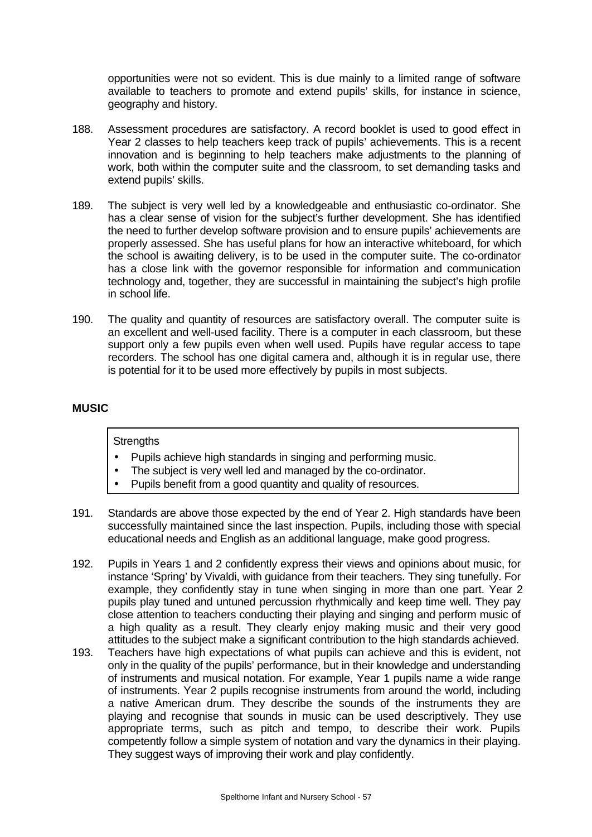opportunities were not so evident. This is due mainly to a limited range of software available to teachers to promote and extend pupils' skills, for instance in science, geography and history.

- 188. Assessment procedures are satisfactory. A record booklet is used to good effect in Year 2 classes to help teachers keep track of pupils' achievements. This is a recent innovation and is beginning to help teachers make adjustments to the planning of work, both within the computer suite and the classroom, to set demanding tasks and extend pupils' skills.
- 189. The subject is very well led by a knowledgeable and enthusiastic co-ordinator. She has a clear sense of vision for the subject's further development. She has identified the need to further develop software provision and to ensure pupils' achievements are properly assessed. She has useful plans for how an interactive whiteboard, for which the school is awaiting delivery, is to be used in the computer suite. The co-ordinator has a close link with the governor responsible for information and communication technology and, together, they are successful in maintaining the subject's high profile in school life.
- 190. The quality and quantity of resources are satisfactory overall. The computer suite is an excellent and well-used facility. There is a computer in each classroom, but these support only a few pupils even when well used. Pupils have regular access to tape recorders. The school has one digital camera and, although it is in regular use, there is potential for it to be used more effectively by pupils in most subjects.

## **MUSIC**

### **Strengths**

- Pupils achieve high standards in singing and performing music.
- The subject is very well led and managed by the co-ordinator.
- Pupils benefit from a good quantity and quality of resources.
- 191. Standards are above those expected by the end of Year 2. High standards have been successfully maintained since the last inspection. Pupils, including those with special educational needs and English as an additional language, make good progress.
- 192. Pupils in Years 1 and 2 confidently express their views and opinions about music, for instance 'Spring' by Vivaldi, with guidance from their teachers. They sing tunefully. For example, they confidently stay in tune when singing in more than one part. Year 2 pupils play tuned and untuned percussion rhythmically and keep time well. They pay close attention to teachers conducting their playing and singing and perform music of a high quality as a result. They clearly enjoy making music and their very good attitudes to the subject make a significant contribution to the high standards achieved.
- 193. Teachers have high expectations of what pupils can achieve and this is evident, not only in the quality of the pupils' performance, but in their knowledge and understanding of instruments and musical notation. For example, Year 1 pupils name a wide range of instruments. Year 2 pupils recognise instruments from around the world, including a native American drum. They describe the sounds of the instruments they are playing and recognise that sounds in music can be used descriptively. They use appropriate terms, such as pitch and tempo, to describe their work. Pupils competently follow a simple system of notation and vary the dynamics in their playing. They suggest ways of improving their work and play confidently.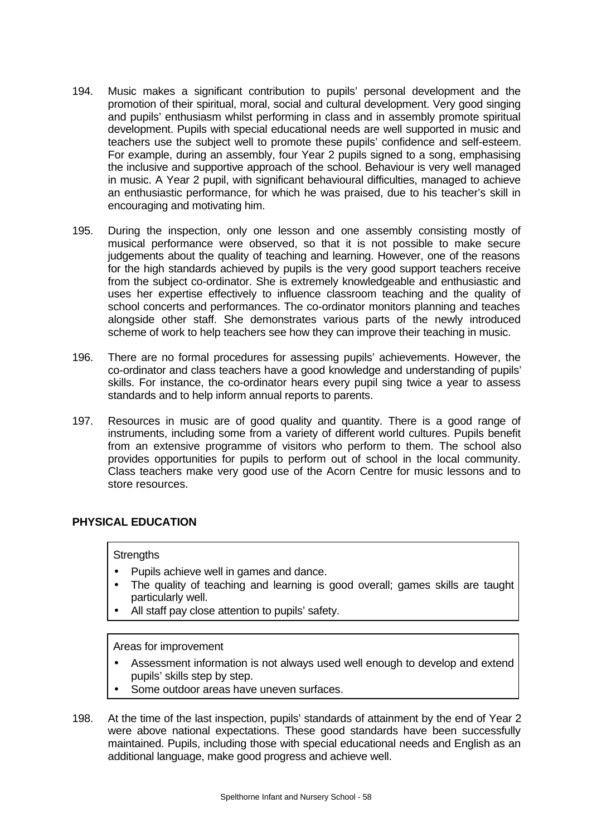- 194. Music makes a significant contribution to pupils' personal development and the promotion of their spiritual, moral, social and cultural development. Very good singing and pupils' enthusiasm whilst performing in class and in assembly promote spiritual development. Pupils with special educational needs are well supported in music and teachers use the subject well to promote these pupils' confidence and self-esteem. For example, during an assembly, four Year 2 pupils signed to a song, emphasising the inclusive and supportive approach of the school. Behaviour is very well managed in music. A Year 2 pupil, with significant behavioural difficulties, managed to achieve an enthusiastic performance, for which he was praised, due to his teacher's skill in encouraging and motivating him.
- 195. During the inspection, only one lesson and one assembly consisting mostly of musical performance were observed, so that it is not possible to make secure judgements about the quality of teaching and learning. However, one of the reasons for the high standards achieved by pupils is the very good support teachers receive from the subject co-ordinator. She is extremely knowledgeable and enthusiastic and uses her expertise effectively to influence classroom teaching and the quality of school concerts and performances. The co-ordinator monitors planning and teaches alongside other staff. She demonstrates various parts of the newly introduced scheme of work to help teachers see how they can improve their teaching in music.
- 196. There are no formal procedures for assessing pupils' achievements. However, the co-ordinator and class teachers have a good knowledge and understanding of pupils' skills. For instance, the co-ordinator hears every pupil sing twice a year to assess standards and to help inform annual reports to parents.
- 197. Resources in music are of good quality and quantity. There is a good range of instruments, including some from a variety of different world cultures. Pupils benefit from an extensive programme of visitors who perform to them. The school also provides opportunities for pupils to perform out of school in the local community. Class teachers make very good use of the Acorn Centre for music lessons and to store resources.

# **PHYSICAL EDUCATION**

### **Strengths**

- Pupils achieve well in games and dance.
- The quality of teaching and learning is good overall; games skills are taught particularly well.
- All staff pay close attention to pupils' safety.

- Assessment information is not always used well enough to develop and extend pupils' skills step by step.
- Some outdoor areas have uneven surfaces.
- 198. At the time of the last inspection, pupils' standards of attainment by the end of Year 2 were above national expectations. These good standards have been successfully maintained. Pupils, including those with special educational needs and English as an additional language, make good progress and achieve well.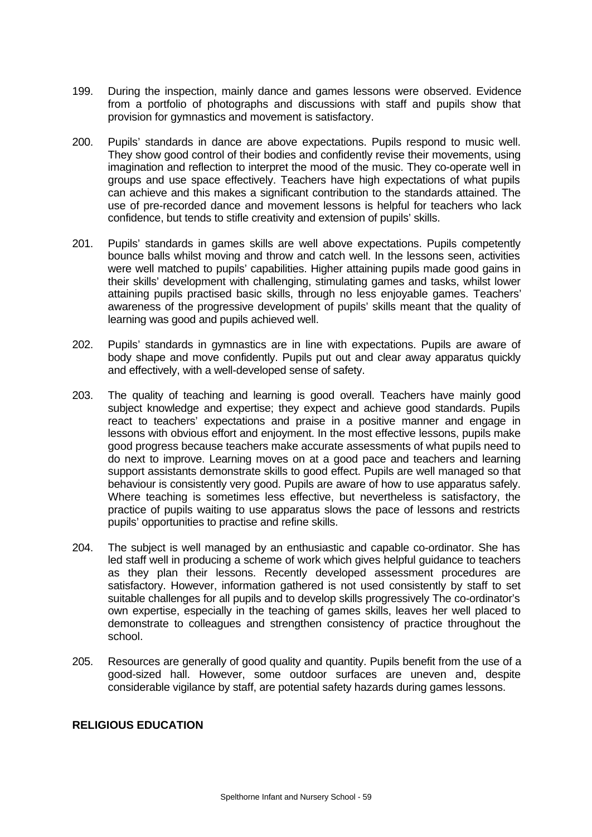- 199. During the inspection, mainly dance and games lessons were observed. Evidence from a portfolio of photographs and discussions with staff and pupils show that provision for gymnastics and movement is satisfactory.
- 200. Pupils' standards in dance are above expectations. Pupils respond to music well. They show good control of their bodies and confidently revise their movements, using imagination and reflection to interpret the mood of the music. They co-operate well in groups and use space effectively. Teachers have high expectations of what pupils can achieve and this makes a significant contribution to the standards attained. The use of pre-recorded dance and movement lessons is helpful for teachers who lack confidence, but tends to stifle creativity and extension of pupils' skills.
- 201. Pupils' standards in games skills are well above expectations. Pupils competently bounce balls whilst moving and throw and catch well. In the lessons seen, activities were well matched to pupils' capabilities. Higher attaining pupils made good gains in their skills' development with challenging, stimulating games and tasks, whilst lower attaining pupils practised basic skills, through no less enjoyable games. Teachers' awareness of the progressive development of pupils' skills meant that the quality of learning was good and pupils achieved well.
- 202. Pupils' standards in gymnastics are in line with expectations. Pupils are aware of body shape and move confidently. Pupils put out and clear away apparatus quickly and effectively, with a well-developed sense of safety.
- 203. The quality of teaching and learning is good overall. Teachers have mainly good subject knowledge and expertise; they expect and achieve good standards. Pupils react to teachers' expectations and praise in a positive manner and engage in lessons with obvious effort and enjoyment. In the most effective lessons, pupils make good progress because teachers make accurate assessments of what pupils need to do next to improve. Learning moves on at a good pace and teachers and learning support assistants demonstrate skills to good effect. Pupils are well managed so that behaviour is consistently very good. Pupils are aware of how to use apparatus safely. Where teaching is sometimes less effective, but nevertheless is satisfactory, the practice of pupils waiting to use apparatus slows the pace of lessons and restricts pupils' opportunities to practise and refine skills.
- 204. The subject is well managed by an enthusiastic and capable co-ordinator. She has led staff well in producing a scheme of work which gives helpful guidance to teachers as they plan their lessons. Recently developed assessment procedures are satisfactory. However, information gathered is not used consistently by staff to set suitable challenges for all pupils and to develop skills progressively The co-ordinator's own expertise, especially in the teaching of games skills, leaves her well placed to demonstrate to colleagues and strengthen consistency of practice throughout the school.
- 205. Resources are generally of good quality and quantity. Pupils benefit from the use of a good-sized hall. However, some outdoor surfaces are uneven and, despite considerable vigilance by staff, are potential safety hazards during games lessons.

## **RELIGIOUS EDUCATION**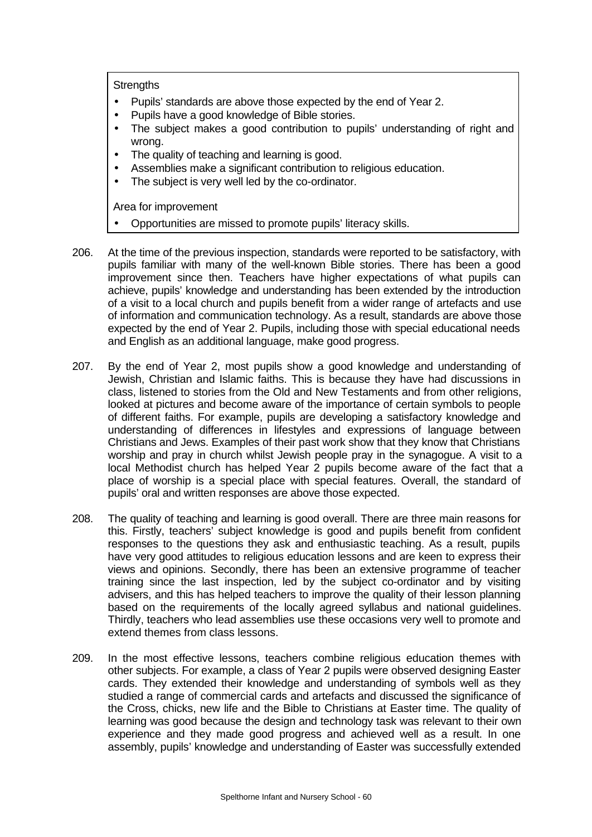**Strengths** 

- Pupils' standards are above those expected by the end of Year 2.
- Pupils have a good knowledge of Bible stories.
- The subject makes a good contribution to pupils' understanding of right and wrong.
- The quality of teaching and learning is good.
- Assemblies make a significant contribution to religious education.
- The subject is very well led by the co-ordinator.

- Opportunities are missed to promote pupils' literacy skills.
- 206. At the time of the previous inspection, standards were reported to be satisfactory, with pupils familiar with many of the well-known Bible stories. There has been a good improvement since then. Teachers have higher expectations of what pupils can achieve, pupils' knowledge and understanding has been extended by the introduction of a visit to a local church and pupils benefit from a wider range of artefacts and use of information and communication technology. As a result, standards are above those expected by the end of Year 2. Pupils, including those with special educational needs and English as an additional language, make good progress.
- 207. By the end of Year 2, most pupils show a good knowledge and understanding of Jewish, Christian and Islamic faiths. This is because they have had discussions in class, listened to stories from the Old and New Testaments and from other religions, looked at pictures and become aware of the importance of certain symbols to people of different faiths. For example, pupils are developing a satisfactory knowledge and understanding of differences in lifestyles and expressions of language between Christians and Jews. Examples of their past work show that they know that Christians worship and pray in church whilst Jewish people pray in the synagogue. A visit to a local Methodist church has helped Year 2 pupils become aware of the fact that a place of worship is a special place with special features. Overall, the standard of pupils' oral and written responses are above those expected.
- 208. The quality of teaching and learning is good overall. There are three main reasons for this. Firstly, teachers' subject knowledge is good and pupils benefit from confident responses to the questions they ask and enthusiastic teaching. As a result, pupils have very good attitudes to religious education lessons and are keen to express their views and opinions. Secondly, there has been an extensive programme of teacher training since the last inspection, led by the subject co-ordinator and by visiting advisers, and this has helped teachers to improve the quality of their lesson planning based on the requirements of the locally agreed syllabus and national guidelines. Thirdly, teachers who lead assemblies use these occasions very well to promote and extend themes from class lessons.
- 209. In the most effective lessons, teachers combine religious education themes with other subjects. For example, a class of Year 2 pupils were observed designing Easter cards. They extended their knowledge and understanding of symbols well as they studied a range of commercial cards and artefacts and discussed the significance of the Cross, chicks, new life and the Bible to Christians at Easter time. The quality of learning was good because the design and technology task was relevant to their own experience and they made good progress and achieved well as a result. In one assembly, pupils' knowledge and understanding of Easter was successfully extended